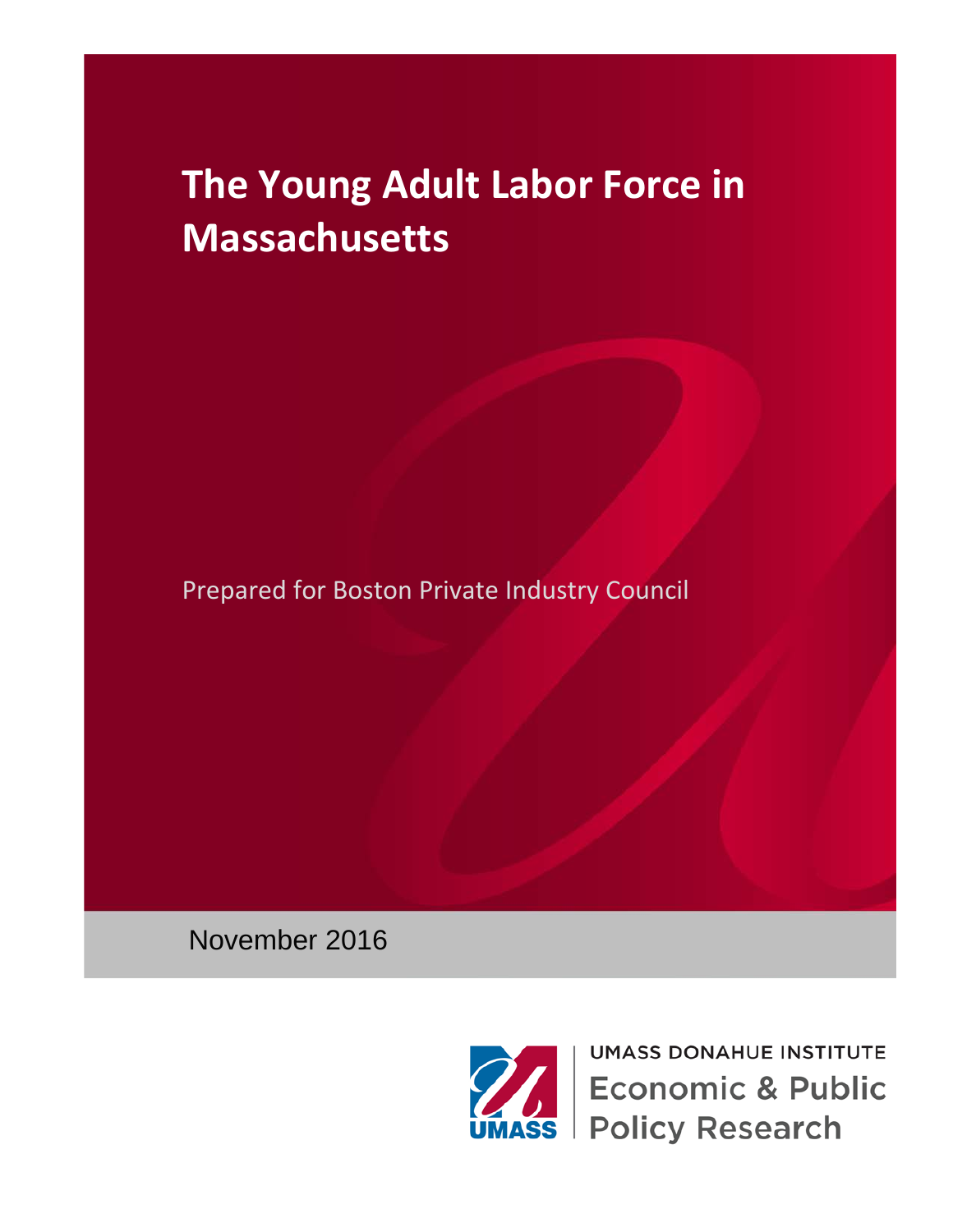Prepared for Boston Private Industry Council

November 2016



**UMASS DONAHUE INSTITUTE Economic & Public Policy Research**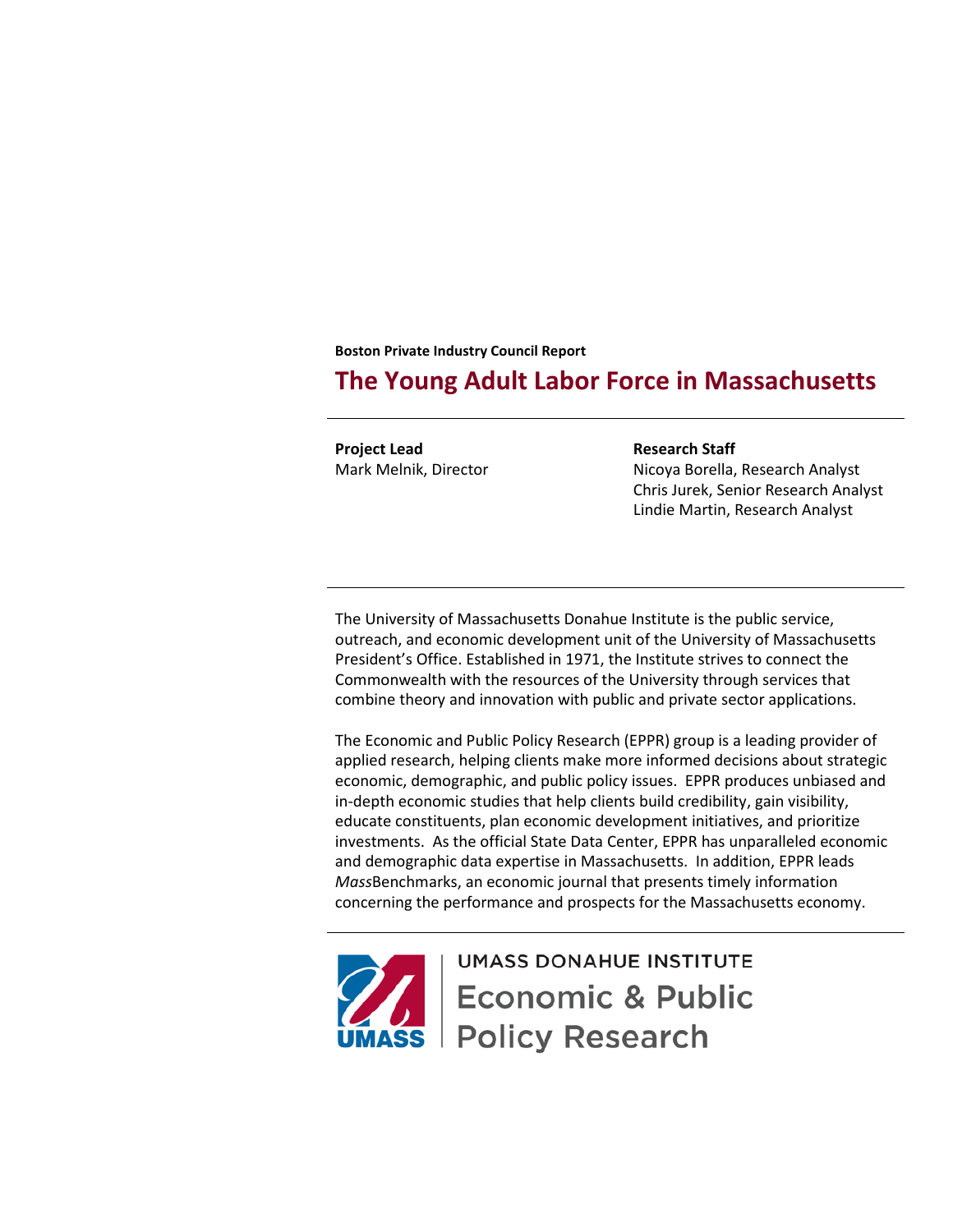**Boston Private Industry Council Report**

# **The Young Adult Labor Force in Massachusetts**

**Project Lead** Mark Melnik, Director **Research Staff** Nicoya Borella, Research Analyst Chris Jurek, Senior Research Analyst Lindie Martin, Research Analyst

The University of Massachusetts Donahue Institute is the public service, outreach, and economic development unit of the University of Massachusetts President's Office. Established in 1971, the Institute strives to connect the Commonwealth with the resources of the University through services that combine theory and innovation with public and private sector applications.

The Economic and Public Policy Research (EPPR) group is a leading provider of applied research, helping clients make more informed decisions about strategic economic, demographic, and public policy issues. EPPR produces unbiased and in-depth economic studies that help clients build credibility, gain visibility, educate constituents, plan economic development initiatives, and prioritize investments. As the official State Data Center, EPPR has unparalleled economic and demographic data expertise in Massachusetts. In addition, EPPR leads *Mass*Benchmarks, an economic journal that presents timely information concerning the performance and prospects for the Massachusetts economy.



**UMASS DONAHUE INSTITUTE Economic & Public** ss | Policy Research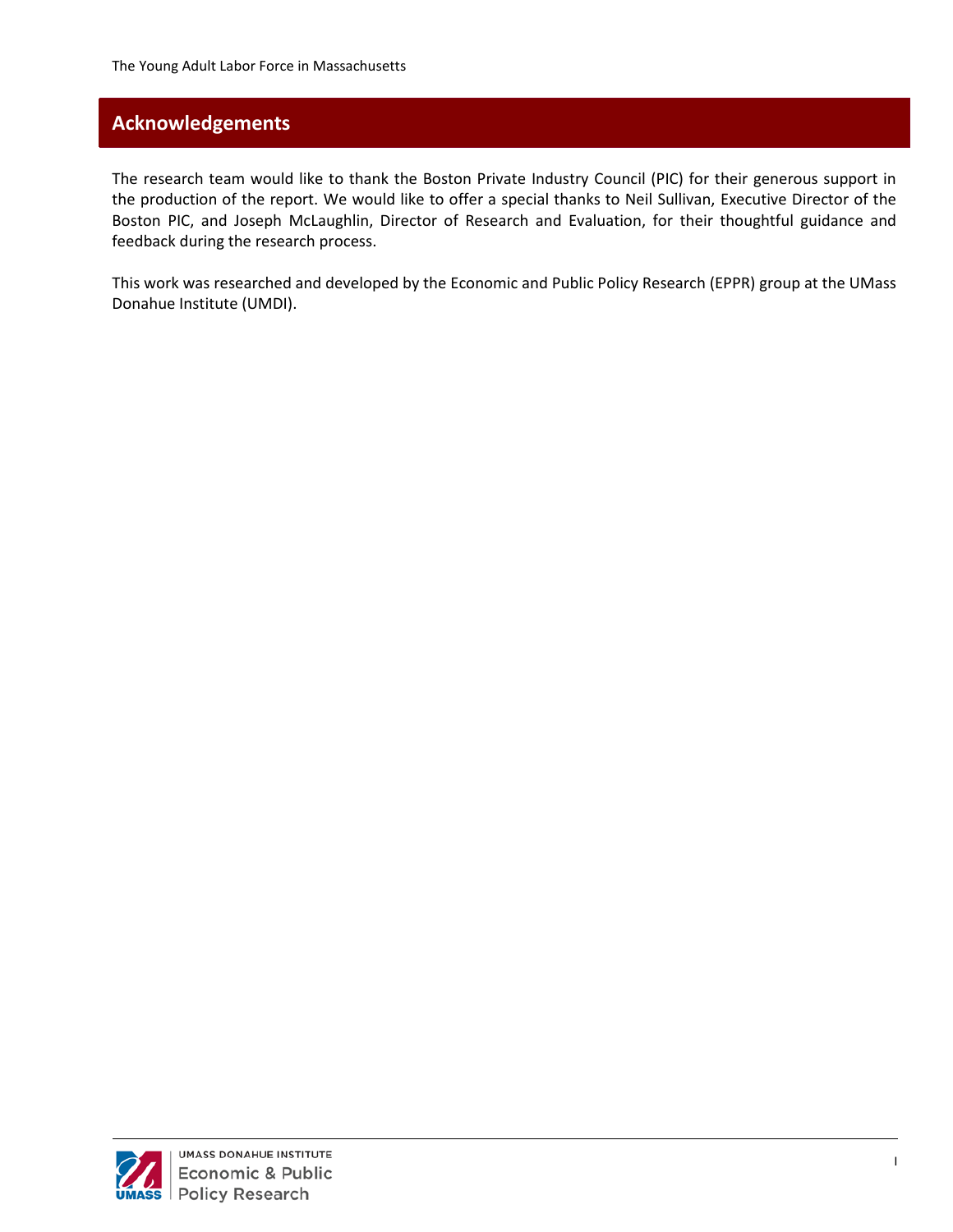# **Acknowledgements**

The research team would like to thank the Boston Private Industry Council (PIC) for their generous support in the production of the report. We would like to offer a special thanks to Neil Sullivan, Executive Director of the Boston PIC, and Joseph McLaughlin, Director of Research and Evaluation, for their thoughtful guidance and feedback during the research process.

This work was researched and developed by the Economic and Public Policy Research (EPPR) group at the UMass Donahue Institute (UMDI).

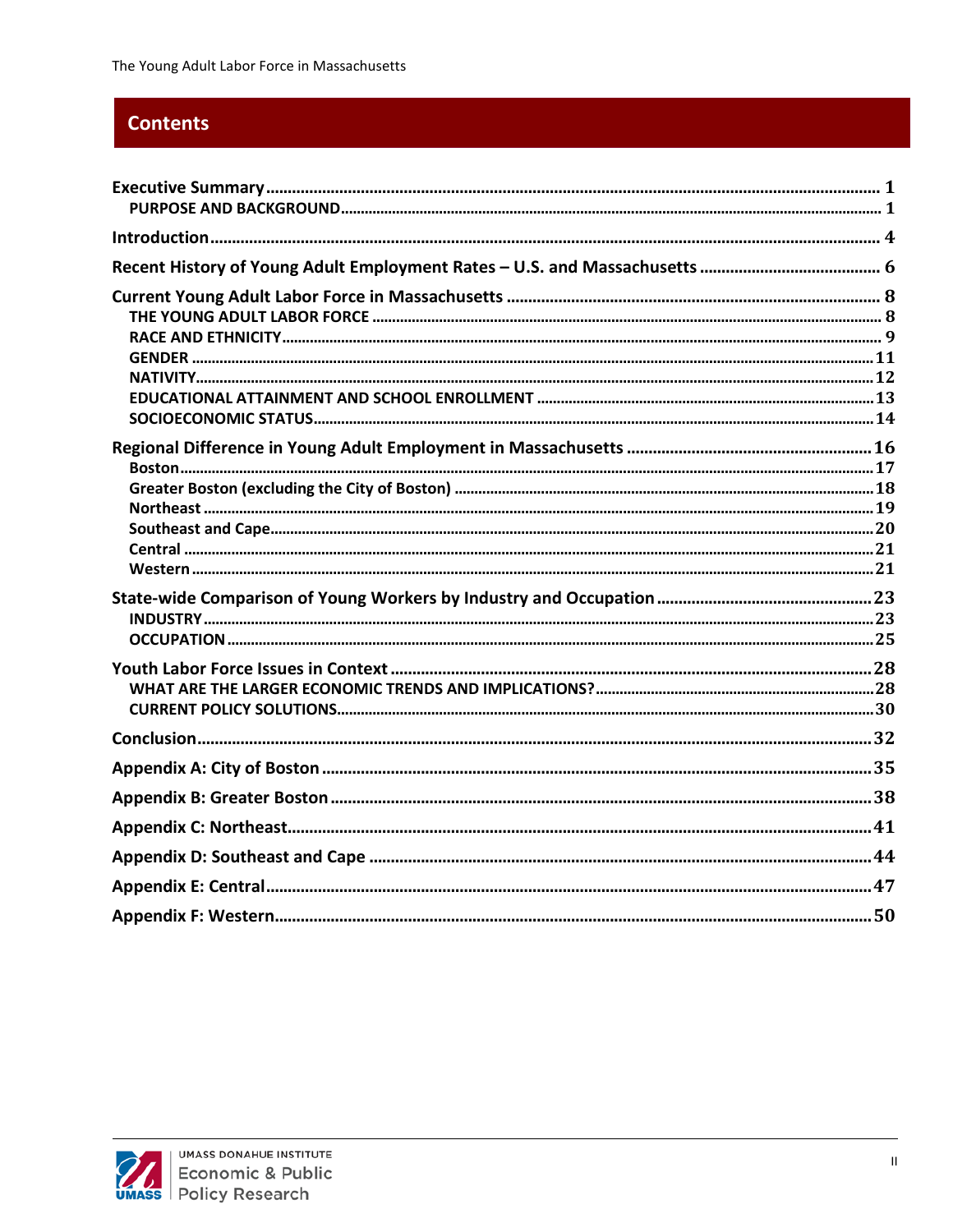# **Contents**

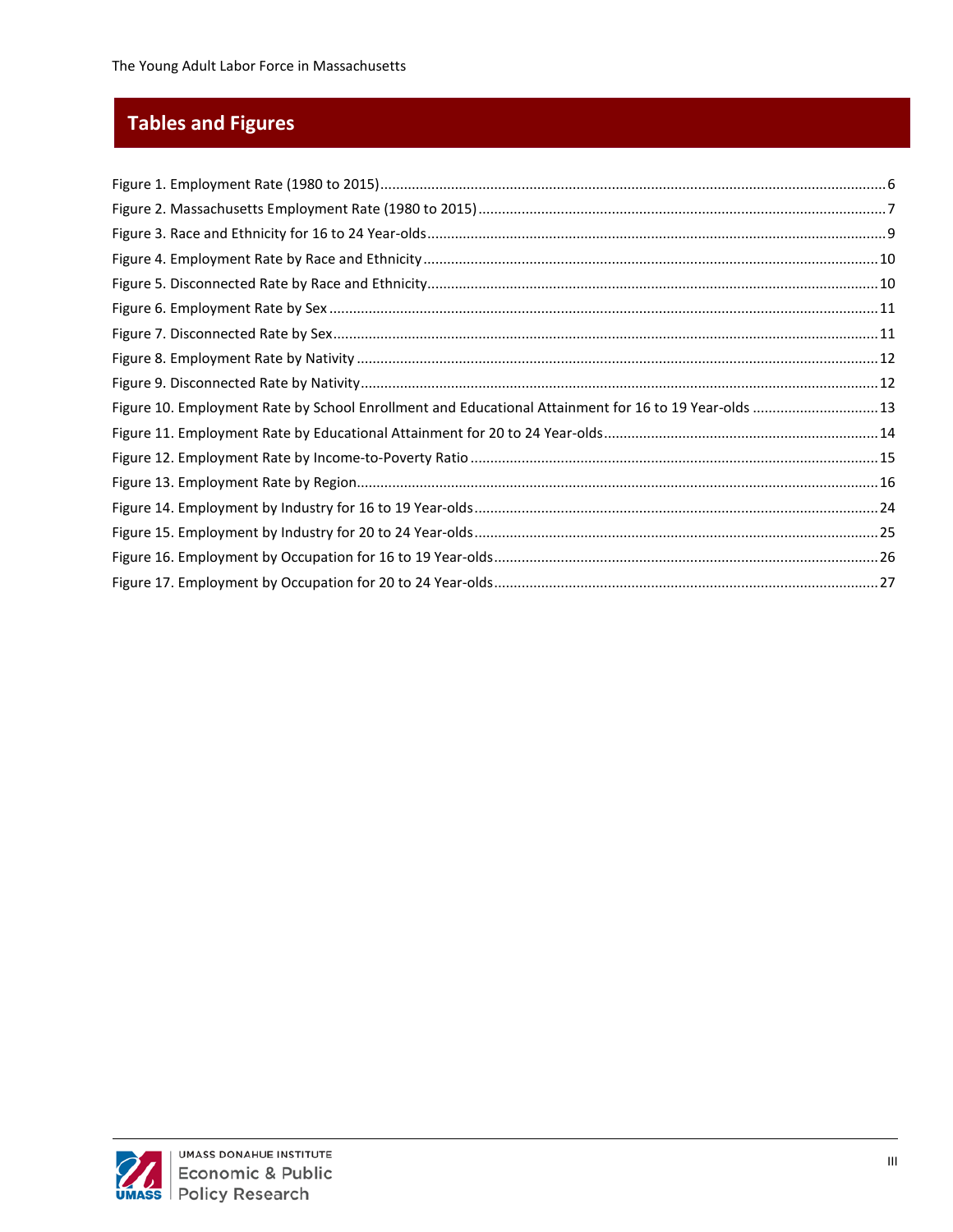# **Tables and Figures**

| Figure 10. Employment Rate by School Enrollment and Educational Attainment for 16 to 19 Year-olds  13 |  |
|-------------------------------------------------------------------------------------------------------|--|
|                                                                                                       |  |
|                                                                                                       |  |
|                                                                                                       |  |
|                                                                                                       |  |
|                                                                                                       |  |
|                                                                                                       |  |
|                                                                                                       |  |

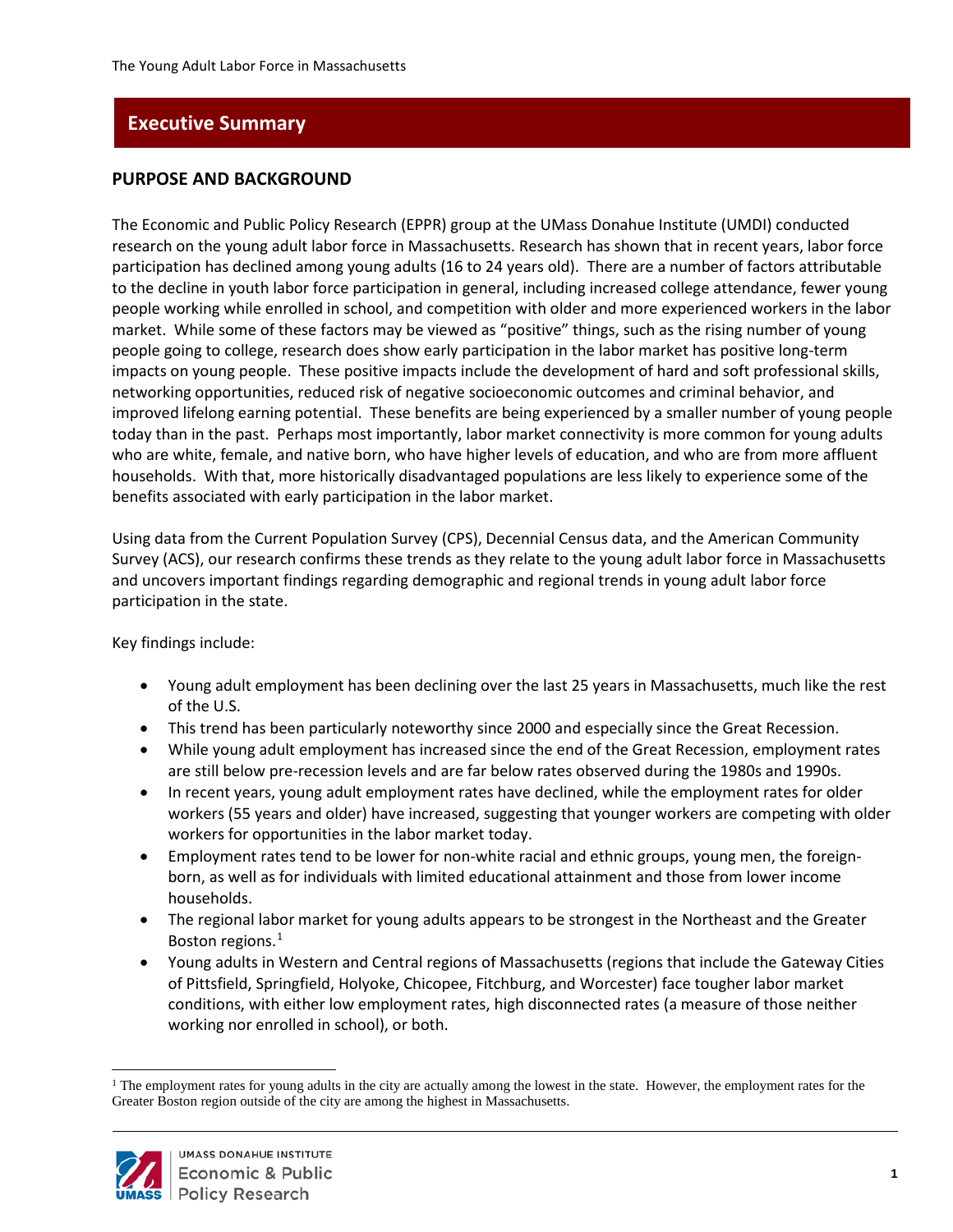# <span id="page-5-0"></span>**Executive Summary**

#### <span id="page-5-1"></span>**PURPOSE AND BACKGROUND**

The Economic and Public Policy Research (EPPR) group at the UMass Donahue Institute (UMDI) conducted research on the young adult labor force in Massachusetts. Research has shown that in recent years, labor force participation has declined among young adults (16 to 24 years old). There are a number of factors attributable to the decline in youth labor force participation in general, including increased college attendance, fewer young people working while enrolled in school, and competition with older and more experienced workers in the labor market. While some of these factors may be viewed as "positive" things, such as the rising number of young people going to college, research does show early participation in the labor market has positive long-term impacts on young people. These positive impacts include the development of hard and soft professional skills, networking opportunities, reduced risk of negative socioeconomic outcomes and criminal behavior, and improved lifelong earning potential. These benefits are being experienced by a smaller number of young people today than in the past. Perhaps most importantly, labor market connectivity is more common for young adults who are white, female, and native born, who have higher levels of education, and who are from more affluent households. With that, more historically disadvantaged populations are less likely to experience some of the benefits associated with early participation in the labor market.

Using data from the Current Population Survey (CPS), Decennial Census data, and the American Community Survey (ACS), our research confirms these trends as they relate to the young adult labor force in Massachusetts and uncovers important findings regarding demographic and regional trends in young adult labor force participation in the state.

Key findings include:

- Young adult employment has been declining over the last 25 years in Massachusetts, much like the rest of the U.S.
- This trend has been particularly noteworthy since 2000 and especially since the Great Recession.
- While young adult employment has increased since the end of the Great Recession, employment rates are still below pre-recession levels and are far below rates observed during the 1980s and 1990s.
- In recent years, young adult employment rates have declined, while the employment rates for older workers (55 years and older) have increased, suggesting that younger workers are competing with older workers for opportunities in the labor market today.
- Employment rates tend to be lower for non-white racial and ethnic groups, young men, the foreignborn, as well as for individuals with limited educational attainment and those from lower income households.
- The regional labor market for young adults appears to be strongest in the Northeast and the Greater Boston regions.<sup>[1](#page-5-2)</sup>
- Young adults in Western and Central regions of Massachusetts (regions that include the Gateway Cities of Pittsfield, Springfield, Holyoke, Chicopee, Fitchburg, and Worcester) face tougher labor market conditions, with either low employment rates, high disconnected rates (a measure of those neither working nor enrolled in school), or both.

<span id="page-5-2"></span><sup>&</sup>lt;sup>1</sup> The employment rates for young adults in the city are actually among the lowest in the state. However, the employment rates for the Greater Boston region outside of the city are among the highest in Massachusetts.

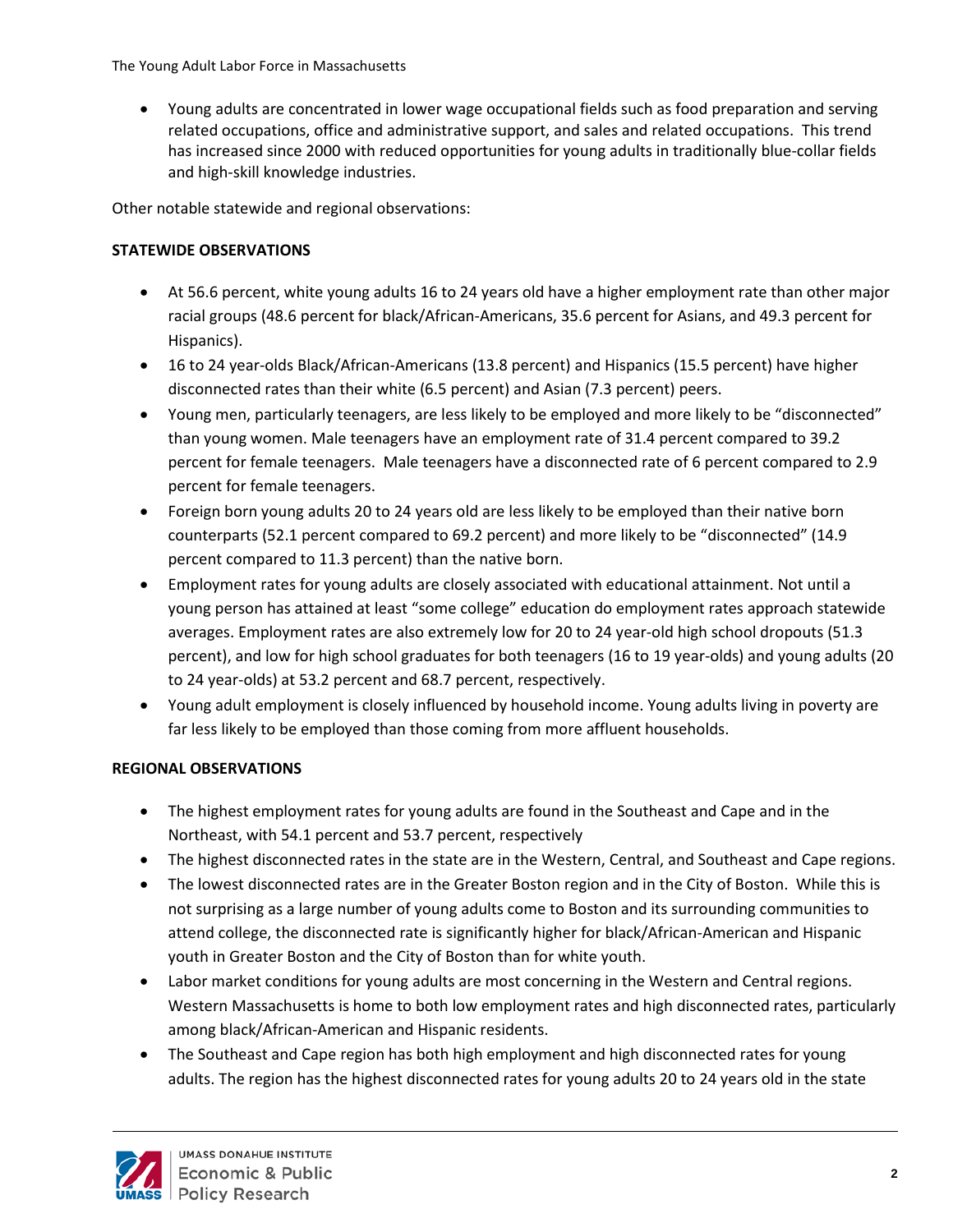• Young adults are concentrated in lower wage occupational fields such as food preparation and serving related occupations, office and administrative support, and sales and related occupations. This trend has increased since 2000 with reduced opportunities for young adults in traditionally blue-collar fields and high-skill knowledge industries.

Other notable statewide and regional observations:

### **STATEWIDE OBSERVATIONS**

- At 56.6 percent, white young adults 16 to 24 years old have a higher employment rate than other major racial groups (48.6 percent for black/African-Americans, 35.6 percent for Asians, and 49.3 percent for Hispanics).
- 16 to 24 year-olds Black/African-Americans (13.8 percent) and Hispanics (15.5 percent) have higher disconnected rates than their white (6.5 percent) and Asian (7.3 percent) peers.
- Young men, particularly teenagers, are less likely to be employed and more likely to be "disconnected" than young women. Male teenagers have an employment rate of 31.4 percent compared to 39.2 percent for female teenagers. Male teenagers have a disconnected rate of 6 percent compared to 2.9 percent for female teenagers.
- Foreign born young adults 20 to 24 years old are less likely to be employed than their native born counterparts (52.1 percent compared to 69.2 percent) and more likely to be "disconnected" (14.9 percent compared to 11.3 percent) than the native born.
- Employment rates for young adults are closely associated with educational attainment. Not until a young person has attained at least "some college" education do employment rates approach statewide averages. Employment rates are also extremely low for 20 to 24 year-old high school dropouts (51.3 percent), and low for high school graduates for both teenagers (16 to 19 year-olds) and young adults (20 to 24 year-olds) at 53.2 percent and 68.7 percent, respectively.
- Young adult employment is closely influenced by household income. Young adults living in poverty are far less likely to be employed than those coming from more affluent households.

## **REGIONAL OBSERVATIONS**

- The highest employment rates for young adults are found in the Southeast and Cape and in the Northeast, with 54.1 percent and 53.7 percent, respectively
- The highest disconnected rates in the state are in the Western, Central, and Southeast and Cape regions.
- The lowest disconnected rates are in the Greater Boston region and in the City of Boston. While this is not surprising as a large number of young adults come to Boston and its surrounding communities to attend college, the disconnected rate is significantly higher for black/African-American and Hispanic youth in Greater Boston and the City of Boston than for white youth.
- Labor market conditions for young adults are most concerning in the Western and Central regions. Western Massachusetts is home to both low employment rates and high disconnected rates, particularly among black/African-American and Hispanic residents.
- The Southeast and Cape region has both high employment and high disconnected rates for young adults. The region has the highest disconnected rates for young adults 20 to 24 years old in the state

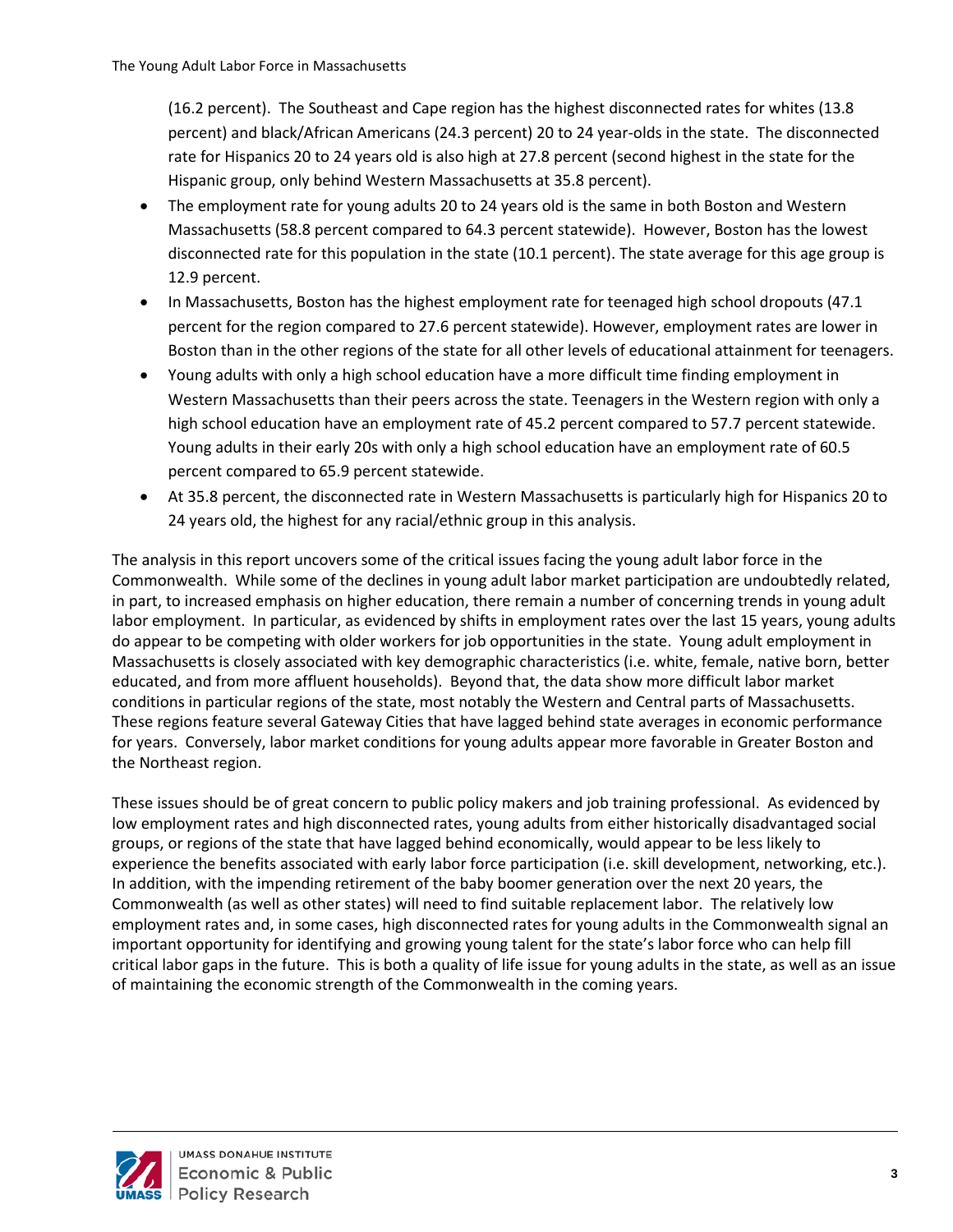(16.2 percent). The Southeast and Cape region has the highest disconnected rates for whites (13.8 percent) and black/African Americans (24.3 percent) 20 to 24 year-olds in the state. The disconnected rate for Hispanics 20 to 24 years old is also high at 27.8 percent (second highest in the state for the Hispanic group, only behind Western Massachusetts at 35.8 percent).

- The employment rate for young adults 20 to 24 years old is the same in both Boston and Western Massachusetts (58.8 percent compared to 64.3 percent statewide). However, Boston has the lowest disconnected rate for this population in the state (10.1 percent). The state average for this age group is 12.9 percent.
- In Massachusetts, Boston has the highest employment rate for teenaged high school dropouts (47.1) percent for the region compared to 27.6 percent statewide). However, employment rates are lower in Boston than in the other regions of the state for all other levels of educational attainment for teenagers.
- Young adults with only a high school education have a more difficult time finding employment in Western Massachusetts than their peers across the state. Teenagers in the Western region with only a high school education have an employment rate of 45.2 percent compared to 57.7 percent statewide. Young adults in their early 20s with only a high school education have an employment rate of 60.5 percent compared to 65.9 percent statewide.
- At 35.8 percent, the disconnected rate in Western Massachusetts is particularly high for Hispanics 20 to 24 years old, the highest for any racial/ethnic group in this analysis.

The analysis in this report uncovers some of the critical issues facing the young adult labor force in the Commonwealth. While some of the declines in young adult labor market participation are undoubtedly related, in part, to increased emphasis on higher education, there remain a number of concerning trends in young adult labor employment. In particular, as evidenced by shifts in employment rates over the last 15 years, young adults do appear to be competing with older workers for job opportunities in the state. Young adult employment in Massachusetts is closely associated with key demographic characteristics (i.e. white, female, native born, better educated, and from more affluent households). Beyond that, the data show more difficult labor market conditions in particular regions of the state, most notably the Western and Central parts of Massachusetts. These regions feature several Gateway Cities that have lagged behind state averages in economic performance for years. Conversely, labor market conditions for young adults appear more favorable in Greater Boston and the Northeast region.

These issues should be of great concern to public policy makers and job training professional. As evidenced by low employment rates and high disconnected rates, young adults from either historically disadvantaged social groups, or regions of the state that have lagged behind economically, would appear to be less likely to experience the benefits associated with early labor force participation (i.e. skill development, networking, etc.). In addition, with the impending retirement of the baby boomer generation over the next 20 years, the Commonwealth (as well as other states) will need to find suitable replacement labor. The relatively low employment rates and, in some cases, high disconnected rates for young adults in the Commonwealth signal an important opportunity for identifying and growing young talent for the state's labor force who can help fill critical labor gaps in the future. This is both a quality of life issue for young adults in the state, as well as an issue of maintaining the economic strength of the Commonwealth in the coming years.

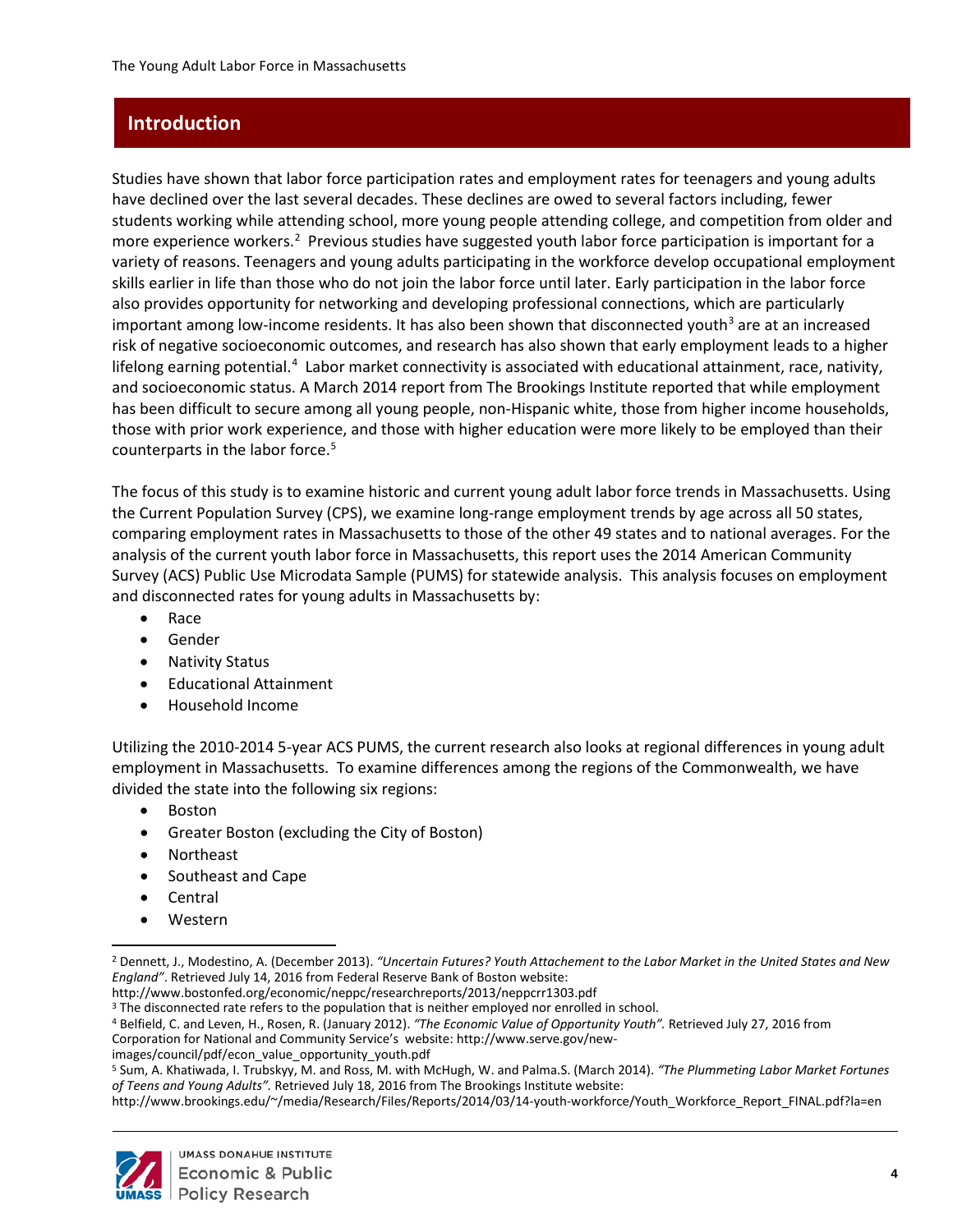# <span id="page-8-0"></span>**Introduction**

Studies have shown that labor force participation rates and employment rates for teenagers and young adults have declined over the last several decades. These declines are owed to several factors including, fewer students working while attending school, more young people attending college, and competition from older and more experience workers.<sup>2</sup> Previous studies have suggested youth labor force participation is important for a variety of reasons. Teenagers and young adults participating in the workforce develop occupational employment skills earlier in life than those who do not join the labor force until later. Early participation in the labor force also provides opportunity for networking and developing professional connections, which are particularly important among low-income residents. It has also been shown that disconnected youth<sup>[3](#page-8-2)</sup> are at an increased risk of negative socioeconomic outcomes, and research has also shown that early employment leads to a higher lifelong earning potential.<sup>[4](#page-8-3)</sup> Labor market connectivity is associated with educational attainment, race, nativity, and socioeconomic status. A March 2014 report from The Brookings Institute reported that while employment has been difficult to secure among all young people, non-Hispanic white, those from higher income households, those with prior work experience, and those with higher education were more likely to be employed than their counterparts in the labor force.<sup>[5](#page-8-4)</sup>

The focus of this study is to examine historic and current young adult labor force trends in Massachusetts. Using the Current Population Survey (CPS), we examine long-range employment trends by age across all 50 states, comparing employment rates in Massachusetts to those of the other 49 states and to national averages. For the analysis of the current youth labor force in Massachusetts, this report uses the 2014 American Community Survey (ACS) Public Use Microdata Sample (PUMS) for statewide analysis. This analysis focuses on employment and disconnected rates for young adults in Massachusetts by:

- Race
- Gender
- Nativity Status
- Educational Attainment
- Household Income

Utilizing the 2010-2014 5-year ACS PUMS, the current research also looks at regional differences in young adult employment in Massachusetts. To examine differences among the regions of the Commonwealth, we have divided the state into the following six regions:

- Boston
- Greater Boston (excluding the City of Boston)
- Northeast
- Southeast and Cape
- Central
- Western

http://www.bostonfed.org/economic/neppc/researchreports/2013/neppcrr1303.pdf

<span id="page-8-2"></span><sup>3</sup> The disconnected rate refers to the population that is neither employed nor enrolled in school.

<span id="page-8-3"></span><sup>4</sup> Belfield, C. and Leven, H., Rosen, R. (January 2012). *"The Economic Value of Opportunity Youth".* Retrieved July 27, 2016 from

Corporation for National and Community Service's website: http://www.serve.gov/newimages/council/pdf/econ\_value\_opportunity\_youth.pdf

<span id="page-8-4"></span><sup>5</sup> Sum, A. Khatiwada, I. Trubskyy, M. and Ross, M. with McHugh, W. and Palma.S. (March 2014). *"The Plummeting Labor Market Fortunes of Teens and Young Adults".* Retrieved July 18, 2016 from The Brookings Institute website:

http://www.brookings.edu/~/media/Research/Files/Reports/2014/03/14-youth-workforce/Youth\_Workforce\_Report\_FINAL.pdf?la=en



 $\overline{a}$ 

<span id="page-8-1"></span><sup>2</sup> Dennett, J., Modestino, A. (December 2013). *"Uncertain Futures? Youth Attachement to the Labor Market in the United States and New England"*. Retrieved July 14, 2016 from Federal Reserve Bank of Boston website: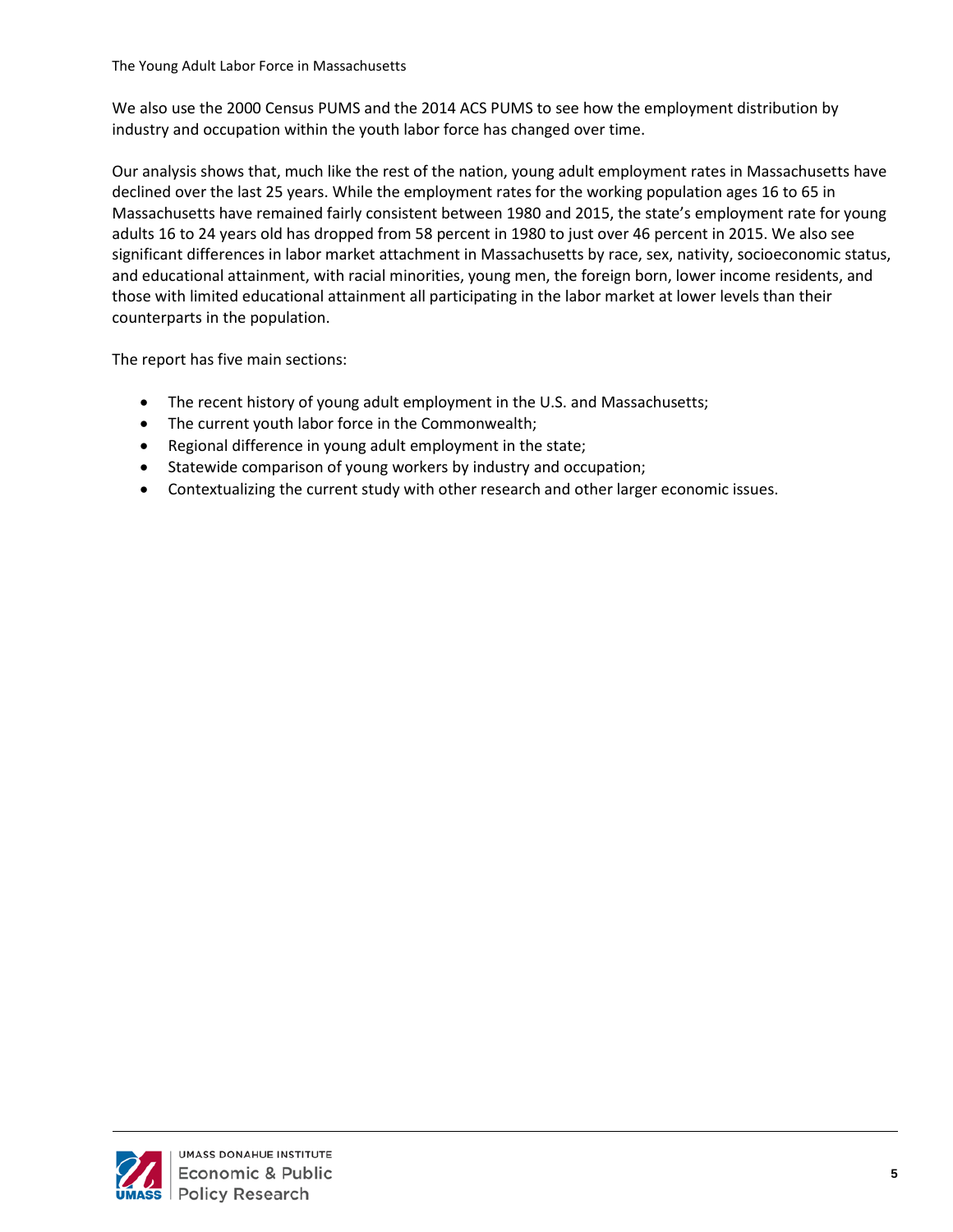We also use the 2000 Census PUMS and the 2014 ACS PUMS to see how the employment distribution by industry and occupation within the youth labor force has changed over time.

Our analysis shows that, much like the rest of the nation, young adult employment rates in Massachusetts have declined over the last 25 years. While the employment rates for the working population ages 16 to 65 in Massachusetts have remained fairly consistent between 1980 and 2015, the state's employment rate for young adults 16 to 24 years old has dropped from 58 percent in 1980 to just over 46 percent in 2015. We also see significant differences in labor market attachment in Massachusetts by race, sex, nativity, socioeconomic status, and educational attainment, with racial minorities, young men, the foreign born, lower income residents, and those with limited educational attainment all participating in the labor market at lower levels than their counterparts in the population.

The report has five main sections:

- The recent history of young adult employment in the U.S. and Massachusetts;
- The current youth labor force in the Commonwealth;
- Regional difference in young adult employment in the state;
- Statewide comparison of young workers by industry and occupation;
- Contextualizing the current study with other research and other larger economic issues.

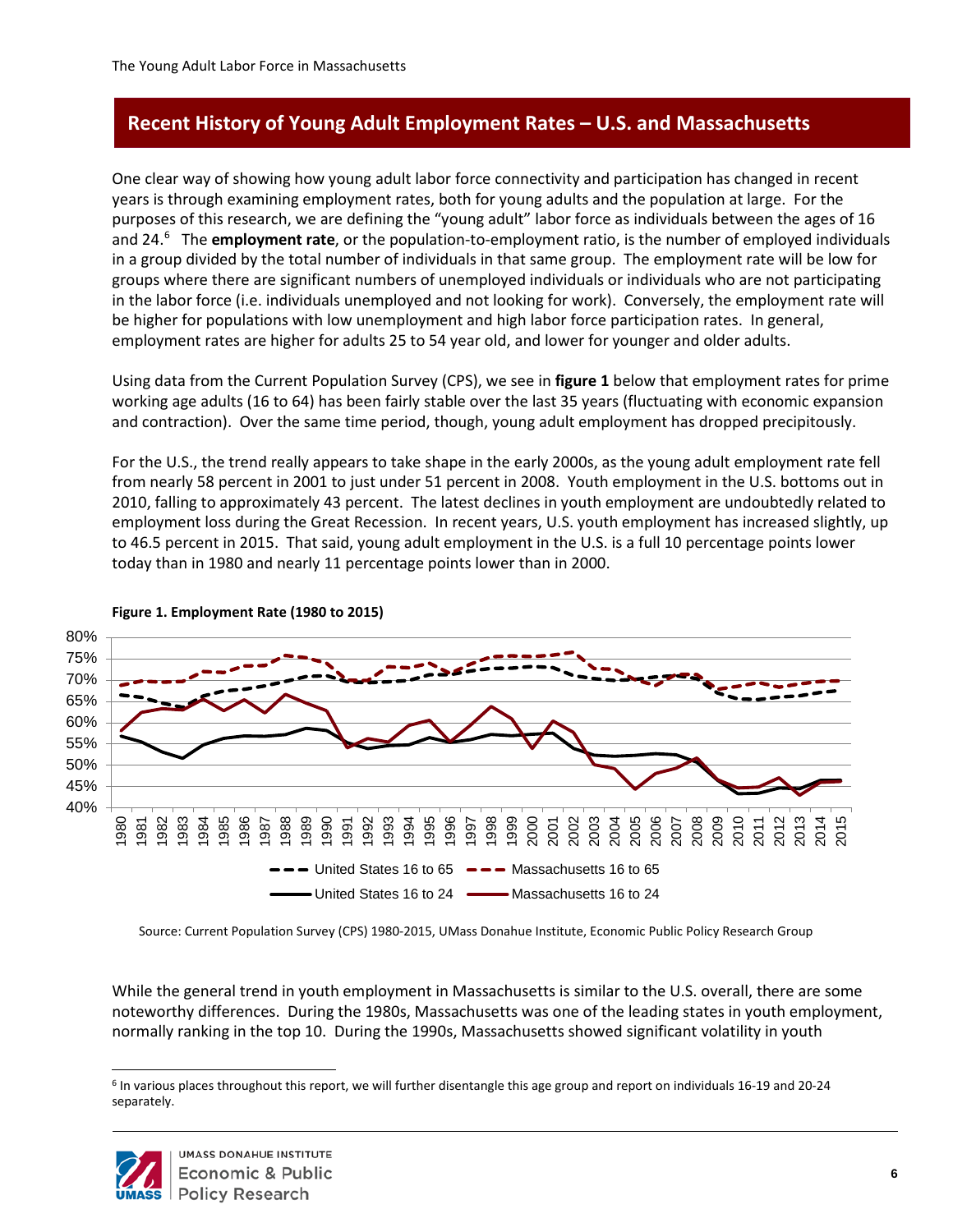# <span id="page-10-0"></span>**Recent History of Young Adult Employment Rates – U.S. and Massachusetts**

One clear way of showing how young adult labor force connectivity and participation has changed in recent years is through examining employment rates, both for young adults and the population at large. For the purposes of this research, we are defining the "young adult" labor force as individuals between the ages of 16 and 24.[6](#page-10-1) The **employment rate**, or the population-to-employment ratio, is the number of employed individuals in a group divided by the total number of individuals in that same group. The employment rate will be low for groups where there are significant numbers of unemployed individuals or individuals who are not participating in the labor force (i.e. individuals unemployed and not looking for work). Conversely, the employment rate will be higher for populations with low unemployment and high labor force participation rates. In general, employment rates are higher for adults 25 to 54 year old, and lower for younger and older adults.

Using data from the Current Population Survey (CPS), we see in **figure 1** below that employment rates for prime working age adults (16 to 64) has been fairly stable over the last 35 years (fluctuating with economic expansion and contraction). Over the same time period, though, young adult employment has dropped precipitously.

For the U.S., the trend really appears to take shape in the early 2000s, as the young adult employment rate fell from nearly 58 percent in 2001 to just under 51 percent in 2008. Youth employment in the U.S. bottoms out in 2010, falling to approximately 43 percent. The latest declines in youth employment are undoubtedly related to employment loss during the Great Recession. In recent years, U.S. youth employment has increased slightly, up to 46.5 percent in 2015. That said, young adult employment in the U.S. is a full 10 percentage points lower today than in 1980 and nearly 11 percentage points lower than in 2000.



#### **Figure 1: Employment Rate (1980 to 2015) Figure 1. Employment Rate (1980 to 2015)**

Source: Current Population Survey (CPS) 1980-2015, UMass Donahue Institute, Economic Public Policy Research Group

While the general trend in youth employment in Massachusetts is similar to the U.S. overall, there are some noteworthy differences. During the 1980s, Massachusetts was one of the leading states in youth employment, normally ranking in the top 10. During the 1990s, Massachusetts showed significant volatility in youth

<span id="page-10-1"></span><sup>6</sup> In various places throughout this report, we will further disentangle this age group and report on individuals 16-19 and 20-24 separately.



 $\overline{a}$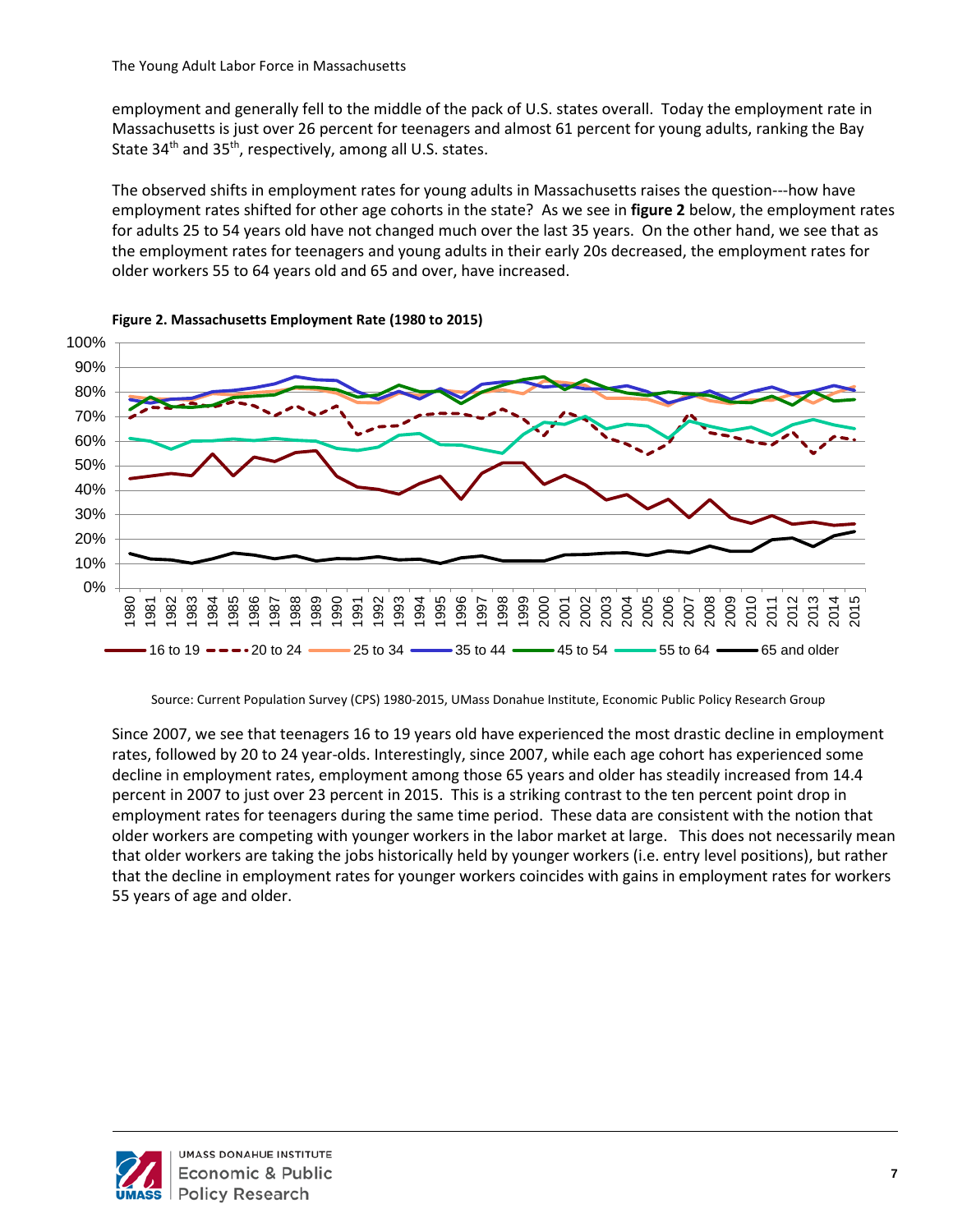employment and generally fell to the middle of the pack of U.S. states overall. Today the employment rate in Massachusetts is just over 26 percent for teenagers and almost 61 percent for young adults, ranking the Bay State 34<sup>th</sup> and 35<sup>th</sup>, respectively, among all U.S. states.

The observed shifts in employment rates for young adults in Massachusetts raises the question---how have employment rates shifted for other age cohorts in the state? As we see in **figure 2** below, the employment rates for adults 25 to 54 years old have not changed much over the last 35 years. On the other hand, we see that as the employment rates for teenagers and young adults in their early 20s decreased, the employment rates for older workers 55 to 64 years old and 65 and over, have increased.





Source: Current Population Survey (CPS) 1980-2015, UMass Donahue Institute, Economic Public Policy Research Group

Since 2007, we see that teenagers 16 to 19 years old have experienced the most drastic decline in employment rates, followed by 20 to 24 year-olds. Interestingly, since 2007, while each age cohort has experienced some decline in employment rates, employment among those 65 years and older has steadily increased from 14.4 percent in 2007 to just over 23 percent in 2015. This is a striking contrast to the ten percent point drop in employment rates for teenagers during the same time period. These data are consistent with the notion that older workers are competing with younger workers in the labor market at large. This does not necessarily mean that older workers are taking the jobs historically held by younger workers (i.e. entry level positions), but rather that the decline in employment rates for younger workers coincides with gains in employment rates for workers 55 years of age and older.

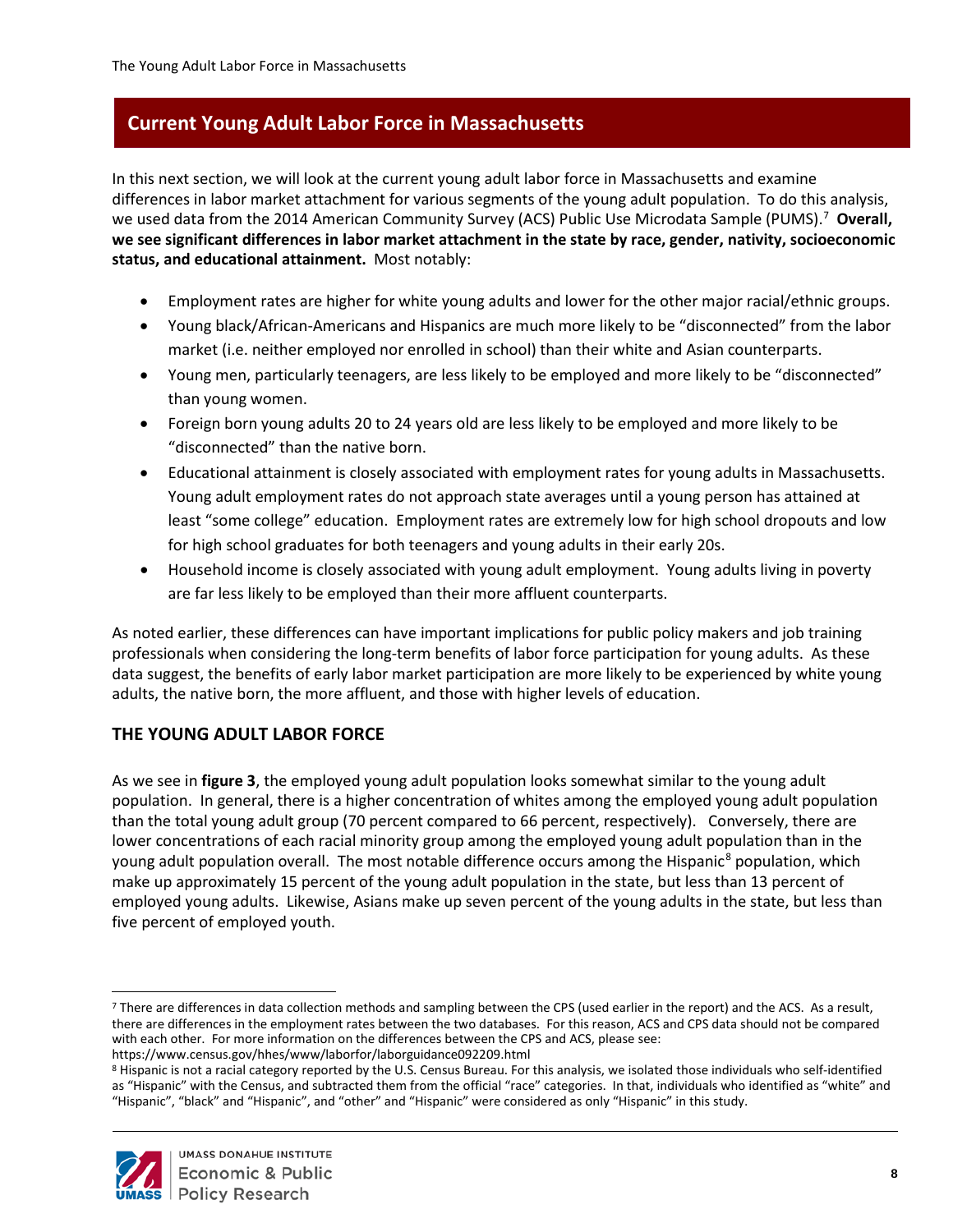<span id="page-12-0"></span>In this next section, we will look at the current young adult labor force in Massachusetts and examine differences in labor market attachment for various segments of the young adult population. To do this analysis, we used data from the 2014 American Community Survey (ACS) Public Use Microdata Sample (PUMS).<sup>[7](#page-12-2)</sup> Overall, **we see significant differences in labor market attachment in the state by race, gender, nativity, socioeconomic status, and educational attainment.** Most notably:

- Employment rates are higher for white young adults and lower for the other major racial/ethnic groups.
- Young black/African-Americans and Hispanics are much more likely to be "disconnected" from the labor market (i.e. neither employed nor enrolled in school) than their white and Asian counterparts.
- Young men, particularly teenagers, are less likely to be employed and more likely to be "disconnected" than young women.
- Foreign born young adults 20 to 24 years old are less likely to be employed and more likely to be "disconnected" than the native born.
- Educational attainment is closely associated with employment rates for young adults in Massachusetts. Young adult employment rates do not approach state averages until a young person has attained at least "some college" education. Employment rates are extremely low for high school dropouts and low for high school graduates for both teenagers and young adults in their early 20s.
- Household income is closely associated with young adult employment. Young adults living in poverty are far less likely to be employed than their more affluent counterparts.

As noted earlier, these differences can have important implications for public policy makers and job training professionals when considering the long-term benefits of labor force participation for young adults. As these data suggest, the benefits of early labor market participation are more likely to be experienced by white young adults, the native born, the more affluent, and those with higher levels of education.

## <span id="page-12-1"></span>**THE YOUNG ADULT LABOR FORCE**

As we see in **figure 3**, the employed young adult population looks somewhat similar to the young adult population. In general, there is a higher concentration of whites among the employed young adult population than the total young adult group (70 percent compared to 66 percent, respectively). Conversely, there are lower concentrations of each racial minority group among the employed young adult population than in the young adult population overall. The most notable difference occurs among the Hispanic<sup>[8](#page-12-3)</sup> population, which make up approximately 15 percent of the young adult population in the state, but less than 13 percent of employed young adults. Likewise, Asians make up seven percent of the young adults in the state, but less than five percent of employed youth.

<span id="page-12-3"></span><sup>8</sup> Hispanic is not a racial category reported by the U.S. Census Bureau. For this analysis, we isolated those individuals who self-identified as "Hispanic" with the Census, and subtracted them from the official "race" categories. In that, individuals who identified as "white" and "Hispanic", "black" and "Hispanic", and "other" and "Hispanic" were considered as only "Hispanic" in this study.



<span id="page-12-2"></span> $\overline{a}$ <sup>7</sup> There are differences in data collection methods and sampling between the CPS (used earlier in the report) and the ACS. As a result, there are differences in the employment rates between the two databases. For this reason, ACS and CPS data should not be compared with each other. For more information on the differences between the CPS and ACS, please see:

https://www.census.gov/hhes/www/laborfor/laborguidance092209.html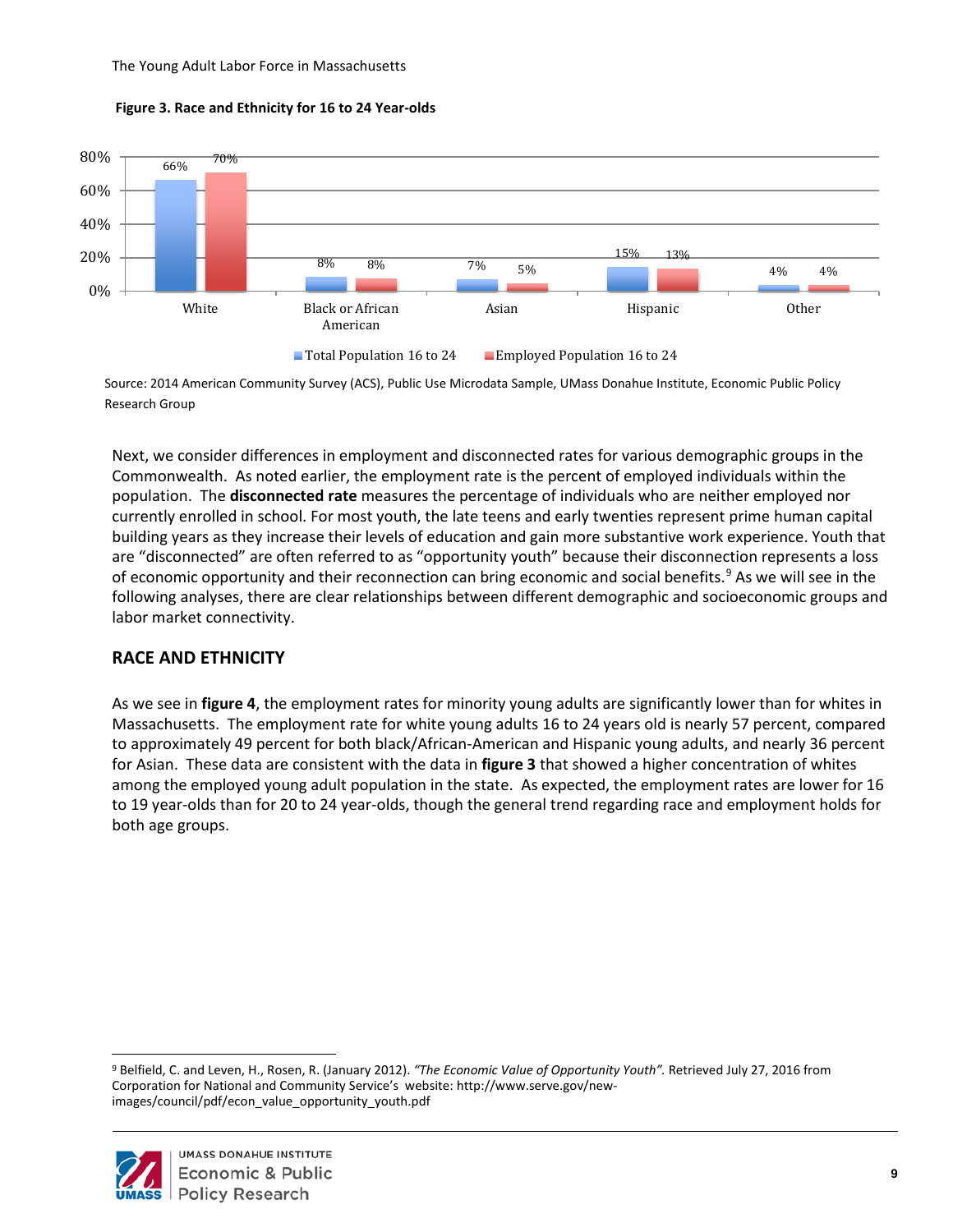



Source: 2014 American Community Survey (ACS), Public Use Microdata Sample, UMass Donahue Institute, Economic Public Policy Research Group

Next, we consider differences in employment and disconnected rates for various demographic groups in the Commonwealth. As noted earlier, the employment rate is the percent of employed individuals within the population. The **disconnected rate** measures the percentage of individuals who are neither employed nor currently enrolled in school. For most youth, the late teens and early twenties represent prime human capital building years as they increase their levels of education and gain more substantive work experience. Youth that are "disconnected" are often referred to as "opportunity youth" because their disconnection represents a loss of economic opportunity and their reconnection can bring economic and social benefits.<sup>[9](#page-13-1)</sup> As we will see in the following analyses, there are clear relationships between different demographic and socioeconomic groups and labor market connectivity.

#### <span id="page-13-0"></span>**RACE AND ETHNICITY**

As we see in **figure 4**, the employment rates for minority young adults are significantly lower than for whites in Massachusetts. The employment rate for white young adults 16 to 24 years old is nearly 57 percent, compared to approximately 49 percent for both black/African-American and Hispanic young adults, and nearly 36 percent for Asian. These data are consistent with the data in **figure 3** that showed a higher concentration of whites among the employed young adult population in the state. As expected, the employment rates are lower for 16 to 19 year-olds than for 20 to 24 year-olds, though the general trend regarding race and employment holds for both age groups.

<span id="page-13-1"></span> $\overline{a}$ <sup>9</sup> Belfield, C. and Leven, H., Rosen, R. (January 2012). *"The Economic Value of Opportunity Youth".* Retrieved July 27, 2016 from Corporation for National and Community Service's website: http://www.serve.gov/newimages/council/pdf/econ\_value\_opportunity\_youth.pdf

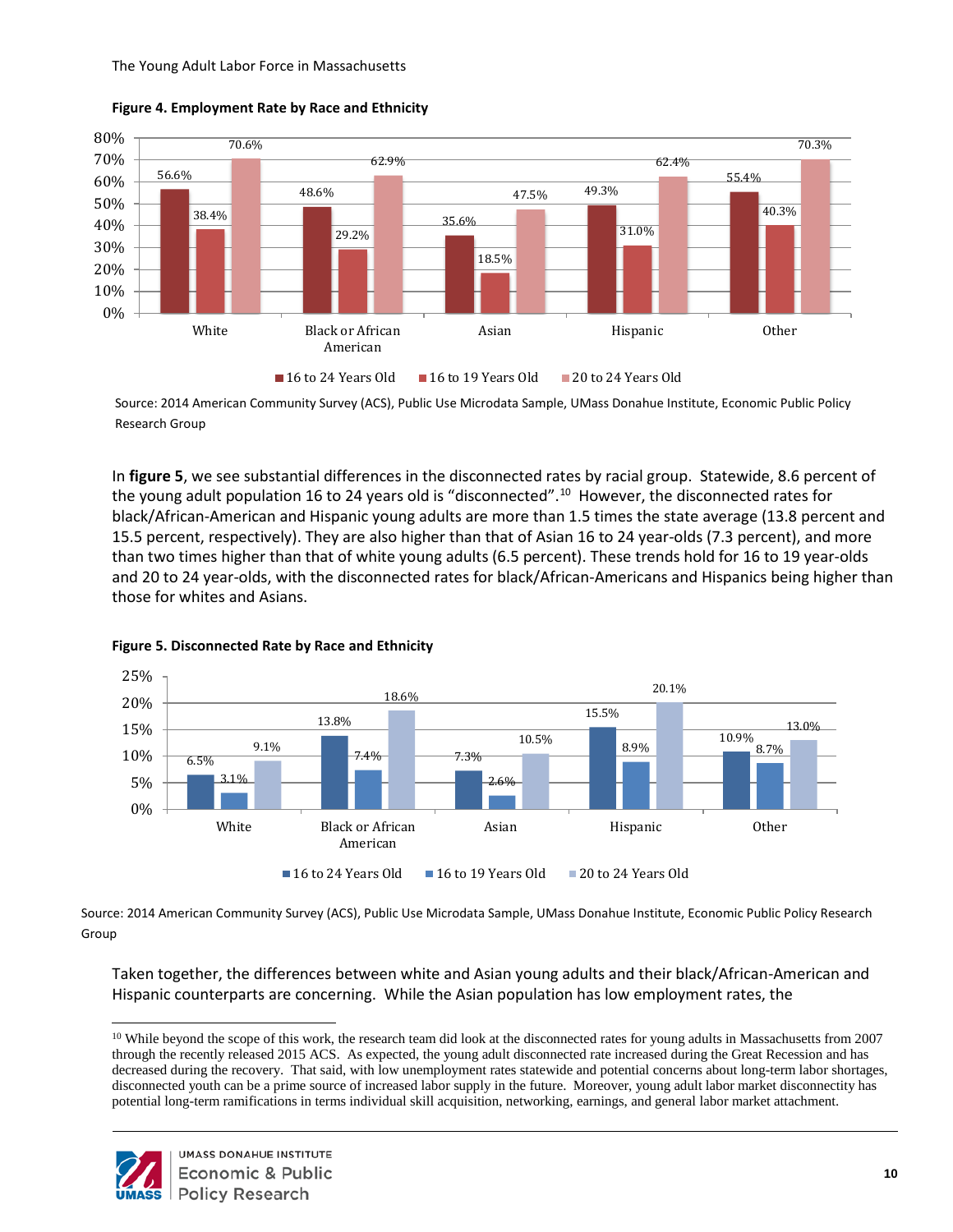



Source: 2014 American Community Survey (ACS), Public Use Microdata Sample, UMass Donahue Institute, Economic Public Policy Research Group

In **figure 5**, we see substantial differences in the disconnected rates by racial group. Statewide, 8.6 percent of the young adult population 16 to 24 years old is "disconnected".<sup>10</sup> However, the disconnected rates for black/African-American and Hispanic young adults are more than 1.5 times the state average (13.8 percent and 15.5 percent, respectively). They are also higher than that of Asian 16 to 24 year-olds (7.3 percent), and more than two times higher than that of white young adults (6.5 percent). These trends hold for 16 to 19 year-olds and 20 to 24 year-olds, with the disconnected rates for black/African-Americans and Hispanics being higher than those for whites and Asians.



#### **Figure 5. Disconnected Rate by Race and Ethnicity**

Source: 2014 American Community Survey (ACS), Public Use Microdata Sample, UMass Donahue Institute, Economic Public Policy Research Group

Taken together, the differences between white and Asian young adults and their black/African-American and Hispanic counterparts are concerning. While the Asian population has low employment rates, the

<span id="page-14-0"></span><sup>&</sup>lt;sup>10</sup> While beyond the scope of this work, the research team did look at the disconnected rates for young adults in Massachusetts from 2007 through the recently released 2015 ACS. As expected, the young adult disconnected rate increased during the Great Recession and has decreased during the recovery. That said, with low unemployment rates statewide and potential concerns about long-term labor shortages, disconnected youth can be a prime source of increased labor supply in the future. Moreover, young adult labor market disconnectity has potential long-term ramifications in terms individual skill acquisition, networking, earnings, and general labor market attachment.

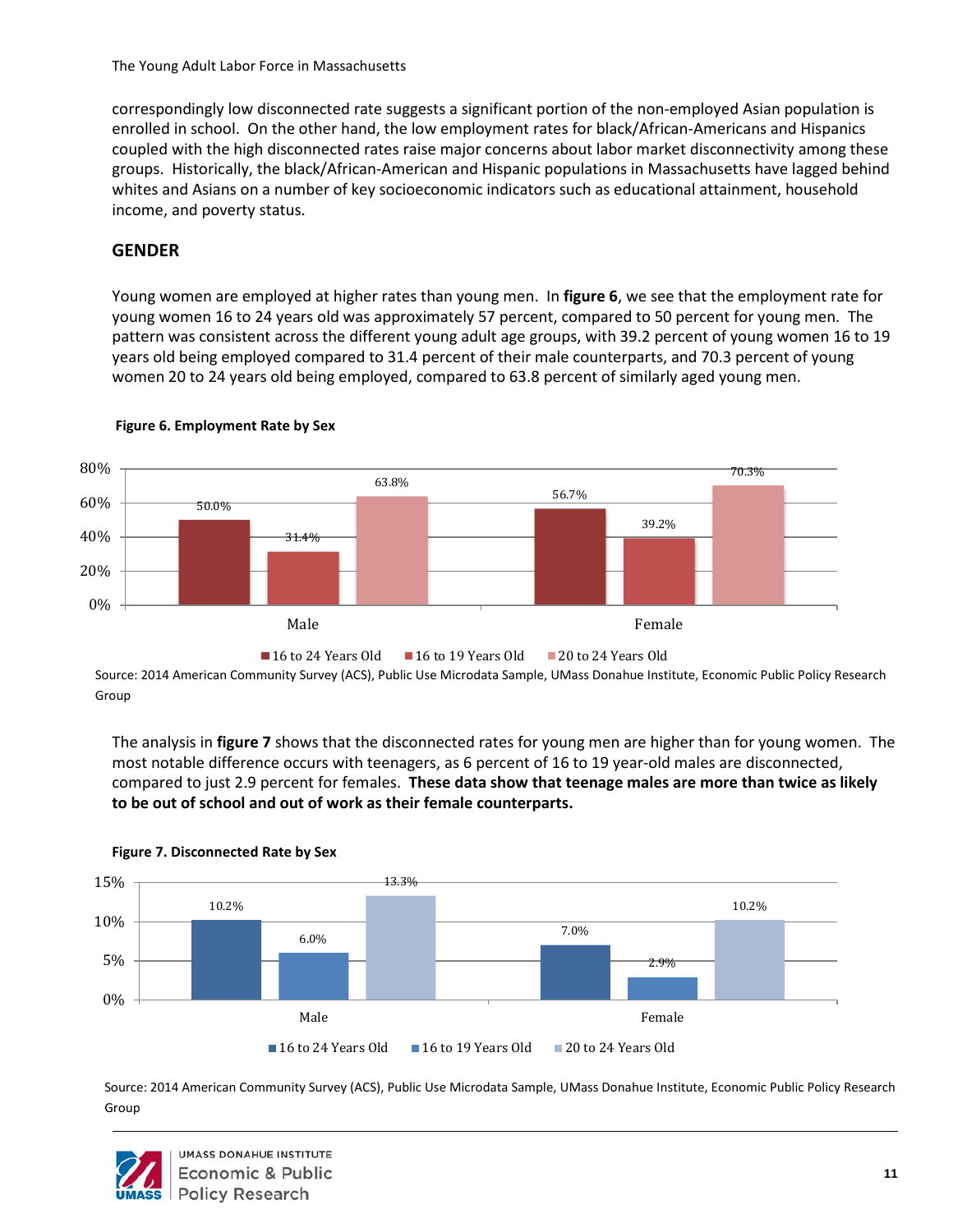correspondingly low disconnected rate suggests a significant portion of the non-employed Asian population is enrolled in school. On the other hand, the low employment rates for black/African-Americans and Hispanics coupled with the high disconnected rates raise major concerns about labor market disconnectivity among these groups. Historically, the black/African-American and Hispanic populations in Massachusetts have lagged behind whites and Asians on a number of key socioeconomic indicators such as educational attainment, household income, and poverty status.

#### <span id="page-15-0"></span>**GENDER**

Young women are employed at higher rates than young men. In **figure 6**, we see that the employment rate for young women 16 to 24 years old was approximately 57 percent, compared to 50 percent for young men. The pattern was consistent across the different young adult age groups, with 39.2 percent of young women 16 to 19 years old being employed compared to 31.4 percent of their male counterparts, and 70.3 percent of young women 20 to 24 years old being employed, compared to 63.8 percent of similarly aged young men.



#### Figure 8: Employment Rate by Sex and Sex and Sex and Sex and Sex and Sex and Sex and Sex and Sex and Sex and Sex and Sex and Sex and Sex and Sex and Sex and Sex and Sex and Sex and Sex and Sex and Sex and Sex and Sex and S **Figure 6. Employment Rate by Sex**

Source: 2014 American Community Survey (ACS), Public Use Microdata Sample, UMass Donahue Institute, Economic Public Policy Research Group

The analysis in **figure 7** shows that the disconnected rates for young men are higher than for young women. The most notable difference occurs with teenagers, as 6 percent of 16 to 19 year-old males are disconnected, compared to just 2.9 percent for females. **These data show that teenage males are more than twice as likely to be out of school and out of work as their female counterparts.**



#### **Figure 7. Disconnected Rate by Sex**

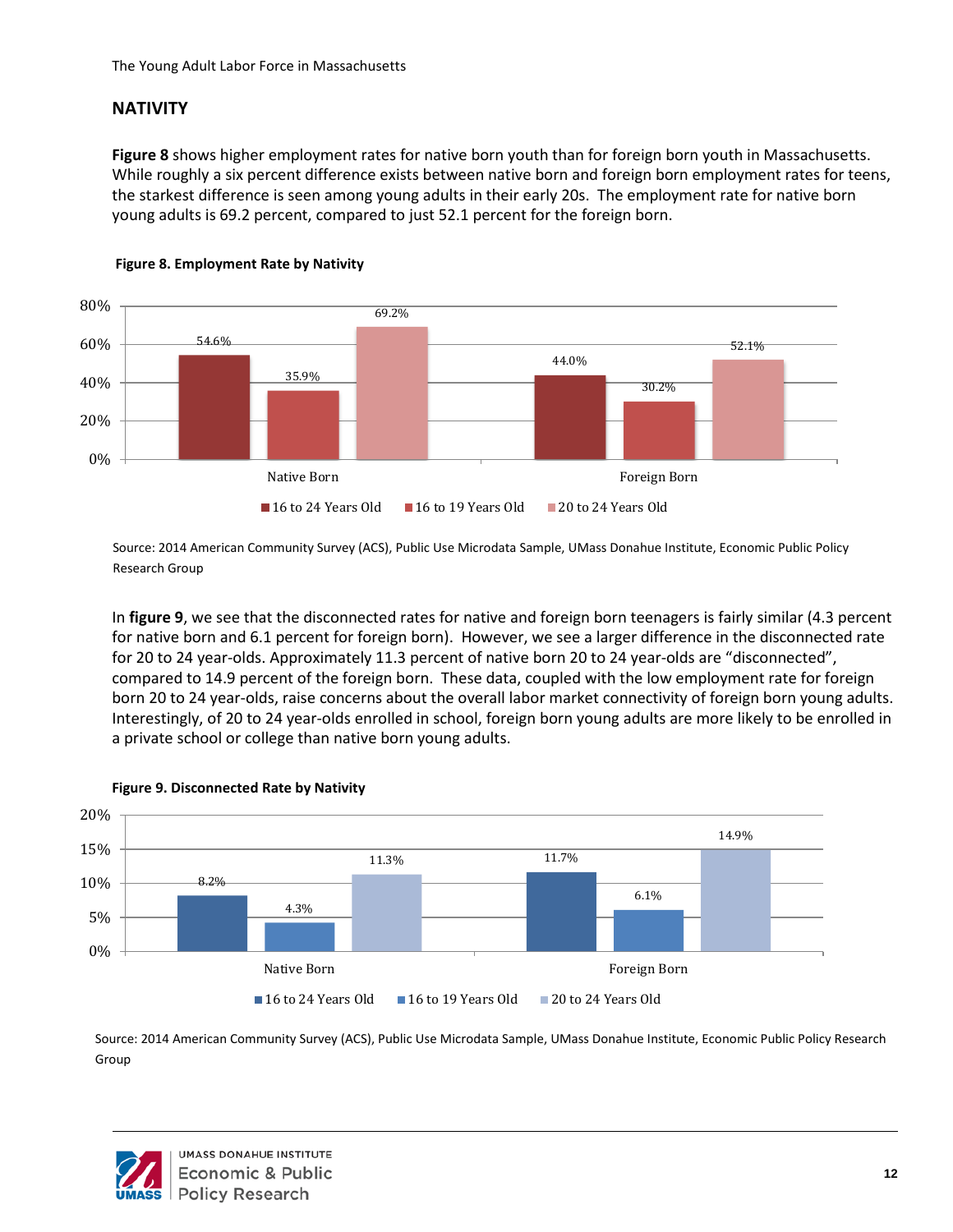## <span id="page-16-0"></span>**NATIVITY**

**Figure 8** shows higher employment rates for native born youth than for foreign born youth in Massachusetts. While roughly a six percent difference exists between native born and foreign born employment rates for teens, the starkest difference is seen among young adults in their early 20s. The employment rate for native born young adults is 69.2 percent, compared to just 52.1 percent for the foreign born.





Source: 2014 American Community Survey (ACS), Public Use Microdata Sample, UMass Donahue Institute, Economic Public Policy Research Group

In **figure 9**, we see that the disconnected rates for native and foreign born teenagers is fairly similar (4.3 percent for native born and 6.1 percent for foreign born). However, we see a larger difference in the disconnected rate for 20 to 24 year-olds. Approximately 11.3 percent of native born 20 to 24 year-olds are "disconnected", compared to 14.9 percent of the foreign born. These data, coupled with the low employment rate for foreign born 20 to 24 year-olds, raise concerns about the overall labor market connectivity of foreign born young adults. Interestingly, of 20 to 24 year-olds enrolled in school, foreign born young adults are more likely to be enrolled in a private school or college than native born young adults.



#### **Figure 9. Disconnected Rate by Nativity**

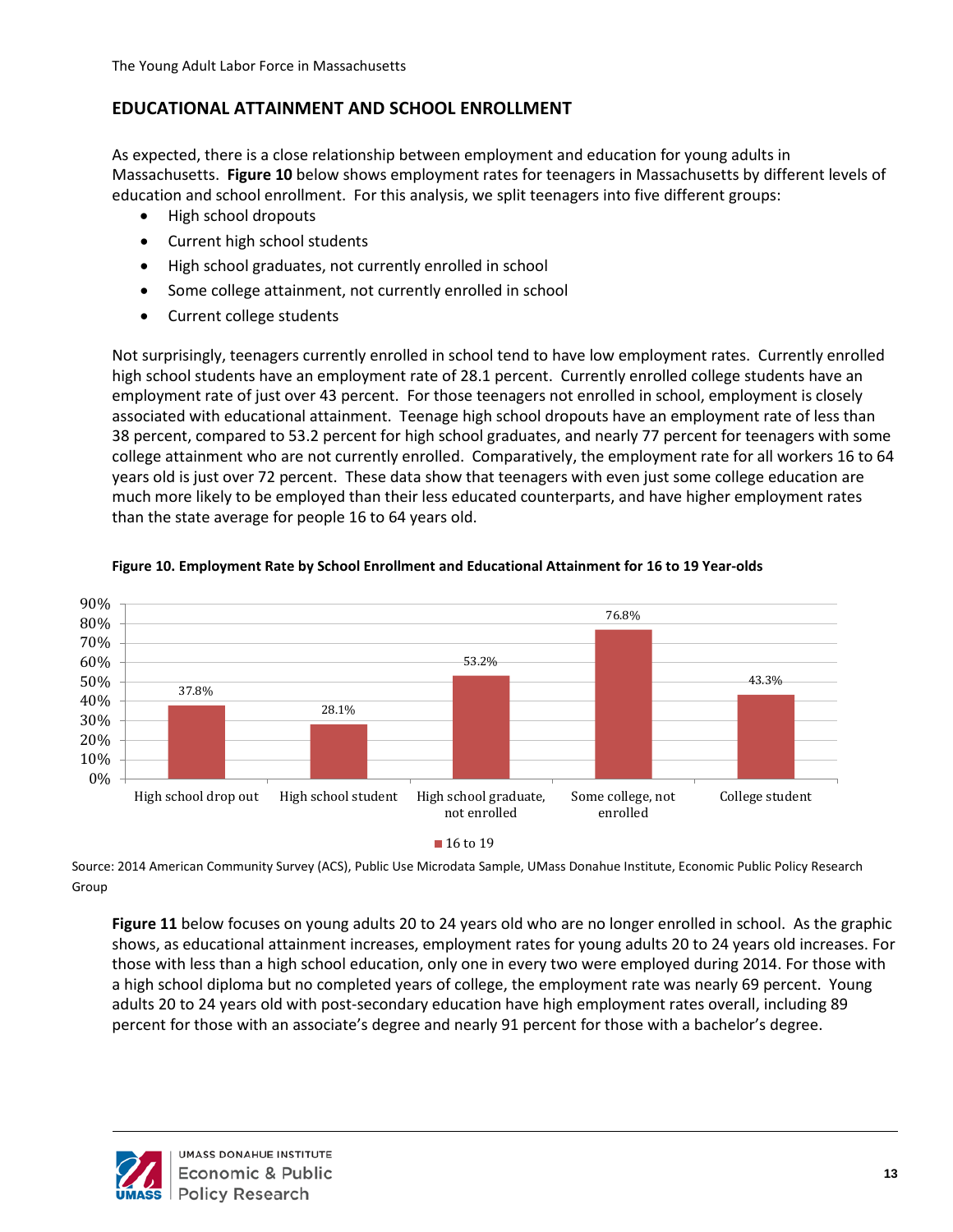### <span id="page-17-0"></span>**EDUCATIONAL ATTAINMENT AND SCHOOL ENROLLMENT**

As expected, there is a close relationship between employment and education for young adults in Massachusetts. **Figure 10** below shows employment rates for teenagers in Massachusetts by different levels of education and school enrollment. For this analysis, we split teenagers into five different groups:

- High school dropouts
- Current high school students
- High school graduates, not currently enrolled in school
- Some college attainment, not currently enrolled in school
- Current college students

Not surprisingly, teenagers currently enrolled in school tend to have low employment rates. Currently enrolled high school students have an employment rate of 28.1 percent. Currently enrolled college students have an employment rate of just over 43 percent. For those teenagers not enrolled in school, employment is closely associated with educational attainment. Teenage high school dropouts have an employment rate of less than 38 percent, compared to 53.2 percent for high school graduates, and nearly 77 percent for teenagers with some college attainment who are not currently enrolled. Comparatively, the employment rate for all workers 16 to 64 years old is just over 72 percent. These data show that teenagers with even just some college education are much more likely to be employed than their less educated counterparts, and have higher employment rates than the state average for people 16 to 64 years old.



#### **Figure 12: Employment Rate by School Enrollment and Figure 10. Employment Rate by School Enrollment and Educational Attainment for 16 to 19 Year-olds Educational Attainment for 16 to 19 Year-olds**

Source: 2014 American Community Survey (ACS), Public Use Microdata Sample, UMass Donahue Institute, Economic Public Policy Research Group

**Figure 11** below focuses on young adults 20 to 24 years old who are no longer enrolled in school. As the graphic shows, as educational attainment increases, employment rates for young adults 20 to 24 years old increases. For those with less than a high school education, only one in every two were employed during 2014. For those with a high school diploma but no completed years of college, the employment rate was nearly 69 percent. Young adults 20 to 24 years old with post-secondary education have high employment rates overall, including 89 percent for those with an associate's degree and nearly 91 percent for those with a bachelor's degree.

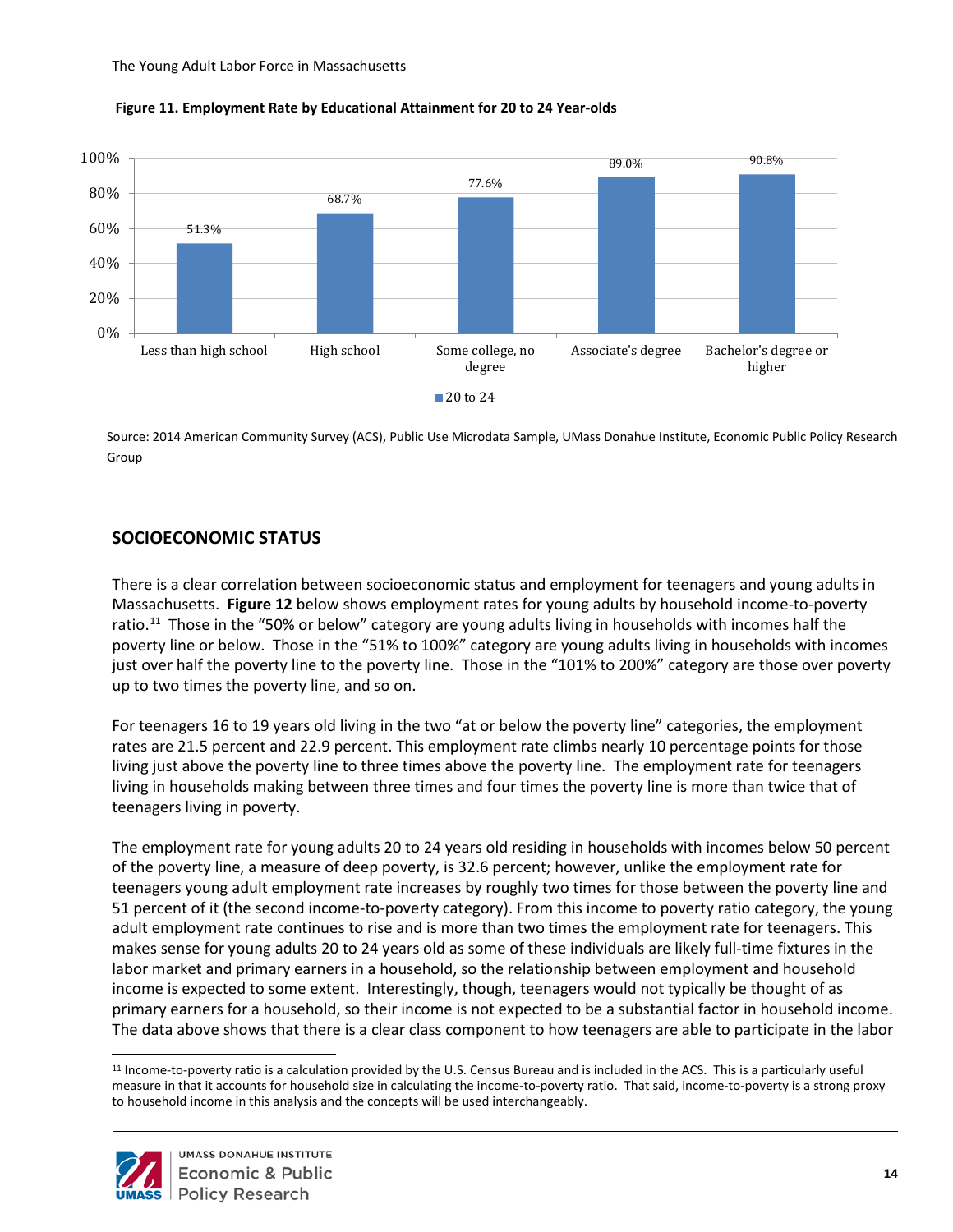



Source: 2014 American Community Survey (ACS), Public Use Microdata Sample, UMass Donahue Institute, Economic Public Policy Research Group

# <span id="page-18-0"></span>**SOCIOECONOMIC STATUS**

There is a clear correlation between socioeconomic status and employment for teenagers and young adults in Massachusetts. **Figure 12** below shows employment rates for young adults by household income-to-poverty ratio.<sup>11</sup> Those in the "50% or below" category are young adults living in households with incomes half the poverty line or below. Those in the "51% to 100%" category are young adults living in households with incomes just over half the poverty line to the poverty line. Those in the "101% to 200%" category are those over poverty up to two times the poverty line, and so on.

For teenagers 16 to 19 years old living in the two "at or below the poverty line" categories, the employment rates are 21.5 percent and 22.9 percent. This employment rate climbs nearly 10 percentage points for those living just above the poverty line to three times above the poverty line. The employment rate for teenagers living in households making between three times and four times the poverty line is more than twice that of teenagers living in poverty.

The employment rate for young adults 20 to 24 years old residing in households with incomes below 50 percent of the poverty line, a measure of deep poverty, is 32.6 percent; however, unlike the employment rate for teenagers young adult employment rate increases by roughly two times for those between the poverty line and 51 percent of it (the second income-to-poverty category). From this income to poverty ratio category, the young adult employment rate continues to rise and is more than two times the employment rate for teenagers. This makes sense for young adults 20 to 24 years old as some of these individuals are likely full-time fixtures in the labor market and primary earners in a household, so the relationship between employment and household income is expected to some extent. Interestingly, though, teenagers would not typically be thought of as primary earners for a household, so their income is not expected to be a substantial factor in household income. The data above shows that there is a clear class component to how teenagers are able to participate in the labor

<span id="page-18-1"></span> $\overline{a}$ <sup>11</sup> Income-to-poverty ratio is a calculation provided by the U.S. Census Bureau and is included in the ACS. This is a particularly useful measure in that it accounts for household size in calculating the income-to-poverty ratio. That said, income-to-poverty is a strong proxy to household income in this analysis and the concepts will be used interchangeably.

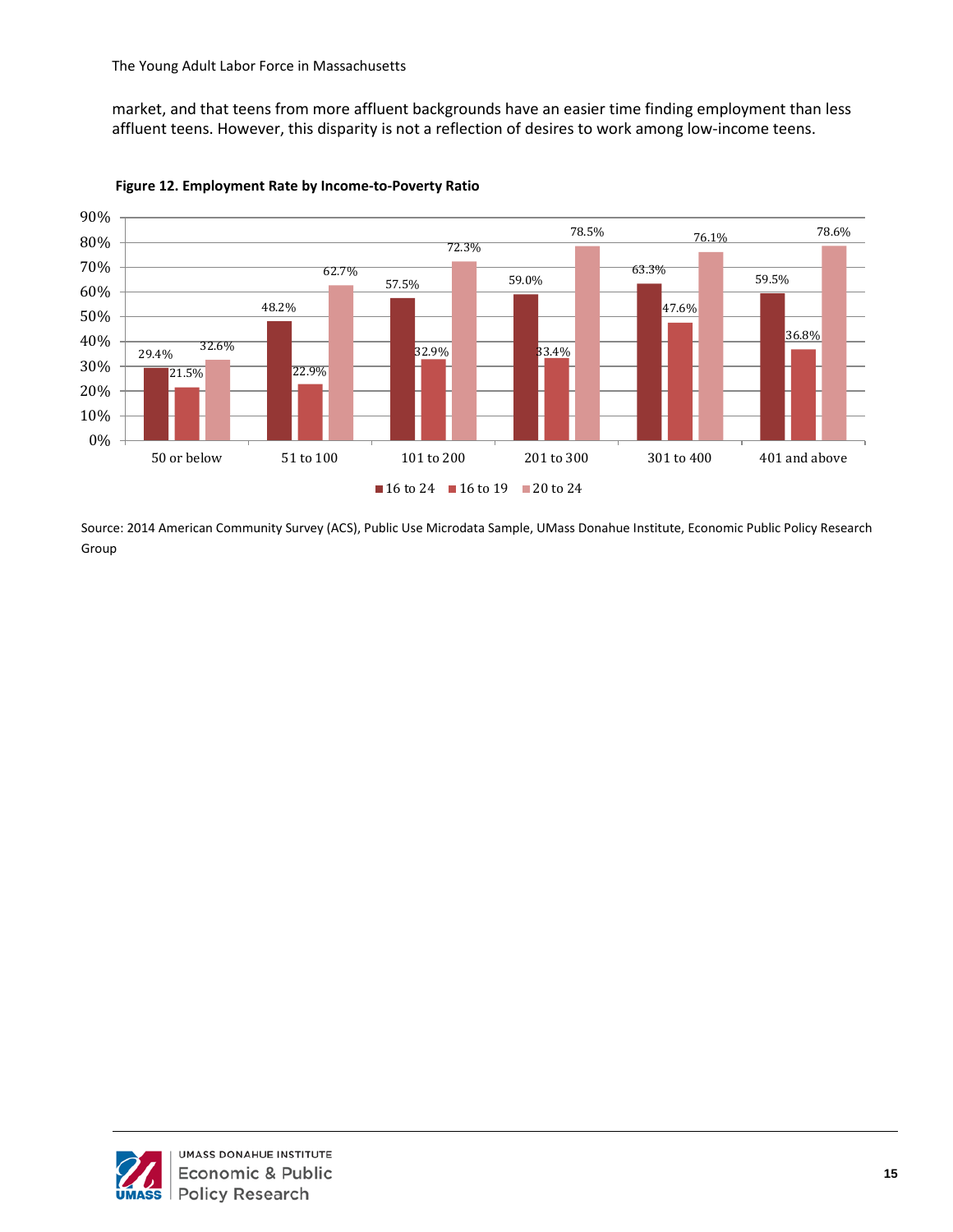market, and that teens from more affluent backgrounds have an easier time finding employment than less affluent teens. However, this disparity is not a reflection of desires to work among low-income teens.



**Figure 14: Employment Rate by Income to Poverty Ratio Figure 12. Employment Rate by Income-to-Poverty Ratio**

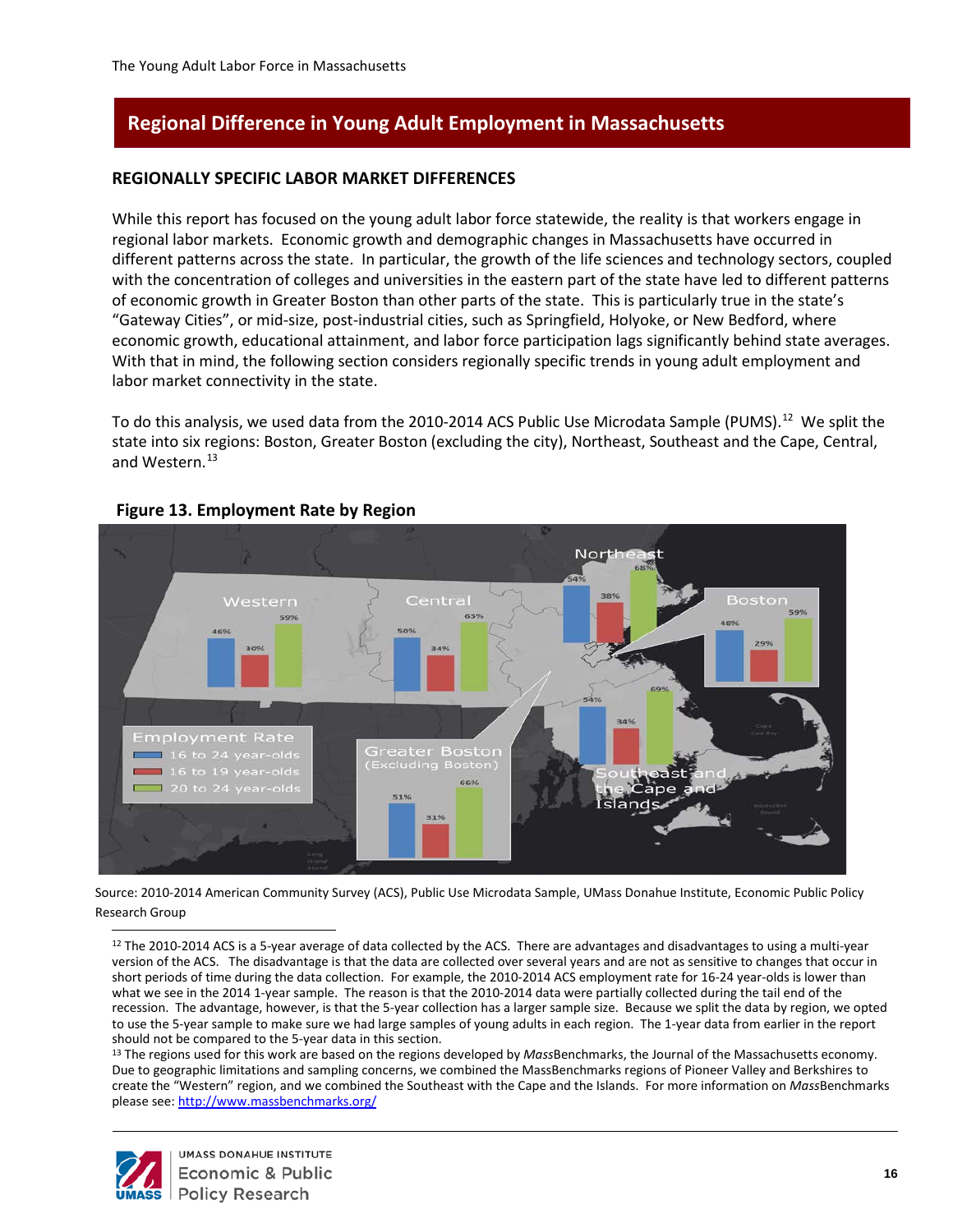# <span id="page-20-0"></span>**Regional Difference in Young Adult Employment in Massachusetts**

#### **REGIONALLY SPECIFIC LABOR MARKET DIFFERENCES**

While this report has focused on the young adult labor force statewide, the reality is that workers engage in regional labor markets. Economic growth and demographic changes in Massachusetts have occurred in different patterns across the state. In particular, the growth of the life sciences and technology sectors, coupled with the concentration of colleges and universities in the eastern part of the state have led to different patterns of economic growth in Greater Boston than other parts of the state. This is particularly true in the state's "Gateway Cities", or mid-size, post-industrial cities, such as Springfield, Holyoke, or New Bedford, where economic growth, educational attainment, and labor force participation lags significantly behind state averages. With that in mind, the following section considers regionally specific trends in young adult employment and labor market connectivity in the state.

To do this analysis, we used data from the 2010-2014 ACS Public Use Microdata Sample (PUMS).<sup>12</sup> We split the state into six regions: Boston, Greater Boston (excluding the city), Northeast, Southeast and the Cape, Central, and Western.<sup>13</sup>



#### **Figure 13. Employment Rate by Region**

<span id="page-20-1"></span>Source: 2010-2014 American Community Survey (ACS), Public Use Microdata Sample, UMass Donahue Institute, Economic Public Policy Research Group

12 The 2010-2014 ACS is a 5-year average of data collected by the ACS. There are advantages and disadvantages to using a multi-year version of the ACS. The disadvantage is that the data are collected over several years and are not as sensitive to changes that occur in short periods of time during the data collection. For example, the 2010-2014 ACS employment rate for 16-24 year-olds is lower than what we see in the 2014 1-year sample. The reason is that the 2010-2014 data were partially collected during the tail end of the recession. The advantage, however, is that the 5-year collection has a larger sample size. Because we split the data by region, we opted to use the 5-year sample to make sure we had large samples of young adults in each region. The 1-year data from earlier in the report should not be compared to the 5-year data in this section.<br><sup>13</sup> The regions used for this work are based on the regions developed by *Mass*Benchmarks, the Journal of the Massachusetts economy.

<span id="page-20-2"></span>Due to geographic limitations and sampling concerns, we combined the MassBenchmarks regions of Pioneer Valley and Berkshires to create the "Western" region, and we combined the Southeast with the Cape and the Islands. For more information on *Mass*Benchmarks please see[: http://www.massbenchmarks.org/](http://www.massbenchmarks.org/)



 $\overline{a}$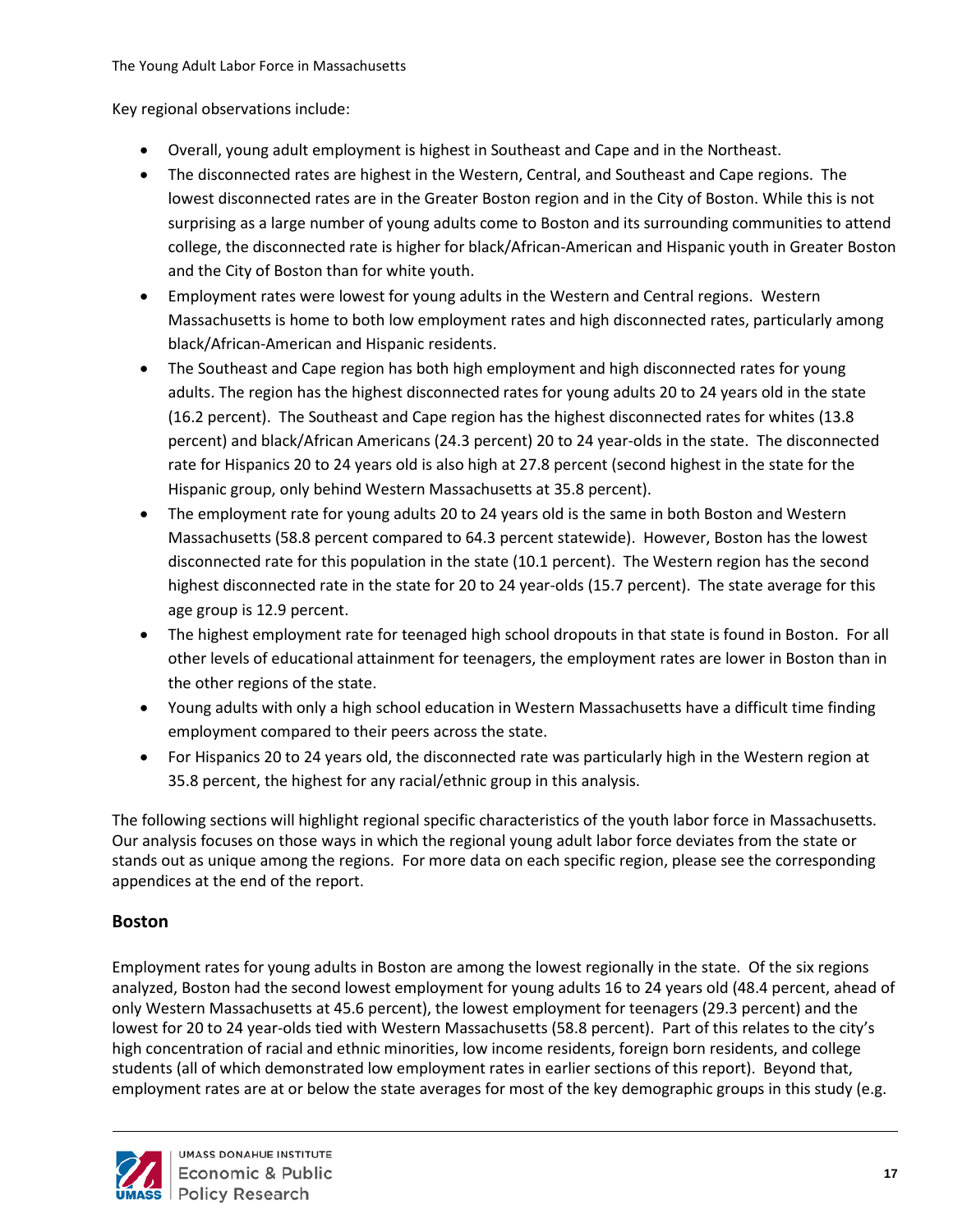Key regional observations include:

- Overall, young adult employment is highest in Southeast and Cape and in the Northeast.
- The disconnected rates are highest in the Western, Central, and Southeast and Cape regions. The lowest disconnected rates are in the Greater Boston region and in the City of Boston. While this is not surprising as a large number of young adults come to Boston and its surrounding communities to attend college, the disconnected rate is higher for black/African-American and Hispanic youth in Greater Boston and the City of Boston than for white youth.
- Employment rates were lowest for young adults in the Western and Central regions. Western Massachusetts is home to both low employment rates and high disconnected rates, particularly among black/African-American and Hispanic residents.
- The Southeast and Cape region has both high employment and high disconnected rates for young adults. The region has the highest disconnected rates for young adults 20 to 24 years old in the state (16.2 percent). The Southeast and Cape region has the highest disconnected rates for whites (13.8 percent) and black/African Americans (24.3 percent) 20 to 24 year-olds in the state. The disconnected rate for Hispanics 20 to 24 years old is also high at 27.8 percent (second highest in the state for the Hispanic group, only behind Western Massachusetts at 35.8 percent).
- The employment rate for young adults 20 to 24 years old is the same in both Boston and Western Massachusetts (58.8 percent compared to 64.3 percent statewide). However, Boston has the lowest disconnected rate for this population in the state (10.1 percent). The Western region has the second highest disconnected rate in the state for 20 to 24 year-olds (15.7 percent). The state average for this age group is 12.9 percent.
- The highest employment rate for teenaged high school dropouts in that state is found in Boston. For all other levels of educational attainment for teenagers, the employment rates are lower in Boston than in the other regions of the state.
- Young adults with only a high school education in Western Massachusetts have a difficult time finding employment compared to their peers across the state.
- For Hispanics 20 to 24 years old, the disconnected rate was particularly high in the Western region at 35.8 percent, the highest for any racial/ethnic group in this analysis.

The following sections will highlight regional specific characteristics of the youth labor force in Massachusetts. Our analysis focuses on those ways in which the regional young adult labor force deviates from the state or stands out as unique among the regions. For more data on each specific region, please see the corresponding appendices at the end of the report.

#### <span id="page-21-0"></span>**Boston**

Employment rates for young adults in Boston are among the lowest regionally in the state. Of the six regions analyzed, Boston had the second lowest employment for young adults 16 to 24 years old (48.4 percent, ahead of only Western Massachusetts at 45.6 percent), the lowest employment for teenagers (29.3 percent) and the lowest for 20 to 24 year-olds tied with Western Massachusetts (58.8 percent). Part of this relates to the city's high concentration of racial and ethnic minorities, low income residents, foreign born residents, and college students (all of which demonstrated low employment rates in earlier sections of this report). Beyond that, employment rates are at or below the state averages for most of the key demographic groups in this study (e.g.

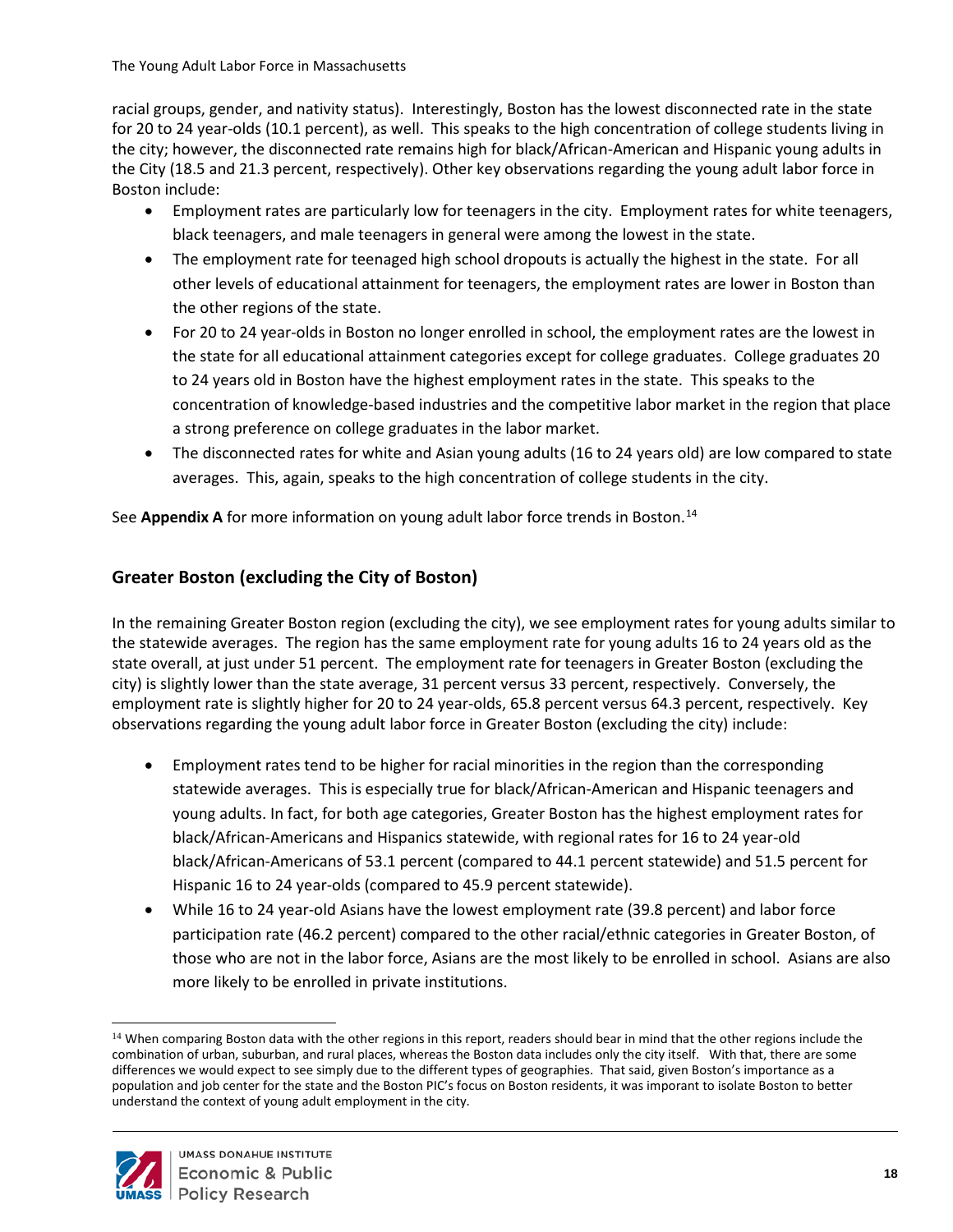racial groups, gender, and nativity status). Interestingly, Boston has the lowest disconnected rate in the state for 20 to 24 year-olds (10.1 percent), as well. This speaks to the high concentration of college students living in the city; however, the disconnected rate remains high for black/African-American and Hispanic young adults in the City (18.5 and 21.3 percent, respectively). Other key observations regarding the young adult labor force in Boston include:

- Employment rates are particularly low for teenagers in the city. Employment rates for white teenagers, black teenagers, and male teenagers in general were among the lowest in the state.
- The employment rate for teenaged high school dropouts is actually the highest in the state. For all other levels of educational attainment for teenagers, the employment rates are lower in Boston than the other regions of the state.
- For 20 to 24 year-olds in Boston no longer enrolled in school, the employment rates are the lowest in the state for all educational attainment categories except for college graduates. College graduates 20 to 24 years old in Boston have the highest employment rates in the state. This speaks to the concentration of knowledge-based industries and the competitive labor market in the region that place a strong preference on college graduates in the labor market.
- The disconnected rates for white and Asian young adults (16 to 24 years old) are low compared to state averages. This, again, speaks to the high concentration of college students in the city.

See **Appendix A** for more information on young adult labor force trends in Boston.<sup>14</sup>

## <span id="page-22-0"></span>**Greater Boston (excluding the City of Boston)**

In the remaining Greater Boston region (excluding the city), we see employment rates for young adults similar to the statewide averages. The region has the same employment rate for young adults 16 to 24 years old as the state overall, at just under 51 percent. The employment rate for teenagers in Greater Boston (excluding the city) is slightly lower than the state average, 31 percent versus 33 percent, respectively. Conversely, the employment rate is slightly higher for 20 to 24 year-olds, 65.8 percent versus 64.3 percent, respectively. Key observations regarding the young adult labor force in Greater Boston (excluding the city) include:

- Employment rates tend to be higher for racial minorities in the region than the corresponding statewide averages. This is especially true for black/African-American and Hispanic teenagers and young adults. In fact, for both age categories, Greater Boston has the highest employment rates for black/African-Americans and Hispanics statewide, with regional rates for 16 to 24 year-old black/African-Americans of 53.1 percent (compared to 44.1 percent statewide) and 51.5 percent for Hispanic 16 to 24 year-olds (compared to 45.9 percent statewide).
- While 16 to 24 year-old Asians have the lowest employment rate (39.8 percent) and labor force participation rate (46.2 percent) compared to the other racial/ethnic categories in Greater Boston, of those who are not in the labor force, Asians are the most likely to be enrolled in school. Asians are also more likely to be enrolled in private institutions.

<span id="page-22-1"></span><sup>&</sup>lt;sup>14</sup> When comparing Boston data with the other regions in this report, readers should bear in mind that the other regions include the combination of urban, suburban, and rural places, whereas the Boston data includes only the city itself. With that, there are some differences we would expect to see simply due to the different types of geographies. That said, given Boston's importance as a population and job center for the state and the Boston PIC's focus on Boston residents, it was imporant to isolate Boston to better understand the context of young adult employment in the city.

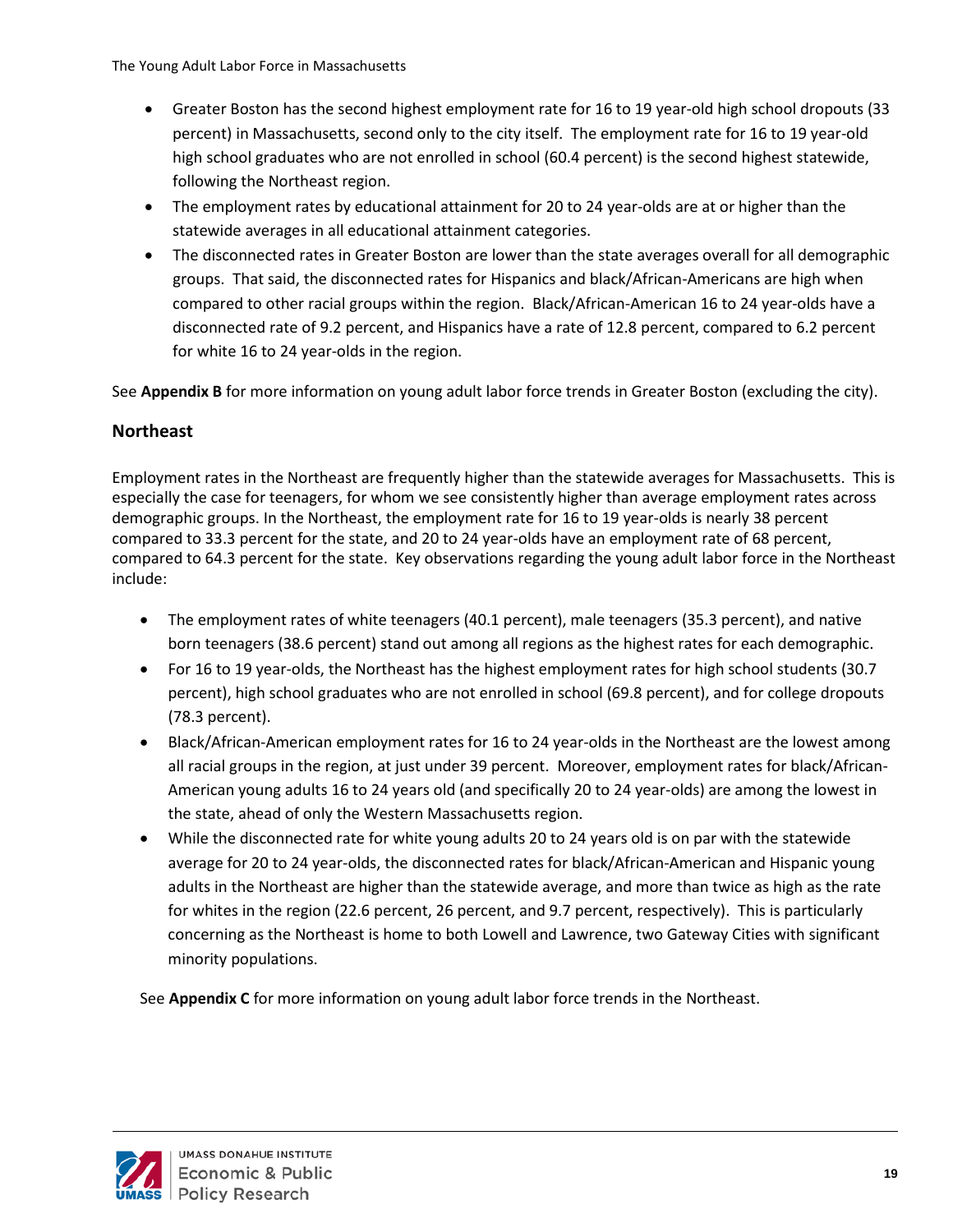- Greater Boston has the second highest employment rate for 16 to 19 year-old high school dropouts (33 percent) in Massachusetts, second only to the city itself. The employment rate for 16 to 19 year-old high school graduates who are not enrolled in school (60.4 percent) is the second highest statewide, following the Northeast region.
- The employment rates by educational attainment for 20 to 24 year-olds are at or higher than the statewide averages in all educational attainment categories.
- The disconnected rates in Greater Boston are lower than the state averages overall for all demographic groups. That said, the disconnected rates for Hispanics and black/African-Americans are high when compared to other racial groups within the region. Black/African-American 16 to 24 year-olds have a disconnected rate of 9.2 percent, and Hispanics have a rate of 12.8 percent, compared to 6.2 percent for white 16 to 24 year-olds in the region.

See **Appendix B** for more information on young adult labor force trends in Greater Boston (excluding the city).

#### <span id="page-23-0"></span>**Northeast**

Employment rates in the Northeast are frequently higher than the statewide averages for Massachusetts. This is especially the case for teenagers, for whom we see consistently higher than average employment rates across demographic groups. In the Northeast, the employment rate for 16 to 19 year-olds is nearly 38 percent compared to 33.3 percent for the state, and 20 to 24 year-olds have an employment rate of 68 percent, compared to 64.3 percent for the state. Key observations regarding the young adult labor force in the Northeast include:

- The employment rates of white teenagers (40.1 percent), male teenagers (35.3 percent), and native born teenagers (38.6 percent) stand out among all regions as the highest rates for each demographic.
- For 16 to 19 year-olds, the Northeast has the highest employment rates for high school students (30.7 percent), high school graduates who are not enrolled in school (69.8 percent), and for college dropouts (78.3 percent).
- Black/African-American employment rates for 16 to 24 year-olds in the Northeast are the lowest among all racial groups in the region, at just under 39 percent. Moreover, employment rates for black/African-American young adults 16 to 24 years old (and specifically 20 to 24 year-olds) are among the lowest in the state, ahead of only the Western Massachusetts region.
- While the disconnected rate for white young adults 20 to 24 years old is on par with the statewide average for 20 to 24 year-olds, the disconnected rates for black/African-American and Hispanic young adults in the Northeast are higher than the statewide average, and more than twice as high as the rate for whites in the region (22.6 percent, 26 percent, and 9.7 percent, respectively). This is particularly concerning as the Northeast is home to both Lowell and Lawrence, two Gateway Cities with significant minority populations.

See **Appendix C** for more information on young adult labor force trends in the Northeast.

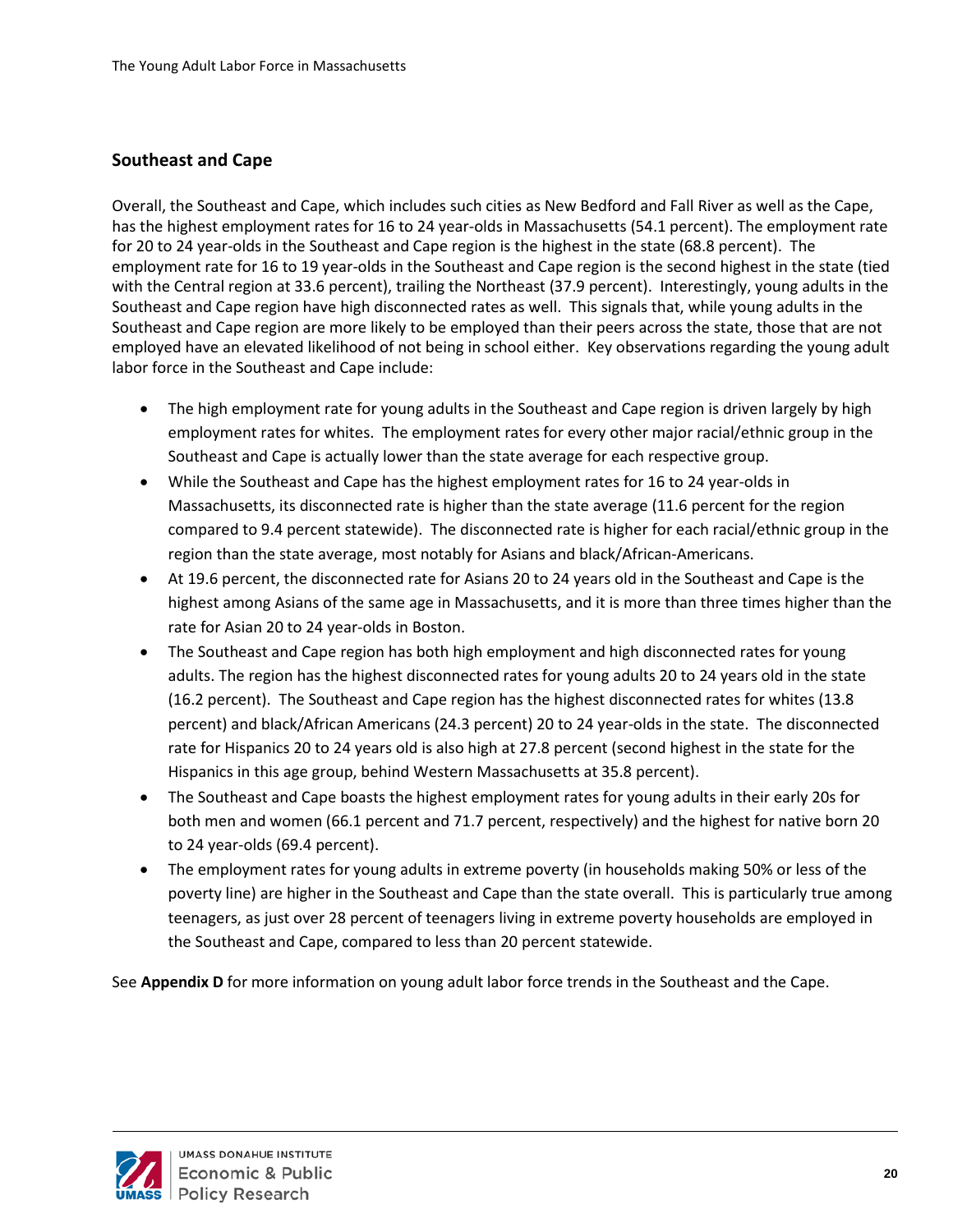### <span id="page-24-0"></span>**Southeast and Cape**

Overall, the Southeast and Cape, which includes such cities as New Bedford and Fall River as well as the Cape, has the highest employment rates for 16 to 24 year-olds in Massachusetts (54.1 percent). The employment rate for 20 to 24 year-olds in the Southeast and Cape region is the highest in the state (68.8 percent). The employment rate for 16 to 19 year-olds in the Southeast and Cape region is the second highest in the state (tied with the Central region at 33.6 percent), trailing the Northeast (37.9 percent). Interestingly, young adults in the Southeast and Cape region have high disconnected rates as well. This signals that, while young adults in the Southeast and Cape region are more likely to be employed than their peers across the state, those that are not employed have an elevated likelihood of not being in school either. Key observations regarding the young adult labor force in the Southeast and Cape include:

- The high employment rate for young adults in the Southeast and Cape region is driven largely by high employment rates for whites. The employment rates for every other major racial/ethnic group in the Southeast and Cape is actually lower than the state average for each respective group.
- While the Southeast and Cape has the highest employment rates for 16 to 24 year-olds in Massachusetts, its disconnected rate is higher than the state average (11.6 percent for the region compared to 9.4 percent statewide). The disconnected rate is higher for each racial/ethnic group in the region than the state average, most notably for Asians and black/African-Americans.
- At 19.6 percent, the disconnected rate for Asians 20 to 24 years old in the Southeast and Cape is the highest among Asians of the same age in Massachusetts, and it is more than three times higher than the rate for Asian 20 to 24 year-olds in Boston.
- The Southeast and Cape region has both high employment and high disconnected rates for young adults. The region has the highest disconnected rates for young adults 20 to 24 years old in the state (16.2 percent). The Southeast and Cape region has the highest disconnected rates for whites (13.8 percent) and black/African Americans (24.3 percent) 20 to 24 year-olds in the state. The disconnected rate for Hispanics 20 to 24 years old is also high at 27.8 percent (second highest in the state for the Hispanics in this age group, behind Western Massachusetts at 35.8 percent).
- The Southeast and Cape boasts the highest employment rates for young adults in their early 20s for both men and women (66.1 percent and 71.7 percent, respectively) and the highest for native born 20 to 24 year-olds (69.4 percent).
- The employment rates for young adults in extreme poverty (in households making 50% or less of the poverty line) are higher in the Southeast and Cape than the state overall. This is particularly true among teenagers, as just over 28 percent of teenagers living in extreme poverty households are employed in the Southeast and Cape, compared to less than 20 percent statewide.

See **Appendix D** for more information on young adult labor force trends in the Southeast and the Cape.

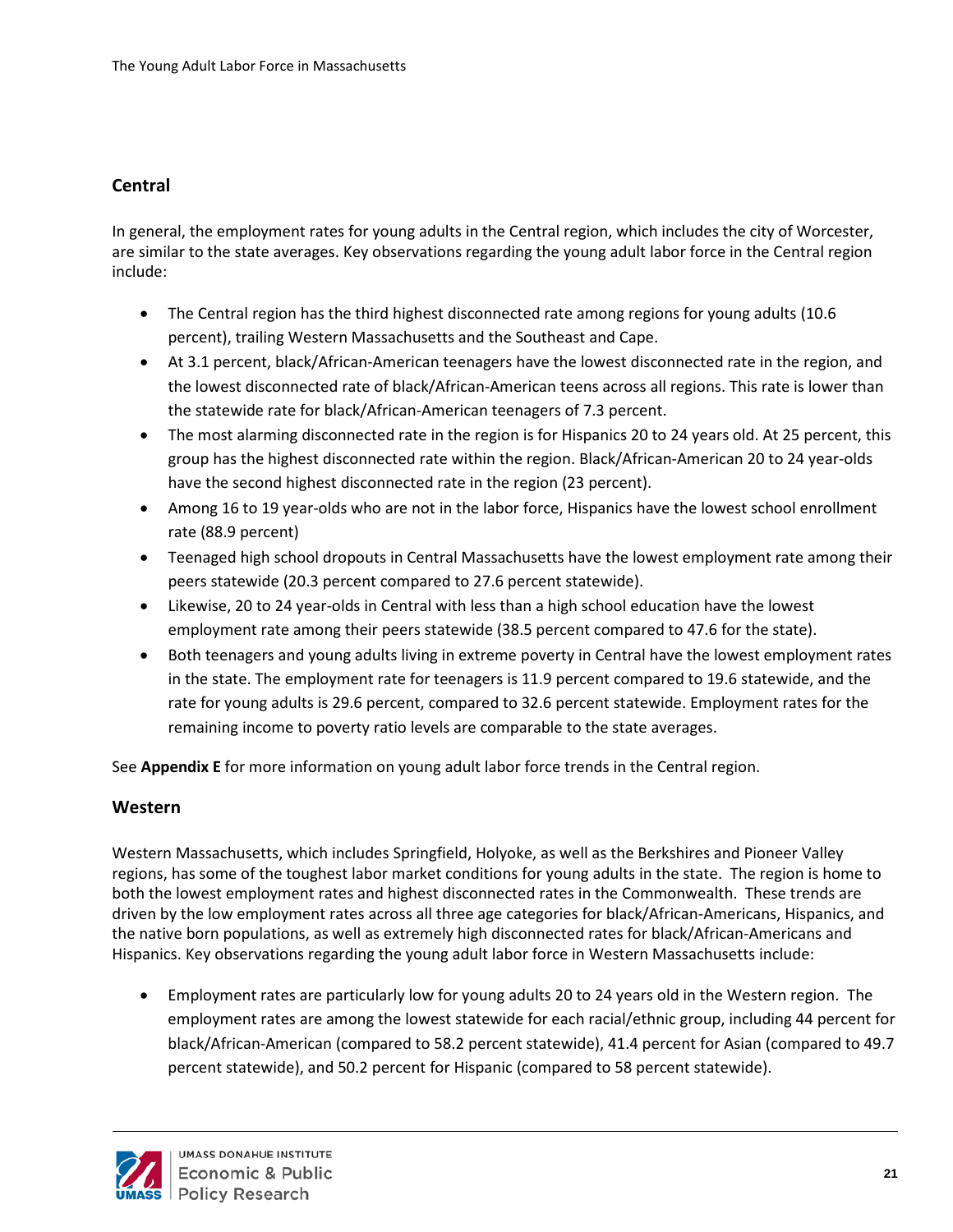## <span id="page-25-0"></span>**Central**

In general, the employment rates for young adults in the Central region, which includes the city of Worcester, are similar to the state averages. Key observations regarding the young adult labor force in the Central region include:

- The Central region has the third highest disconnected rate among regions for young adults (10.6) percent), trailing Western Massachusetts and the Southeast and Cape.
- At 3.1 percent, black/African-American teenagers have the lowest disconnected rate in the region, and the lowest disconnected rate of black/African-American teens across all regions. This rate is lower than the statewide rate for black/African-American teenagers of 7.3 percent.
- The most alarming disconnected rate in the region is for Hispanics 20 to 24 years old. At 25 percent, this group has the highest disconnected rate within the region. Black/African-American 20 to 24 year-olds have the second highest disconnected rate in the region (23 percent).
- Among 16 to 19 year-olds who are not in the labor force, Hispanics have the lowest school enrollment rate (88.9 percent)
- Teenaged high school dropouts in Central Massachusetts have the lowest employment rate among their peers statewide (20.3 percent compared to 27.6 percent statewide).
- Likewise, 20 to 24 year-olds in Central with less than a high school education have the lowest employment rate among their peers statewide (38.5 percent compared to 47.6 for the state).
- Both teenagers and young adults living in extreme poverty in Central have the lowest employment rates in the state. The employment rate for teenagers is 11.9 percent compared to 19.6 statewide, and the rate for young adults is 29.6 percent, compared to 32.6 percent statewide. Employment rates for the remaining income to poverty ratio levels are comparable to the state averages.

See **Appendix E** for more information on young adult labor force trends in the Central region.

#### <span id="page-25-1"></span>**Western**

Western Massachusetts, which includes Springfield, Holyoke, as well as the Berkshires and Pioneer Valley regions, has some of the toughest labor market conditions for young adults in the state. The region is home to both the lowest employment rates and highest disconnected rates in the Commonwealth. These trends are driven by the low employment rates across all three age categories for black/African-Americans, Hispanics, and the native born populations, as well as extremely high disconnected rates for black/African-Americans and Hispanics. Key observations regarding the young adult labor force in Western Massachusetts include:

• Employment rates are particularly low for young adults 20 to 24 years old in the Western region. The employment rates are among the lowest statewide for each racial/ethnic group, including 44 percent for black/African-American (compared to 58.2 percent statewide), 41.4 percent for Asian (compared to 49.7 percent statewide), and 50.2 percent for Hispanic (compared to 58 percent statewide).

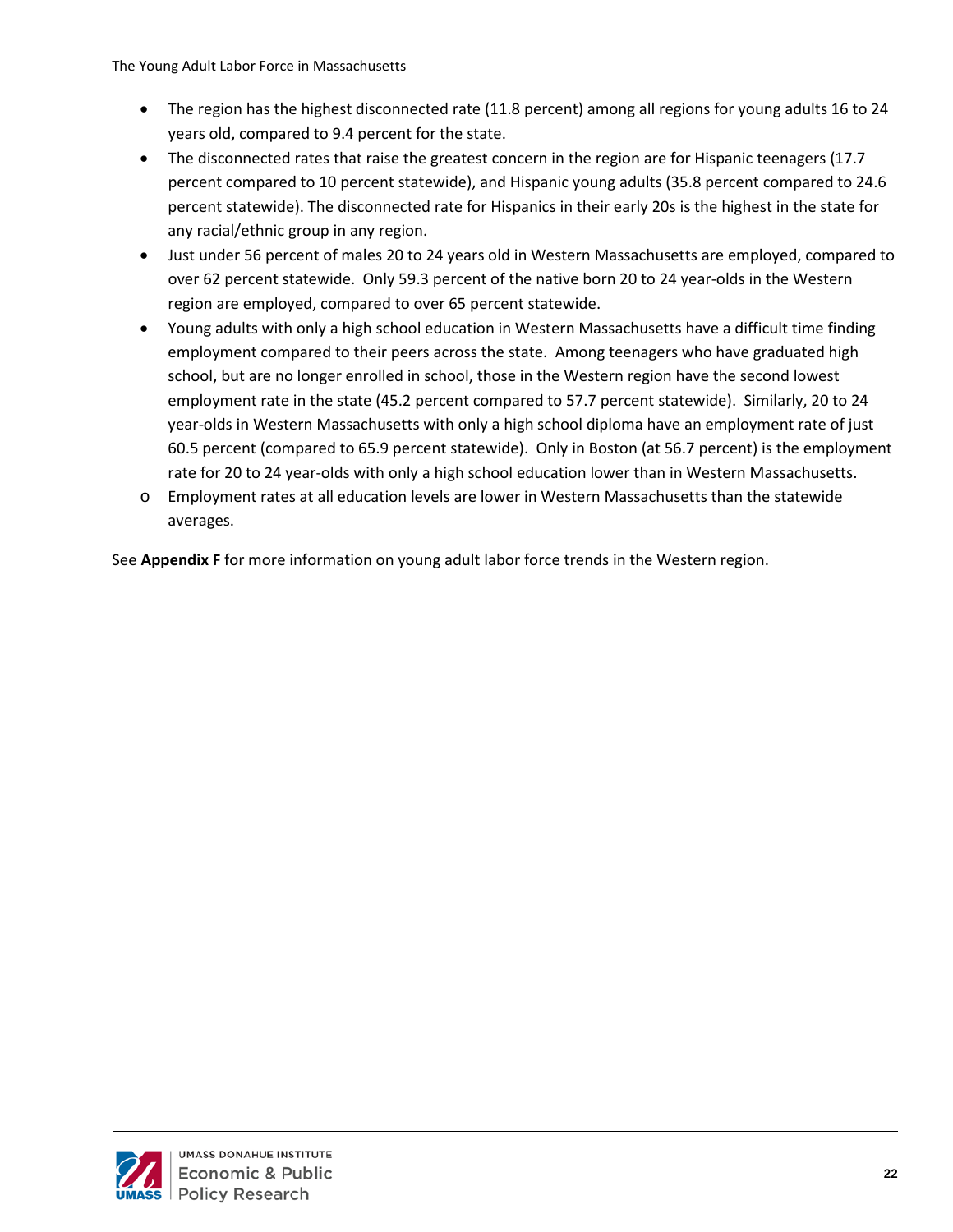- The region has the highest disconnected rate (11.8 percent) among all regions for young adults 16 to 24 years old, compared to 9.4 percent for the state.
- The disconnected rates that raise the greatest concern in the region are for Hispanic teenagers (17.7) percent compared to 10 percent statewide), and Hispanic young adults (35.8 percent compared to 24.6 percent statewide). The disconnected rate for Hispanics in their early 20s is the highest in the state for any racial/ethnic group in any region.
- Just under 56 percent of males 20 to 24 years old in Western Massachusetts are employed, compared to over 62 percent statewide. Only 59.3 percent of the native born 20 to 24 year-olds in the Western region are employed, compared to over 65 percent statewide.
- Young adults with only a high school education in Western Massachusetts have a difficult time finding employment compared to their peers across the state. Among teenagers who have graduated high school, but are no longer enrolled in school, those in the Western region have the second lowest employment rate in the state (45.2 percent compared to 57.7 percent statewide). Similarly, 20 to 24 year-olds in Western Massachusetts with only a high school diploma have an employment rate of just 60.5 percent (compared to 65.9 percent statewide). Only in Boston (at 56.7 percent) is the employment rate for 20 to 24 year-olds with only a high school education lower than in Western Massachusetts.
- o Employment rates at all education levels are lower in Western Massachusetts than the statewide averages.

See **Appendix F** for more information on young adult labor force trends in the Western region.

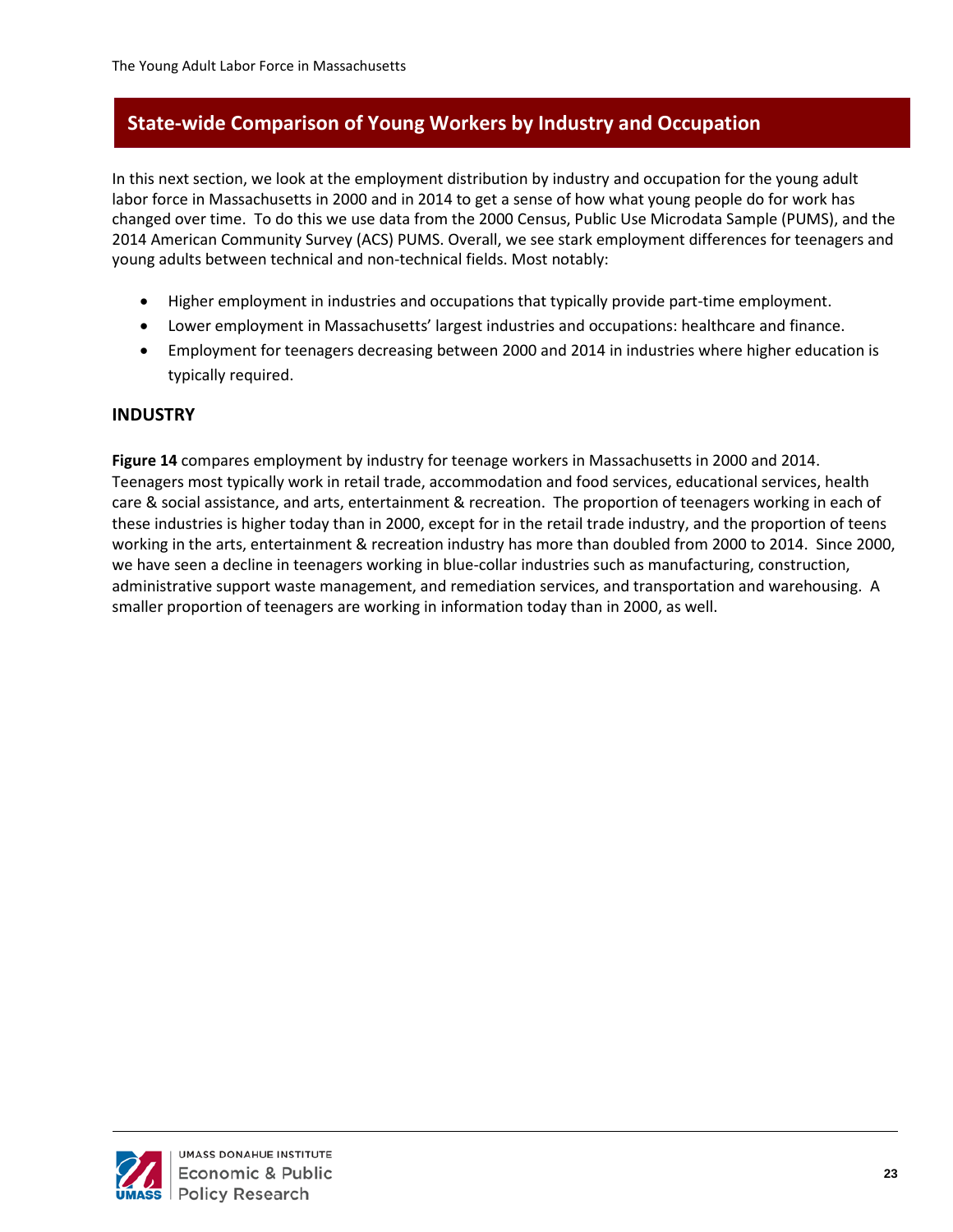# <span id="page-27-0"></span>**State-wide Comparison of Young Workers by Industry and Occupation**

In this next section, we look at the employment distribution by industry and occupation for the young adult labor force in Massachusetts in 2000 and in 2014 to get a sense of how what young people do for work has changed over time. To do this we use data from the 2000 Census, Public Use Microdata Sample (PUMS), and the 2014 American Community Survey (ACS) PUMS. Overall, we see stark employment differences for teenagers and young adults between technical and non-technical fields. Most notably:

- Higher employment in industries and occupations that typically provide part-time employment.
- Lower employment in Massachusetts' largest industries and occupations: healthcare and finance.
- Employment for teenagers decreasing between 2000 and 2014 in industries where higher education is typically required.

#### <span id="page-27-1"></span>**INDUSTRY**

**Figure 14** compares employment by industry for teenage workers in Massachusetts in 2000 and 2014. Teenagers most typically work in retail trade, accommodation and food services, educational services, health care & social assistance, and arts, entertainment & recreation. The proportion of teenagers working in each of these industries is higher today than in 2000, except for in the retail trade industry, and the proportion of teens working in the arts, entertainment & recreation industry has more than doubled from 2000 to 2014. Since 2000, we have seen a decline in teenagers working in blue-collar industries such as manufacturing, construction, administrative support waste management, and remediation services, and transportation and warehousing. A smaller proportion of teenagers are working in information today than in 2000, as well.

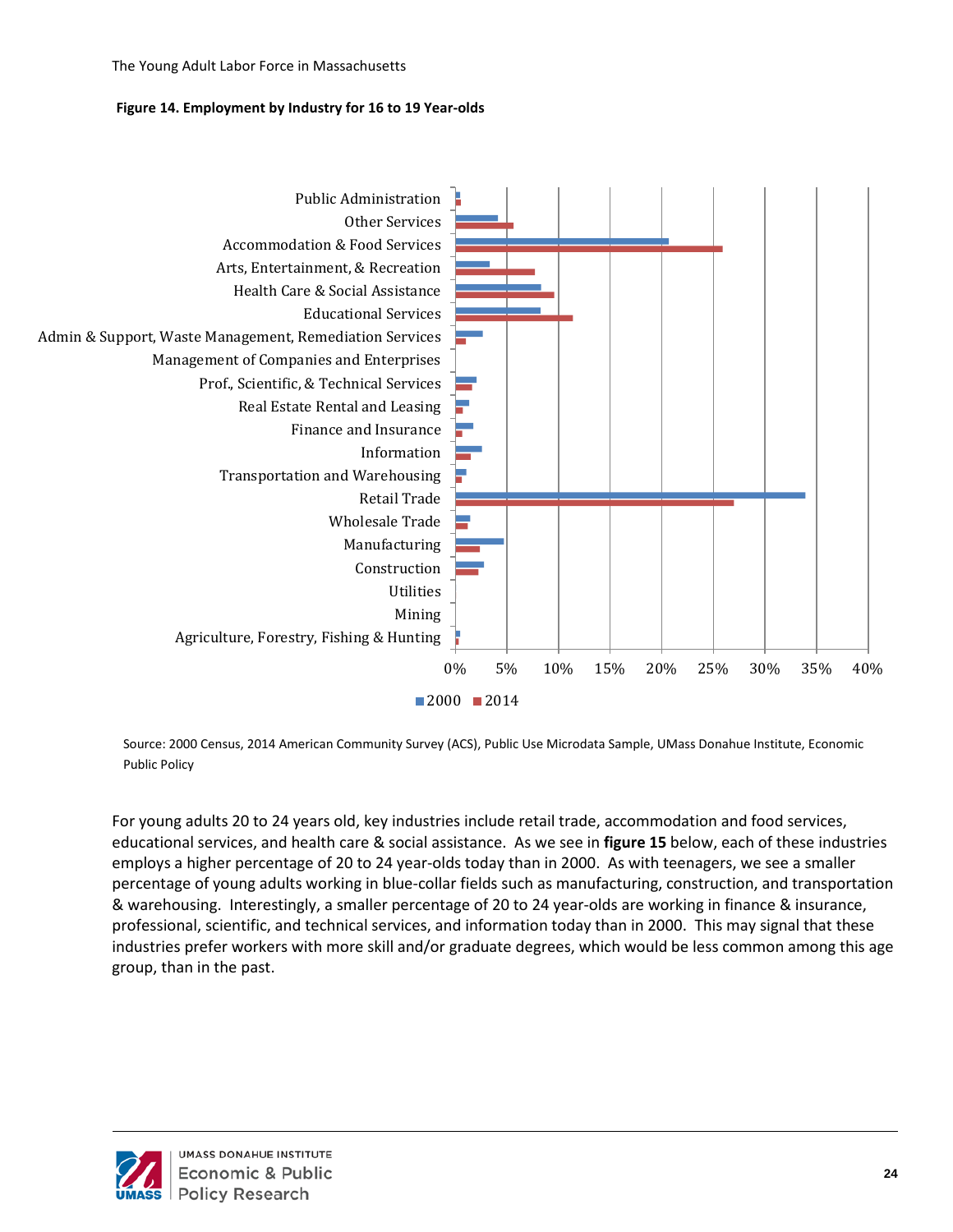#### **Figure 14. Employment by Industry for 16 to 19 Year-olds**



Source: 2000 Census, 2014 American Community Survey (ACS), Public Use Microdata Sample, UMass Donahue Institute, Economic Public Policy

For young adults 20 to 24 years old, key industries include retail trade, accommodation and food services, educational services, and health care & social assistance. As we see in **figure 15** below, each of these industries employs a higher percentage of 20 to 24 year-olds today than in 2000. As with teenagers, we see a smaller percentage of young adults working in blue-collar fields such as manufacturing, construction, and transportation & warehousing. Interestingly, a smaller percentage of 20 to 24 year-olds are working in finance & insurance, professional, scientific, and technical services, and information today than in 2000. This may signal that these industries prefer workers with more skill and/or graduate degrees, which would be less common among this age group, than in the past.

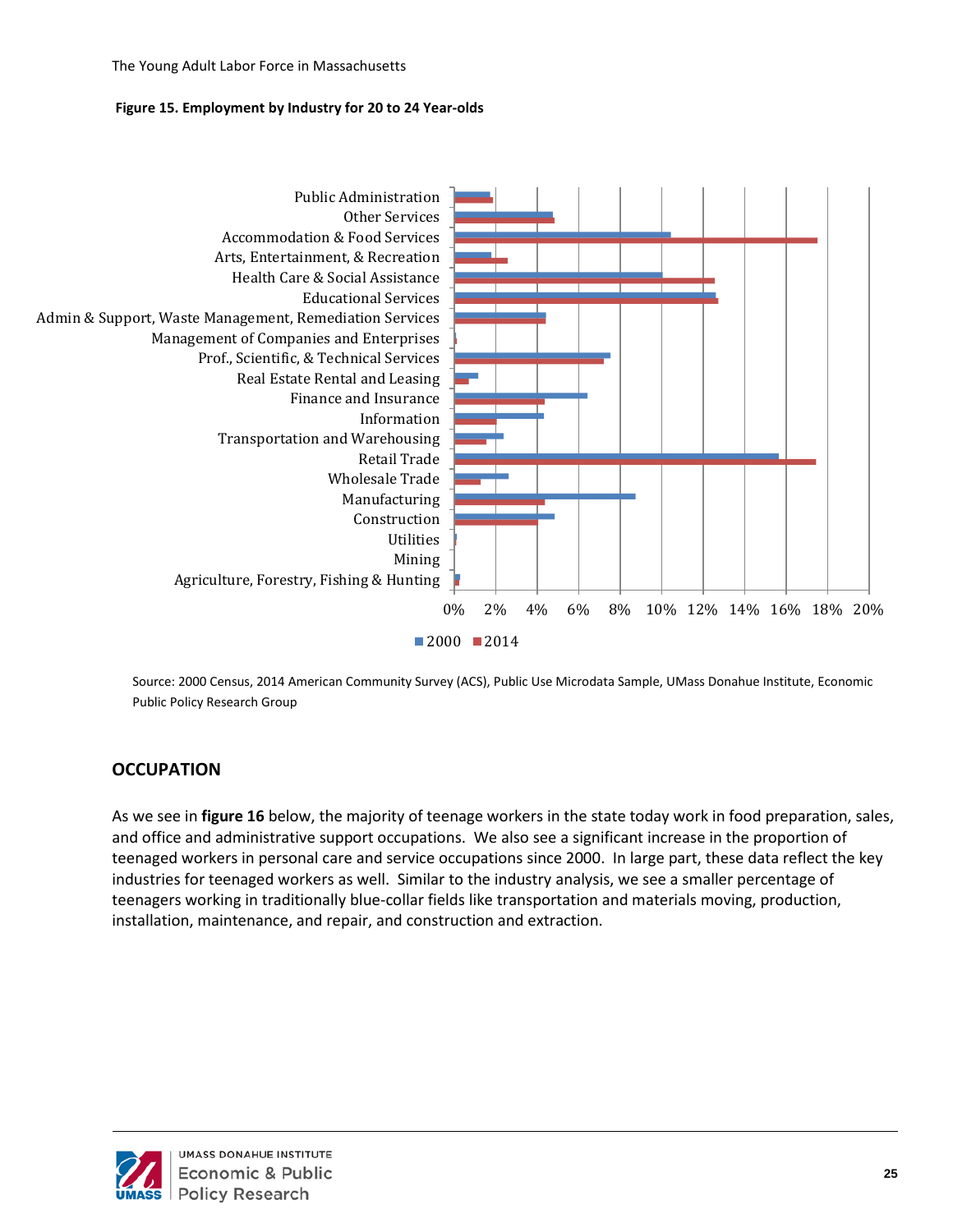#### **Figure 15. Employment by Industry for 20 to 24 Year-olds**



Source: 2000 Census, 2014 American Community Survey (ACS), Public Use Microdata Sample, UMass Donahue Institute, Economic Public Policy Research Group

## <span id="page-29-0"></span>**OCCUPATION**

As we see in **figure 16** below, the majority of teenage workers in the state today work in food preparation, sales, and office and administrative support occupations. We also see a significant increase in the proportion of teenaged workers in personal care and service occupations since 2000. In large part, these data reflect the key industries for teenaged workers as well. Similar to the industry analysis, we see a smaller percentage of teenagers working in traditionally blue-collar fields like transportation and materials moving, production, installation, maintenance, and repair, and construction and extraction.

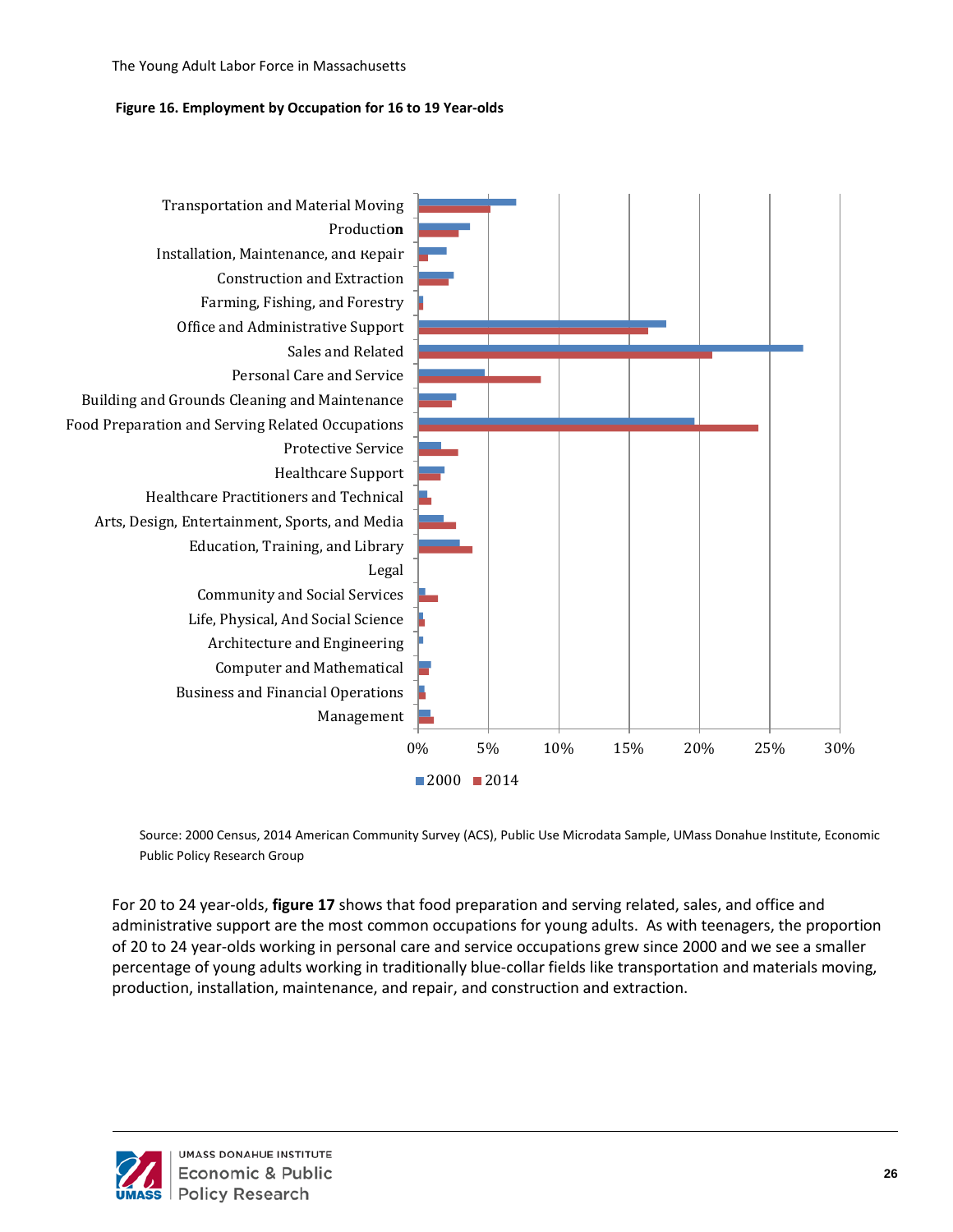#### **Figure 16. Employment by Occupation for 16 to 19 Year-olds**



Source: 2000 Census, 2014 American Community Survey (ACS), Public Use Microdata Sample, UMass Donahue Institute, Economic Public Policy Research Group

For 20 to 24 year-olds, **figure 17** shows that food preparation and serving related, sales, and office and administrative support are the most common occupations for young adults. As with teenagers, the proportion of 20 to 24 year-olds working in personal care and service occupations grew since 2000 and we see a smaller percentage of young adults working in traditionally blue-collar fields like transportation and materials moving, production, installation, maintenance, and repair, and construction and extraction.

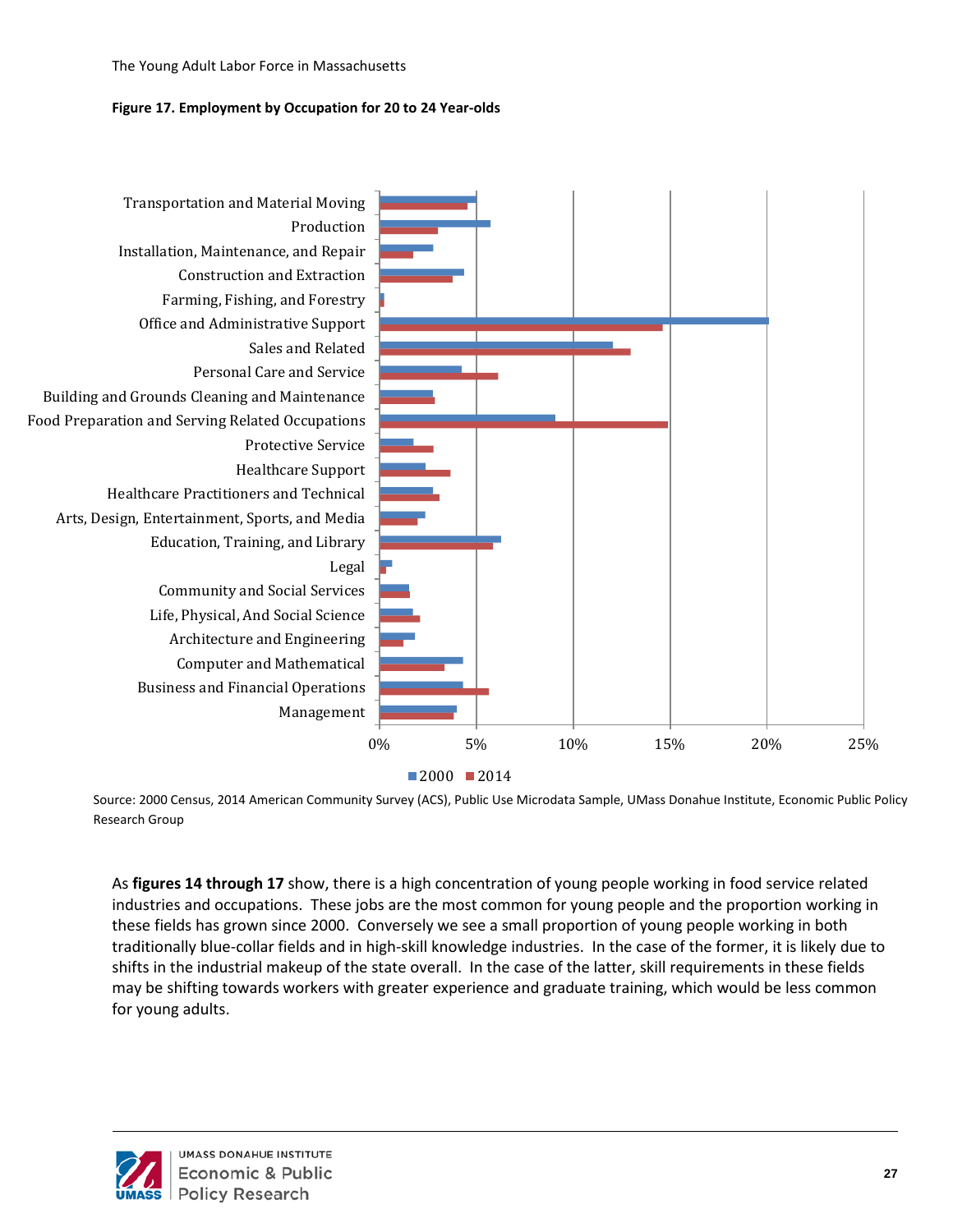#### **Figure 17. Employment by Occupation for 20 to 24 Year-olds**



Source: 2000 Census, 2014 American Community Survey (ACS), Public Use Microdata Sample, UMass Donahue Institute, Economic Public Policy Research Group

As **figures 14 through 17** show, there is a high concentration of young people working in food service related industries and occupations. These jobs are the most common for young people and the proportion working in these fields has grown since 2000. Conversely we see a small proportion of young people working in both traditionally blue-collar fields and in high-skill knowledge industries. In the case of the former, it is likely due to shifts in the industrial makeup of the state overall. In the case of the latter, skill requirements in these fields may be shifting towards workers with greater experience and graduate training, which would be less common for young adults.

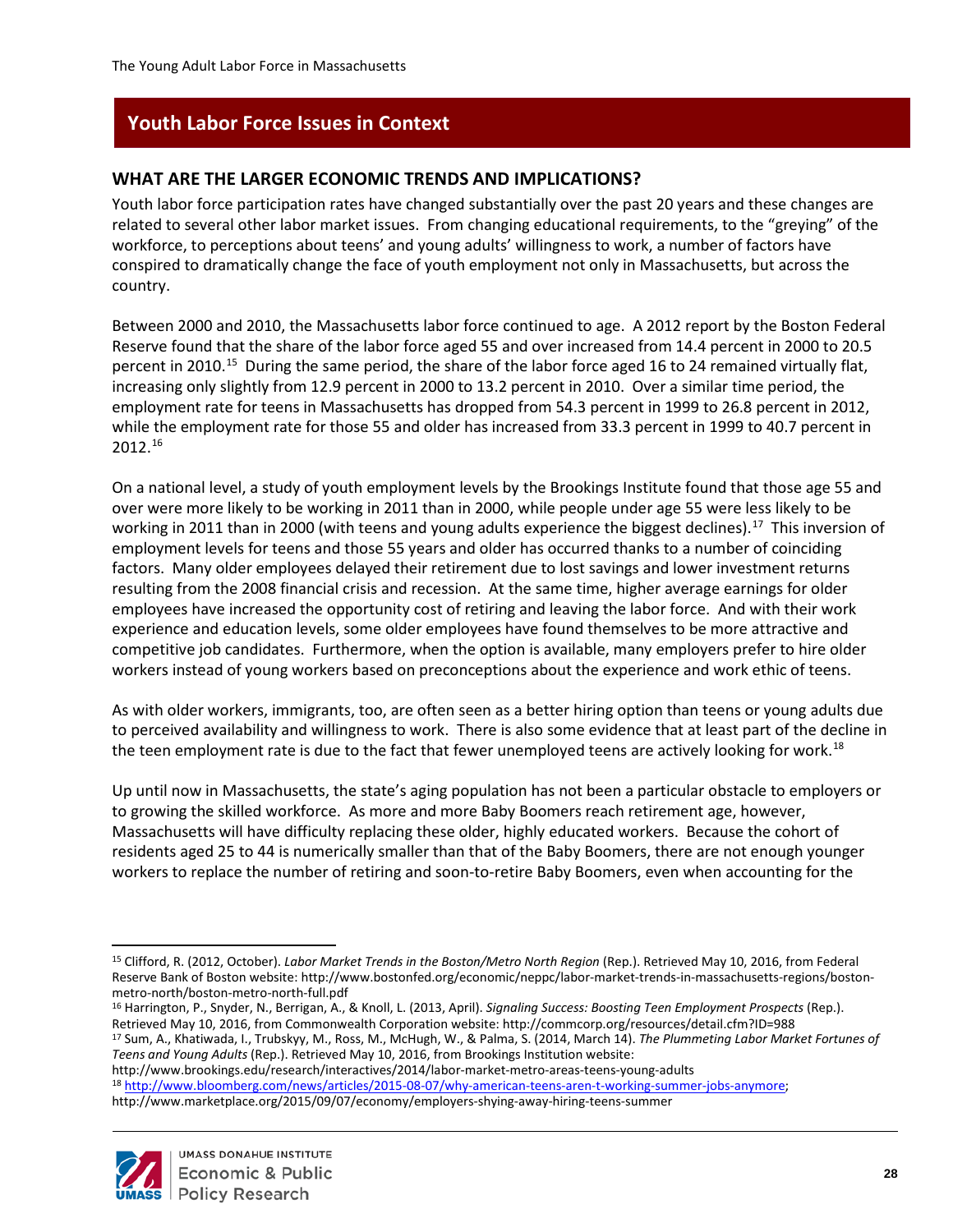# <span id="page-32-0"></span>**Youth Labor Force Issues in Context**

### <span id="page-32-1"></span>**WHAT ARE THE LARGER ECONOMIC TRENDS AND IMPLICATIONS?**

Youth labor force participation rates have changed substantially over the past 20 years and these changes are related to several other labor market issues. From changing educational requirements, to the "greying" of the workforce, to perceptions about teens' and young adults' willingness to work, a number of factors have conspired to dramatically change the face of youth employment not only in Massachusetts, but across the country.

Between 2000 and 2010, the Massachusetts labor force continued to age. A 2012 report by the Boston Federal Reserve found that the share of the labor force aged 55 and over increased from 14.4 percent in 2000 to 20.5 percent in 2010.[15](#page-32-2) During the same period, the share of the labor force aged 16 to 24 remained virtually flat, increasing only slightly from 12.9 percent in 2000 to 13.2 percent in 2010. Over a similar time period, the employment rate for teens in Massachusetts has dropped from 54.3 percent in 1999 to 26.8 percent in 2012, while the employment rate for those 55 and older has increased from 33.3 percent in 1999 to 40.7 percent in 2012.[16](#page-32-3)

On a national level, a study of youth employment levels by the Brookings Institute found that those age 55 and over were more likely to be working in 2011 than in 2000, while people under age 55 were less likely to be working in 2011 than in 2000 (with teens and young adults experience the biggest declines).<sup>17</sup> This inversion of employment levels for teens and those 55 years and older has occurred thanks to a number of coinciding factors. Many older employees delayed their retirement due to lost savings and lower investment returns resulting from the 2008 financial crisis and recession. At the same time, higher average earnings for older employees have increased the opportunity cost of retiring and leaving the labor force. And with their work experience and education levels, some older employees have found themselves to be more attractive and competitive job candidates. Furthermore, when the option is available, many employers prefer to hire older workers instead of young workers based on preconceptions about the experience and work ethic of teens.

As with older workers, immigrants, too, are often seen as a better hiring option than teens or young adults due to perceived availability and willingness to work. There is also some evidence that at least part of the decline in the teen employment rate is due to the fact that fewer unemployed teens are actively looking for work.<sup>18</sup>

Up until now in Massachusetts, the state's aging population has not been a particular obstacle to employers or to growing the skilled workforce. As more and more Baby Boomers reach retirement age, however, Massachusetts will have difficulty replacing these older, highly educated workers. Because the cohort of residents aged 25 to 44 is numerically smaller than that of the Baby Boomers, there are not enough younger workers to replace the number of retiring and soon-to-retire Baby Boomers, even when accounting for the

<span id="page-32-4"></span><sup>17</sup> Sum, A., Khatiwada, I., Trubskyy, M., Ross, M., McHugh, W., & Palma, S. (2014, March 14). *The Plummeting Labor Market Fortunes of Teens and Young Adults* (Rep.). Retrieved May 10, 2016, from Brookings Institution website:

<span id="page-32-5"></span>http://www.brookings.edu/research/interactives/2014/labor-market-metro-areas-teens-young-adults <sup>18</sup> [http://www.bloomberg.com/news/articles/2015-08-07/why-american-teens-aren-t-working-summer-jobs-anymore;](http://www.bloomberg.com/news/articles/2015-08-07/why-american-teens-aren-t-working-summer-jobs-anymore) http://www.marketplace.org/2015/09/07/economy/employers-shying-away-hiring-teens-summer



<span id="page-32-2"></span> $\overline{a}$ <sup>15</sup> Clifford, R. (2012, October). *Labor Market Trends in the Boston/Metro North Region* (Rep.). Retrieved May 10, 2016, from Federal Reserve Bank of Boston website: http://www.bostonfed.org/economic/neppc/labor-market-trends-in-massachusetts-regions/bostonmetro-north/boston-metro-north-full.pdf

<span id="page-32-3"></span><sup>16</sup> Harrington, P., Snyder, N., Berrigan, A., & Knoll, L. (2013, April). *Signaling Success: Boosting Teen Employment Prospects* (Rep.). Retrieved May 10, 2016, from Commonwealth Corporation website: http://commcorp.org/resources/detail.cfm?ID=988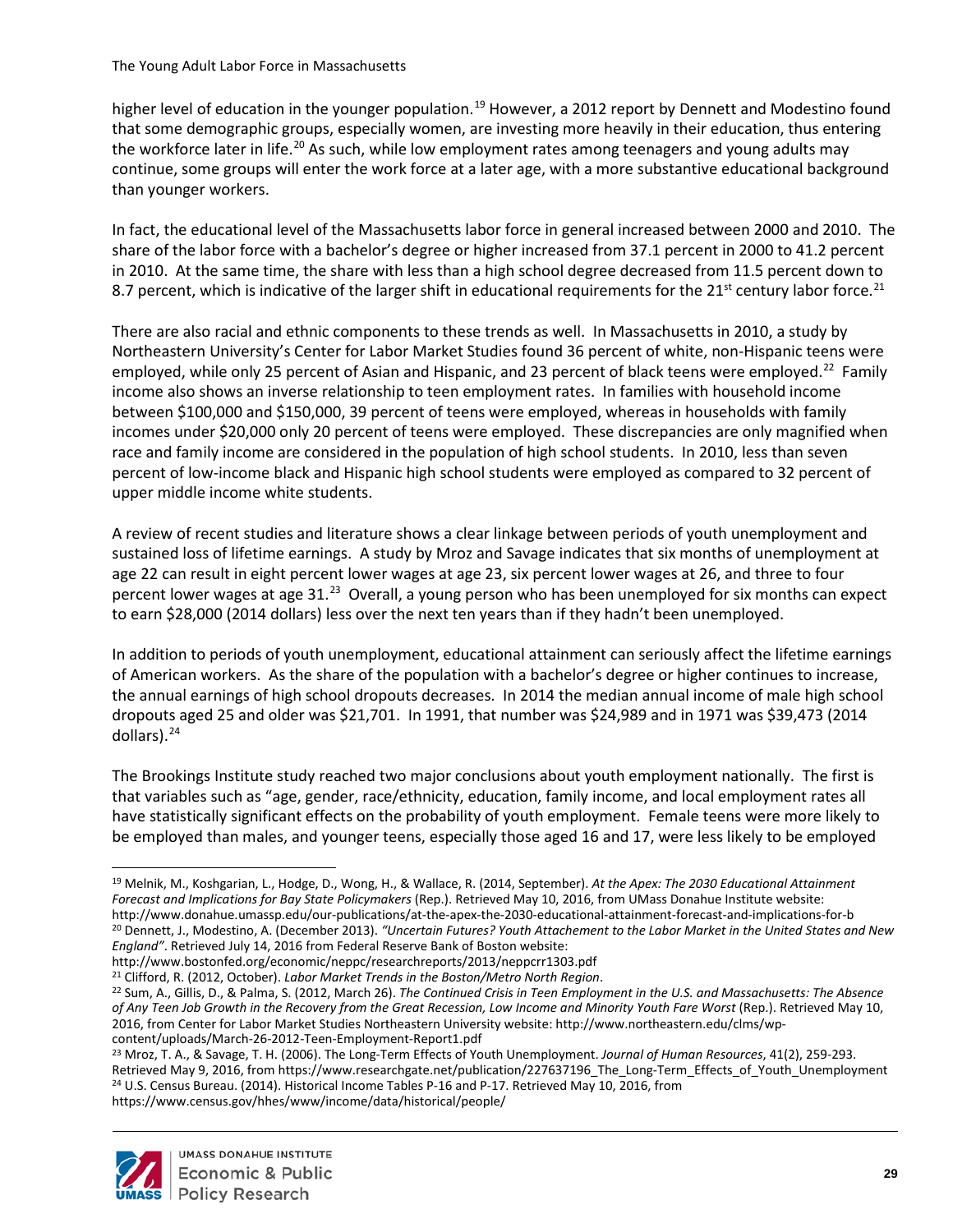higher level of education in the younger population.<sup>[19](#page-33-0)</sup> However, a 2012 report by Dennett and Modestino found that some demographic groups, especially women, are investing more heavily in their education, thus entering the workforce later in life.<sup>[20](#page-33-1)</sup> As such, while low employment rates among teenagers and young adults may continue, some groups will enter the work force at a later age, with a more substantive educational background than younger workers.

In fact, the educational level of the Massachusetts labor force in general increased between 2000 and 2010. The share of the labor force with a bachelor's degree or higher increased from 37.1 percent in 2000 to 41.2 percent in 2010. At the same time, the share with less than a high school degree decreased from 11.5 percent down to 8.7 percent, which is indicative of the larger shift in educational requirements for the  $21^{st}$  $21^{st}$  century labor force.<sup>21</sup>

There are also racial and ethnic components to these trends as well. In Massachusetts in 2010, a study by Northeastern University's Center for Labor Market Studies found 36 percent of white, non-Hispanic teens were employed, while only 25 percent of Asian and Hispanic, and 23 percent of black teens were employed.<sup>[22](#page-33-3)</sup> Family income also shows an inverse relationship to teen employment rates. In families with household income between \$100,000 and \$150,000, 39 percent of teens were employed, whereas in households with family incomes under \$20,000 only 20 percent of teens were employed. These discrepancies are only magnified when race and family income are considered in the population of high school students. In 2010, less than seven percent of low-income black and Hispanic high school students were employed as compared to 32 percent of upper middle income white students.

A review of recent studies and literature shows a clear linkage between periods of youth unemployment and sustained loss of lifetime earnings. A study by Mroz and Savage indicates that six months of unemployment at age 22 can result in eight percent lower wages at age 23, six percent lower wages at 26, and three to four percent lower wages at age 31.[23](#page-33-4) Overall, a young person who has been unemployed for six months can expect to earn \$28,000 (2014 dollars) less over the next ten years than if they hadn't been unemployed.

In addition to periods of youth unemployment, educational attainment can seriously affect the lifetime earnings of American workers. As the share of the population with a bachelor's degree or higher continues to increase, the annual earnings of high school dropouts decreases. In 2014 the median annual income of male high school dropouts aged 25 and older was \$21,701. In 1991, that number was \$24,989 and in 1971 was \$39,473 (2014 dollars).[24](#page-33-5)

The Brookings Institute study reached two major conclusions about youth employment nationally. The first is that variables such as "age, gender, race/ethnicity, education, family income, and local employment rates all have statistically significant effects on the probability of youth employment. Female teens were more likely to be employed than males, and younger teens, especially those aged 16 and 17, were less likely to be employed

<span id="page-33-5"></span><span id="page-33-4"></span><sup>23</sup> Mroz, T. A., & Savage, T. H. (2006). The Long-Term Effects of Youth Unemployment. *Journal of Human Resources*, 41(2), 259-293. Retrieved May 9, 2016, from https://www.researchgate.net/publication/227637196 The Long-Term Effects of Youth Unemployment <sup>24</sup> U.S. Census Bureau. (2014). Historical Income Tables P-16 and P-17. Retrieved May 10, 2016, from https://www.census.gov/hhes/www/income/data/historical/people/



<span id="page-33-0"></span> $\overline{a}$ <sup>19</sup> Melnik, M., Koshgarian, L., Hodge, D., Wong, H., & Wallace, R. (2014, September). *At the Apex: The 2030 Educational Attainment Forecast and Implications for Bay State Policymakers* (Rep.). Retrieved May 10, 2016, from UMass Donahue Institute website: http://www.donahue.umassp.edu/our-publications/at-the-apex-the-2030-educational-attainment-forecast-and-implications-for-b <sup>20</sup> Dennett, J., Modestino, A. (December 2013). *"Uncertain Futures? Youth Attachement to the Labor Market in the United States and New England"*. Retrieved July 14, 2016 from Federal Reserve Bank of Boston website:

<span id="page-33-1"></span>http://www.bostonfed.org/economic/neppc/researchreports/2013/neppcrr1303.pdf

<span id="page-33-2"></span><sup>21</sup> Clifford, R. (2012, October). *Labor Market Trends in the Boston/Metro North Region*.

<span id="page-33-3"></span><sup>22</sup> Sum, A., Gillis, D., & Palma, S. (2012, March 26). *The Continued Crisis in Teen Employment in the U.S. and Massachusetts: The Absence of Any Teen Job Growth in the Recovery from the Great Recession, Low Income and Minority Youth Fare Worst* (Rep.). Retrieved May 10, 2016, from Center for Labor Market Studies Northeastern University website: http://www.northeastern.edu/clms/wpcontent/uploads/March-26-2012-Teen-Employment-Report1.pdf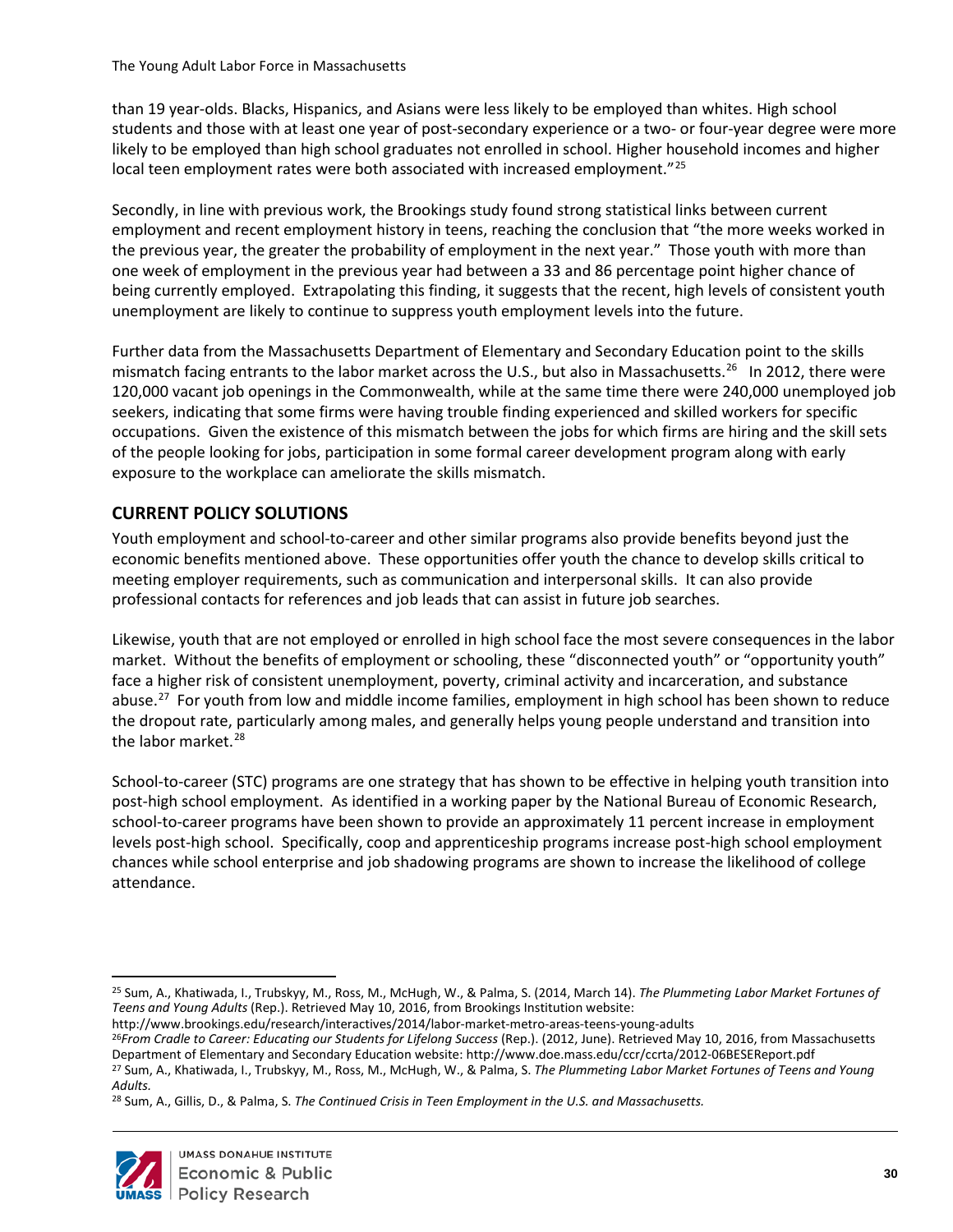than 19 year-olds. Blacks, Hispanics, and Asians were less likely to be employed than whites. High school students and those with at least one year of post-secondary experience or a two- or four-year degree were more likely to be employed than high school graduates not enrolled in school. Higher household incomes and higher local teen employment rates were both associated with increased employment."<sup>[25](#page-34-1)</sup>

Secondly, in line with previous work, the Brookings study found strong statistical links between current employment and recent employment history in teens, reaching the conclusion that "the more weeks worked in the previous year, the greater the probability of employment in the next year." Those youth with more than one week of employment in the previous year had between a 33 and 86 percentage point higher chance of being currently employed. Extrapolating this finding, it suggests that the recent, high levels of consistent youth unemployment are likely to continue to suppress youth employment levels into the future.

Further data from the Massachusetts Department of Elementary and Secondary Education point to the skills mismatch facing entrants to the labor market across the U.S., but also in Massachusetts.<sup>26</sup> In 2012, there were 120,000 vacant job openings in the Commonwealth, while at the same time there were 240,000 unemployed job seekers, indicating that some firms were having trouble finding experienced and skilled workers for specific occupations. Given the existence of this mismatch between the jobs for which firms are hiring and the skill sets of the people looking for jobs, participation in some formal career development program along with early exposure to the workplace can ameliorate the skills mismatch.

# <span id="page-34-0"></span>**CURRENT POLICY SOLUTIONS**

Youth employment and school-to-career and other similar programs also provide benefits beyond just the economic benefits mentioned above. These opportunities offer youth the chance to develop skills critical to meeting employer requirements, such as communication and interpersonal skills. It can also provide professional contacts for references and job leads that can assist in future job searches.

Likewise, youth that are not employed or enrolled in high school face the most severe consequences in the labor market. Without the benefits of employment or schooling, these "disconnected youth" or "opportunity youth" face a higher risk of consistent unemployment, poverty, criminal activity and incarceration, and substance abuse.<sup>27</sup> For youth from low and middle income families, employment in high school has been shown to reduce the dropout rate, particularly among males, and generally helps young people understand and transition into the labor market. $^{28}$ 

School-to-career (STC) programs are one strategy that has shown to be effective in helping youth transition into post-high school employment. As identified in a working paper by the National Bureau of Economic Research, school-to-career programs have been shown to provide an approximately 11 percent increase in employment levels post-high school. Specifically, coop and apprenticeship programs increase post-high school employment chances while school enterprise and job shadowing programs are shown to increase the likelihood of college attendance.

<span id="page-34-4"></span><sup>28</sup> Sum, A., Gillis, D., & Palma, S. *The Continued Crisis in Teen Employment in the U.S. and Massachusetts.*



 $\overline{a}$ 

<span id="page-34-1"></span><sup>25</sup> Sum, A., Khatiwada, I., Trubskyy, M., Ross, M., McHugh, W., & Palma, S. (2014, March 14). *The Plummeting Labor Market Fortunes of Teens and Young Adults* (Rep.). Retrieved May 10, 2016, from Brookings Institution website:

http://www.brookings.edu/research/interactives/2014/labor-market-metro-areas-teens-young-adults

<span id="page-34-2"></span><sup>26</sup>*From Cradle to Career: Educating our Students for Lifelong Success* (Rep.). (2012, June). Retrieved May 10, 2016, from Massachusetts Department of Elementary and Secondary Education website: http://www.doe.mass.edu/ccr/ccrta/2012-06BESEReport.pdf

<span id="page-34-3"></span><sup>27</sup> Sum, A., Khatiwada, I., Trubskyy, M., Ross, M., McHugh, W., & Palma, S. *The Plummeting Labor Market Fortunes of Teens and Young Adults.*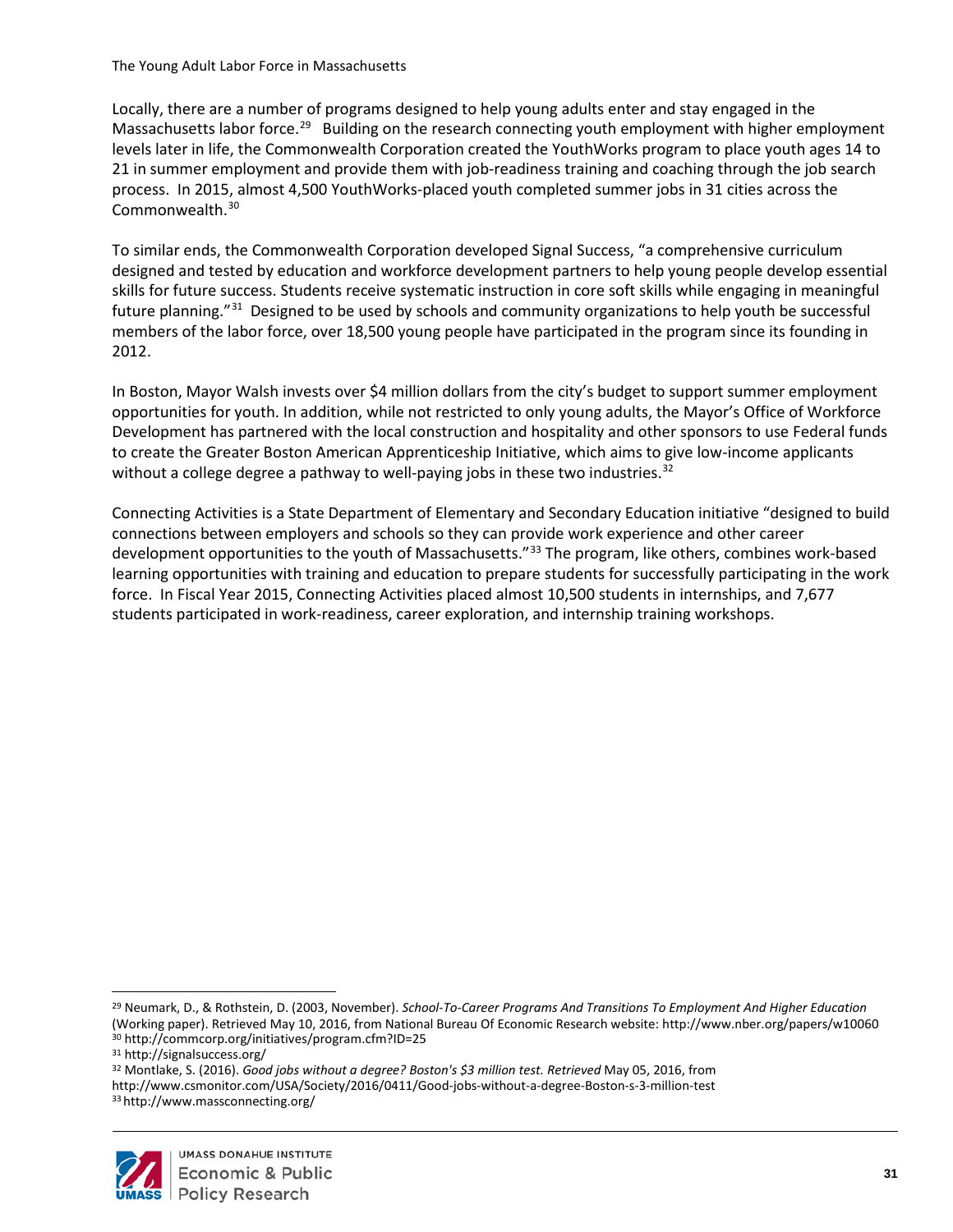Locally, there are a number of programs designed to help young adults enter and stay engaged in the Massachusetts labor force.<sup>29</sup> Building on the research connecting youth employment with higher employment levels later in life, the Commonwealth Corporation created the YouthWorks program to place youth ages 14 to 21 in summer employment and provide them with job-readiness training and coaching through the job search process. In 2015, almost 4,500 YouthWorks-placed youth completed summer jobs in 31 cities across the Commonwealth.[30](#page-35-1)

To similar ends, the Commonwealth Corporation developed Signal Success, "a comprehensive curriculum designed and tested by education and workforce development partners to help young people develop essential skills for future success. Students receive systematic instruction in core soft skills while engaging in meaningful future planning."[31](#page-35-2) Designed to be used by schools and community organizations to help youth be successful members of the labor force, over 18,500 young people have participated in the program since its founding in 2012.

In Boston, Mayor Walsh invests over \$4 million dollars from the city's budget to support summer employment opportunities for youth. In addition, while not restricted to only young adults, the Mayor's Office of Workforce Development has partnered with the local construction and hospitality and other sponsors to use Federal funds to create the Greater Boston American Apprenticeship Initiative, which aims to give low-income applicants without a college degree a pathway to well-paying jobs in these two industries.<sup>[32](#page-35-3)</sup>

Connecting Activities is a State Department of Elementary and Secondary Education initiative "designed to build connections between employers and schools so they can provide work experience and other career development opportunities to the youth of Massachusetts."<sup>[33](#page-35-4)</sup> The program, like others, combines work-based learning opportunities with training and education to prepare students for successfully participating in the work force. In Fiscal Year 2015, Connecting Activities placed almost 10,500 students in internships, and 7,677 students participated in work-readiness, career exploration, and internship training workshops.

<span id="page-35-4"></span><span id="page-35-3"></span><span id="page-35-2"></span><sup>32</sup> Montlake, S. (2016). *Good jobs without a degree? Boston's \$3 million test. Retrieved* May 05, 2016, from http://www.csmonitor.com/USA/Society/2016/0411/Good-jobs-without-a-degree-Boston-s-3-million-test <sup>33</sup> http://www.massconnecting.org/



<span id="page-35-0"></span> $\overline{a}$ <sup>29</sup> Neumark, D., & Rothstein, D. (2003, November). *School-To-Career Programs And Transitions To Employment And Higher Education* (Working paper). Retrieved May 10, 2016, from National Bureau Of Economic Research website: http://www.nber.org/papers/w10060 <sup>30</sup> http://commcorp.org/initiatives/program.cfm?ID=25

<span id="page-35-1"></span><sup>31</sup> http://signalsuccess.org/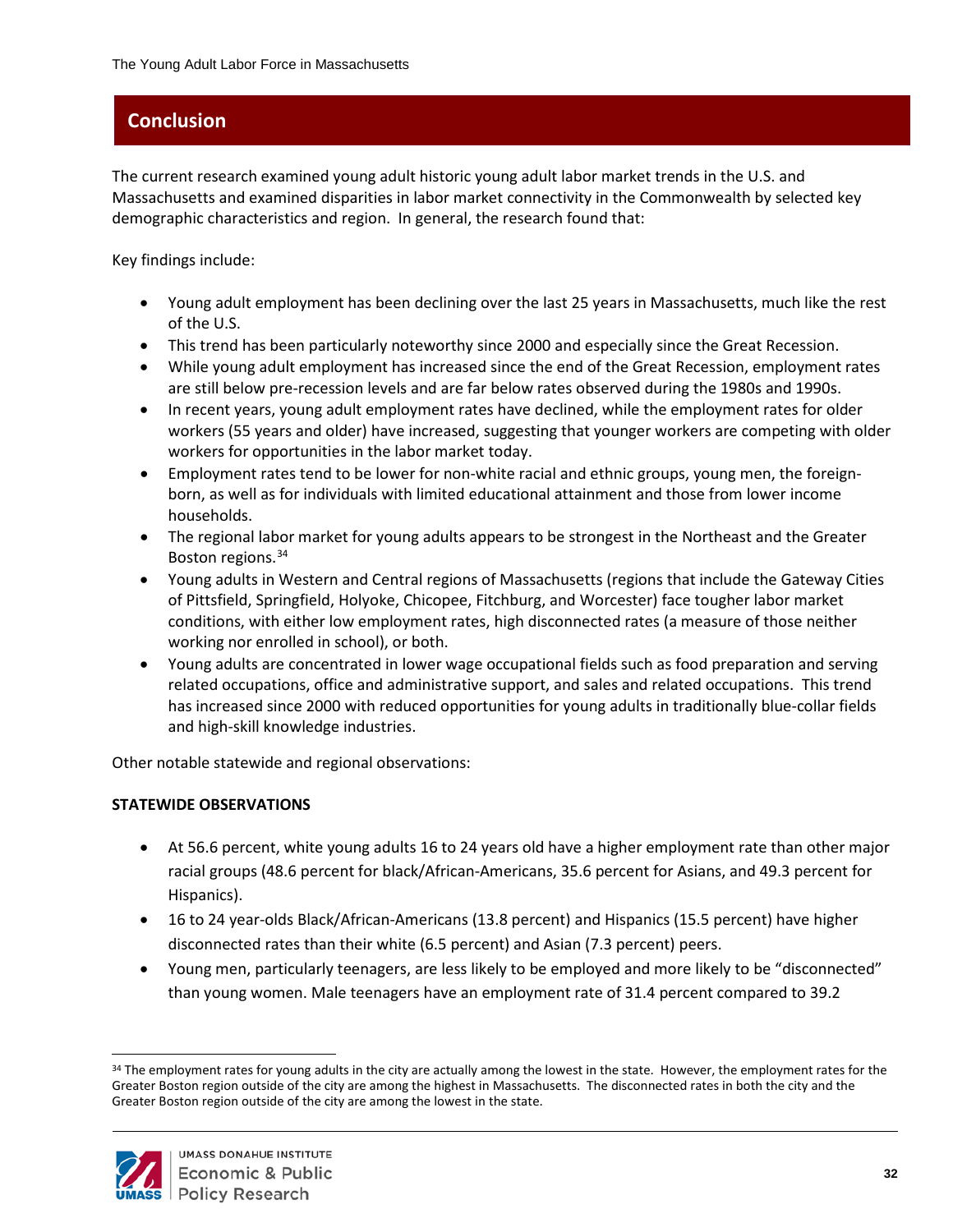# <span id="page-36-0"></span>**Conclusion**

The current research examined young adult historic young adult labor market trends in the U.S. and Massachusetts and examined disparities in labor market connectivity in the Commonwealth by selected key demographic characteristics and region. In general, the research found that:

Key findings include:

- Young adult employment has been declining over the last 25 years in Massachusetts, much like the rest of the U.S.
- This trend has been particularly noteworthy since 2000 and especially since the Great Recession.
- While young adult employment has increased since the end of the Great Recession, employment rates are still below pre-recession levels and are far below rates observed during the 1980s and 1990s.
- In recent years, young adult employment rates have declined, while the employment rates for older workers (55 years and older) have increased, suggesting that younger workers are competing with older workers for opportunities in the labor market today.
- Employment rates tend to be lower for non-white racial and ethnic groups, young men, the foreignborn, as well as for individuals with limited educational attainment and those from lower income households.
- The regional labor market for young adults appears to be strongest in the Northeast and the Greater Boston regions.<sup>[34](#page-36-1)</sup>
- Young adults in Western and Central regions of Massachusetts (regions that include the Gateway Cities of Pittsfield, Springfield, Holyoke, Chicopee, Fitchburg, and Worcester) face tougher labor market conditions, with either low employment rates, high disconnected rates (a measure of those neither working nor enrolled in school), or both.
- Young adults are concentrated in lower wage occupational fields such as food preparation and serving related occupations, office and administrative support, and sales and related occupations. This trend has increased since 2000 with reduced opportunities for young adults in traditionally blue-collar fields and high-skill knowledge industries.

Other notable statewide and regional observations:

#### **STATEWIDE OBSERVATIONS**

- At 56.6 percent, white young adults 16 to 24 years old have a higher employment rate than other major racial groups (48.6 percent for black/African-Americans, 35.6 percent for Asians, and 49.3 percent for Hispanics).
- 16 to 24 year-olds Black/African-Americans (13.8 percent) and Hispanics (15.5 percent) have higher disconnected rates than their white (6.5 percent) and Asian (7.3 percent) peers.
- Young men, particularly teenagers, are less likely to be employed and more likely to be "disconnected" than young women. Male teenagers have an employment rate of 31.4 percent compared to 39.2

<span id="page-36-1"></span><sup>&</sup>lt;sup>34</sup> The employment rates for young adults in the city are actually among the lowest in the state. However, the employment rates for the Greater Boston region outside of the city are among the highest in Massachusetts. The disconnected rates in both the city and the Greater Boston region outside of the city are among the lowest in the state.



 $\overline{a}$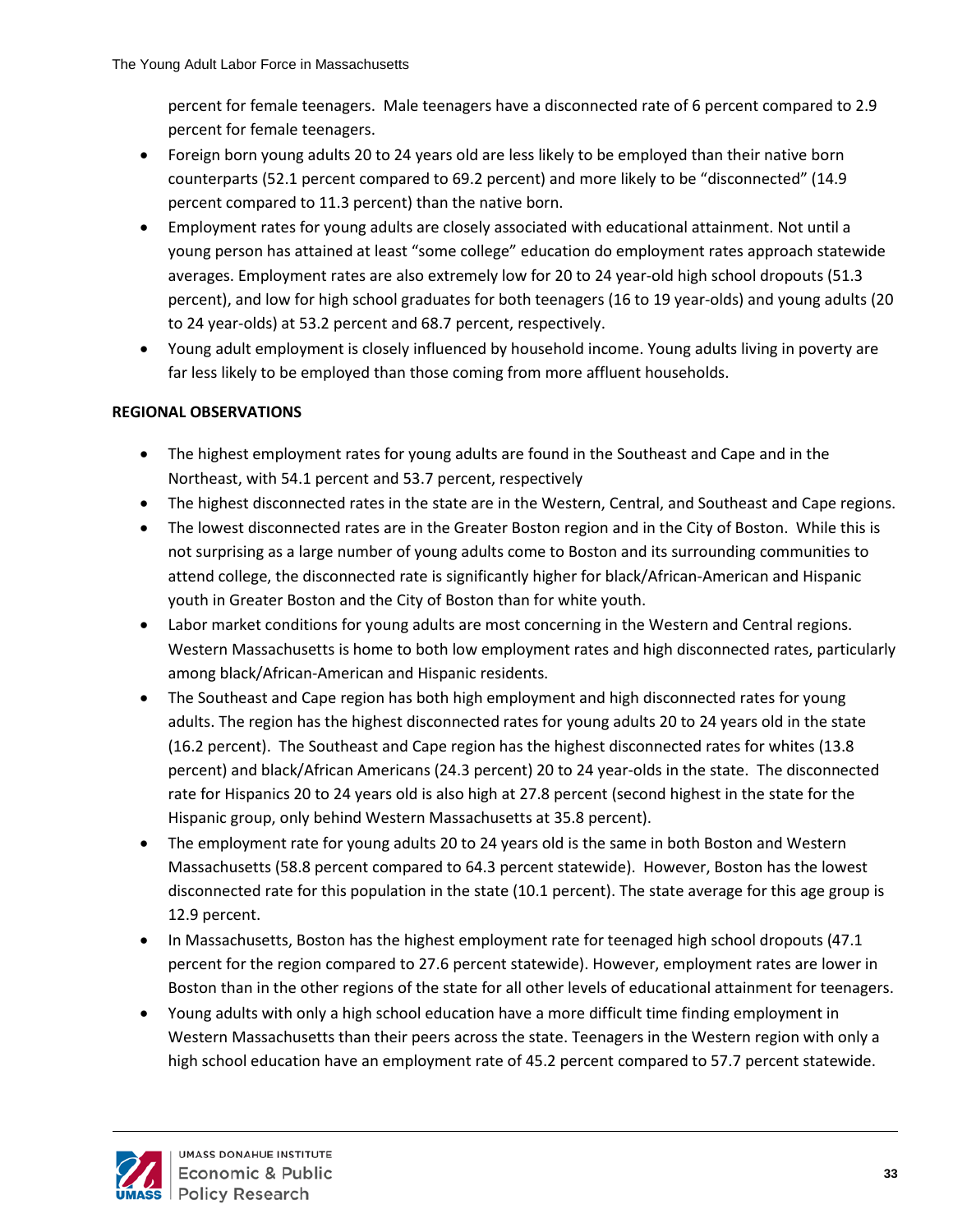percent for female teenagers. Male teenagers have a disconnected rate of 6 percent compared to 2.9 percent for female teenagers.

- Foreign born young adults 20 to 24 years old are less likely to be employed than their native born counterparts (52.1 percent compared to 69.2 percent) and more likely to be "disconnected" (14.9 percent compared to 11.3 percent) than the native born.
- Employment rates for young adults are closely associated with educational attainment. Not until a young person has attained at least "some college" education do employment rates approach statewide averages. Employment rates are also extremely low for 20 to 24 year-old high school dropouts (51.3 percent), and low for high school graduates for both teenagers (16 to 19 year-olds) and young adults (20 to 24 year-olds) at 53.2 percent and 68.7 percent, respectively.
- Young adult employment is closely influenced by household income. Young adults living in poverty are far less likely to be employed than those coming from more affluent households.

#### **REGIONAL OBSERVATIONS**

- The highest employment rates for young adults are found in the Southeast and Cape and in the Northeast, with 54.1 percent and 53.7 percent, respectively
- The highest disconnected rates in the state are in the Western, Central, and Southeast and Cape regions.
- The lowest disconnected rates are in the Greater Boston region and in the City of Boston. While this is not surprising as a large number of young adults come to Boston and its surrounding communities to attend college, the disconnected rate is significantly higher for black/African-American and Hispanic youth in Greater Boston and the City of Boston than for white youth.
- Labor market conditions for young adults are most concerning in the Western and Central regions. Western Massachusetts is home to both low employment rates and high disconnected rates, particularly among black/African-American and Hispanic residents.
- The Southeast and Cape region has both high employment and high disconnected rates for young adults. The region has the highest disconnected rates for young adults 20 to 24 years old in the state (16.2 percent). The Southeast and Cape region has the highest disconnected rates for whites (13.8 percent) and black/African Americans (24.3 percent) 20 to 24 year-olds in the state. The disconnected rate for Hispanics 20 to 24 years old is also high at 27.8 percent (second highest in the state for the Hispanic group, only behind Western Massachusetts at 35.8 percent).
- The employment rate for young adults 20 to 24 years old is the same in both Boston and Western Massachusetts (58.8 percent compared to 64.3 percent statewide). However, Boston has the lowest disconnected rate for this population in the state (10.1 percent). The state average for this age group is 12.9 percent.
- In Massachusetts, Boston has the highest employment rate for teenaged high school dropouts (47.1) percent for the region compared to 27.6 percent statewide). However, employment rates are lower in Boston than in the other regions of the state for all other levels of educational attainment for teenagers.
- Young adults with only a high school education have a more difficult time finding employment in Western Massachusetts than their peers across the state. Teenagers in the Western region with only a high school education have an employment rate of 45.2 percent compared to 57.7 percent statewide.

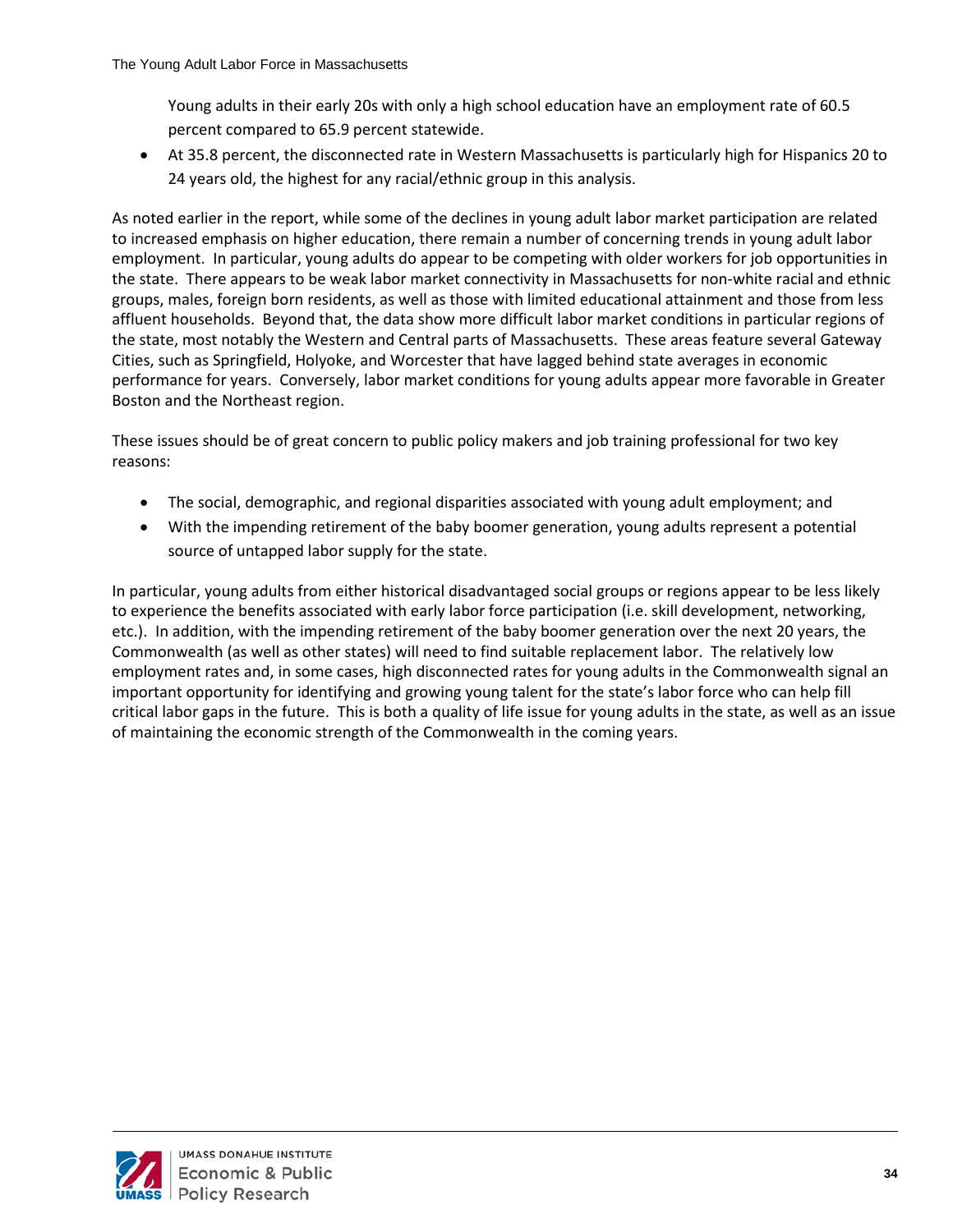Young adults in their early 20s with only a high school education have an employment rate of 60.5 percent compared to 65.9 percent statewide.

• At 35.8 percent, the disconnected rate in Western Massachusetts is particularly high for Hispanics 20 to 24 years old, the highest for any racial/ethnic group in this analysis.

As noted earlier in the report, while some of the declines in young adult labor market participation are related to increased emphasis on higher education, there remain a number of concerning trends in young adult labor employment. In particular, young adults do appear to be competing with older workers for job opportunities in the state. There appears to be weak labor market connectivity in Massachusetts for non-white racial and ethnic groups, males, foreign born residents, as well as those with limited educational attainment and those from less affluent households. Beyond that, the data show more difficult labor market conditions in particular regions of the state, most notably the Western and Central parts of Massachusetts. These areas feature several Gateway Cities, such as Springfield, Holyoke, and Worcester that have lagged behind state averages in economic performance for years. Conversely, labor market conditions for young adults appear more favorable in Greater Boston and the Northeast region.

These issues should be of great concern to public policy makers and job training professional for two key reasons:

- The social, demographic, and regional disparities associated with young adult employment; and
- With the impending retirement of the baby boomer generation, young adults represent a potential source of untapped labor supply for the state.

In particular, young adults from either historical disadvantaged social groups or regions appear to be less likely to experience the benefits associated with early labor force participation (i.e. skill development, networking, etc.). In addition, with the impending retirement of the baby boomer generation over the next 20 years, the Commonwealth (as well as other states) will need to find suitable replacement labor. The relatively low employment rates and, in some cases, high disconnected rates for young adults in the Commonwealth signal an important opportunity for identifying and growing young talent for the state's labor force who can help fill critical labor gaps in the future. This is both a quality of life issue for young adults in the state, as well as an issue of maintaining the economic strength of the Commonwealth in the coming years.

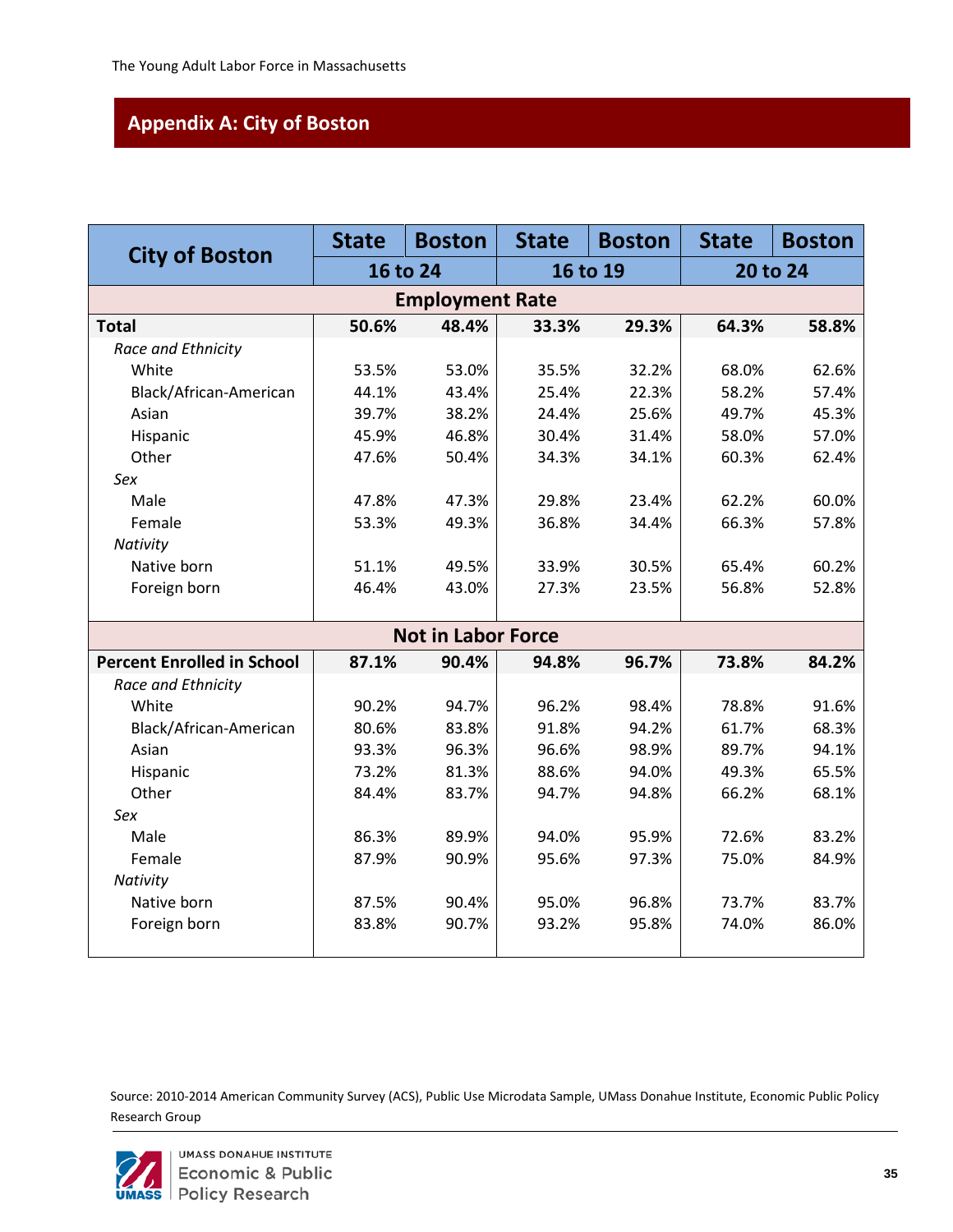# <span id="page-39-0"></span>**Appendix A: City of Boston**

|                                   | <b>State</b> | <b>Boston</b>             | <b>State</b> | <b>Boston</b> | <b>State</b> | <b>Boston</b> |
|-----------------------------------|--------------|---------------------------|--------------|---------------|--------------|---------------|
| <b>City of Boston</b>             |              | 16 to 24                  |              | 16 to 19      |              | 20 to 24      |
|                                   |              |                           |              |               |              |               |
| <b>Total</b>                      | 50.6%        | 48.4%                     | 33.3%        | 29.3%         | 64.3%        | 58.8%         |
| Race and Ethnicity                |              |                           |              |               |              |               |
| White                             | 53.5%        | 53.0%                     | 35.5%        | 32.2%         | 68.0%        | 62.6%         |
| Black/African-American            | 44.1%        | 43.4%                     | 25.4%        | 22.3%         | 58.2%        | 57.4%         |
| Asian                             | 39.7%        | 38.2%                     | 24.4%        | 25.6%         | 49.7%        | 45.3%         |
| Hispanic                          | 45.9%        | 46.8%                     | 30.4%        | 31.4%         | 58.0%        | 57.0%         |
| Other                             | 47.6%        | 50.4%                     | 34.3%        | 34.1%         | 60.3%        | 62.4%         |
| Sex                               |              |                           |              |               |              |               |
| Male                              | 47.8%        | 47.3%                     | 29.8%        | 23.4%         | 62.2%        | 60.0%         |
| Female                            | 53.3%        | 49.3%                     | 36.8%        | 34.4%         | 66.3%        | 57.8%         |
| Nativity                          |              |                           |              |               |              |               |
| Native born                       | 51.1%        | 49.5%                     | 33.9%        | 30.5%         | 65.4%        | 60.2%         |
| Foreign born                      | 46.4%        | 43.0%                     | 27.3%        | 23.5%         | 56.8%        | 52.8%         |
|                                   |              |                           |              |               |              |               |
|                                   |              | <b>Not in Labor Force</b> |              |               |              |               |
| <b>Percent Enrolled in School</b> | 87.1%        | 90.4%                     | 94.8%        | 96.7%         | 73.8%        | 84.2%         |
| Race and Ethnicity                |              |                           |              |               |              |               |
| White                             | 90.2%        | 94.7%                     | 96.2%        | 98.4%         | 78.8%        | 91.6%         |
| Black/African-American            | 80.6%        | 83.8%                     | 91.8%        | 94.2%         | 61.7%        | 68.3%         |
| Asian                             | 93.3%        | 96.3%                     | 96.6%        | 98.9%         | 89.7%        | 94.1%         |
| Hispanic                          | 73.2%        | 81.3%                     | 88.6%        | 94.0%         | 49.3%        | 65.5%         |
| Other                             | 84.4%        | 83.7%                     | 94.7%        | 94.8%         | 66.2%        | 68.1%         |
| Sex                               |              |                           |              |               |              |               |
| Male                              | 86.3%        | 89.9%                     | 94.0%        | 95.9%         | 72.6%        | 83.2%         |
| Female                            | 87.9%        | 90.9%                     | 95.6%        | 97.3%         | 75.0%        | 84.9%         |
| Nativity                          |              |                           |              |               |              |               |
| Native born                       | 87.5%        | 90.4%                     | 95.0%        | 96.8%         | 73.7%        | 83.7%         |
| Foreign born                      | 83.8%        | 90.7%                     | 93.2%        | 95.8%         | 74.0%        | 86.0%         |
|                                   |              |                           |              |               |              |               |

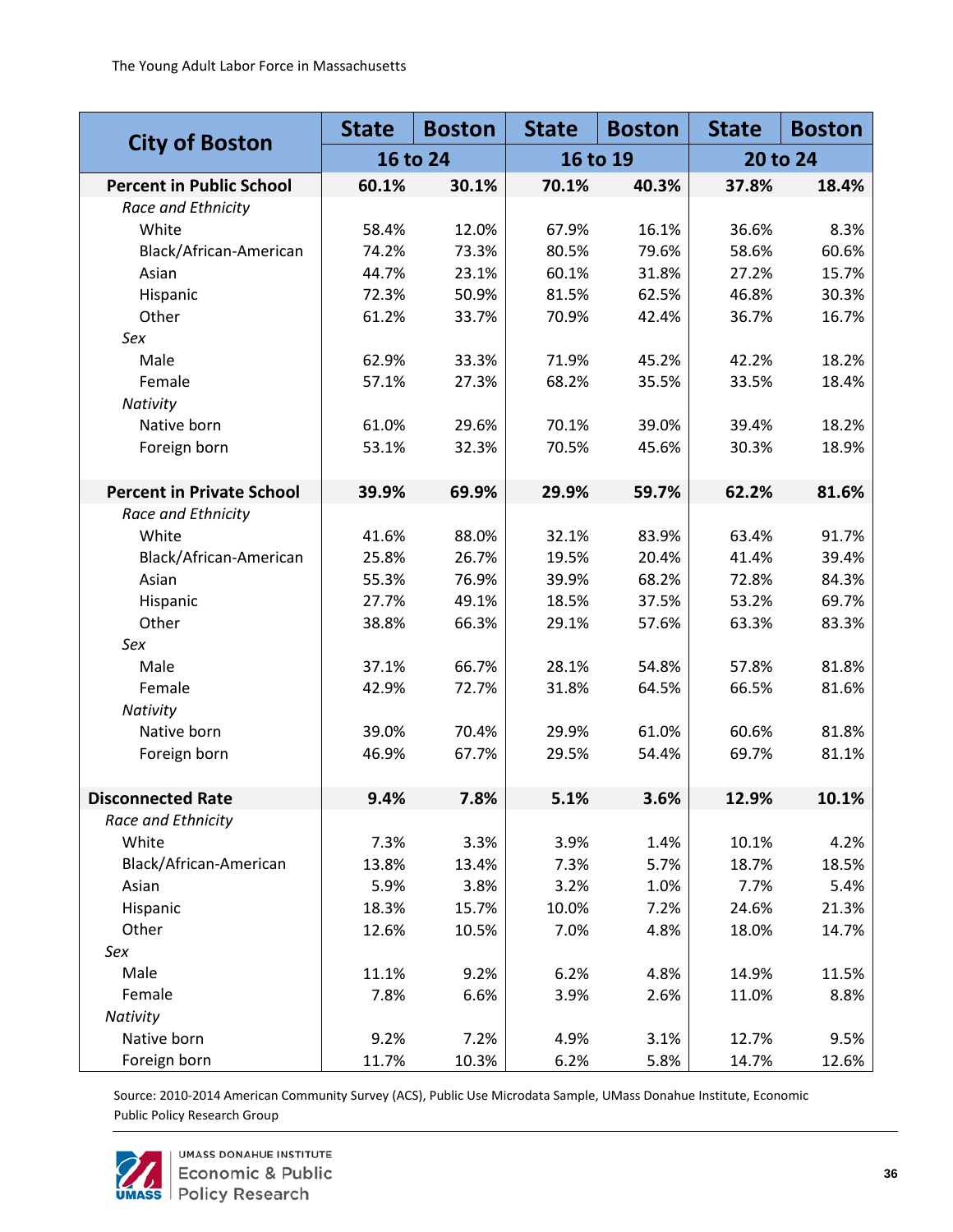|                                  | <b>State</b> | <b>Boston</b> | <b>State</b> | <b>Boston</b> | <b>State</b> | <b>Boston</b> |  |
|----------------------------------|--------------|---------------|--------------|---------------|--------------|---------------|--|
| <b>City of Boston</b>            |              | 16 to 24      | 16 to 19     |               | 20 to 24     |               |  |
| <b>Percent in Public School</b>  | 60.1%        | 30.1%         | 70.1%        | 40.3%         | 37.8%        | 18.4%         |  |
| Race and Ethnicity               |              |               |              |               |              |               |  |
| White                            | 58.4%        | 12.0%         | 67.9%        | 16.1%         | 36.6%        | 8.3%          |  |
| Black/African-American           | 74.2%        | 73.3%         | 80.5%        | 79.6%         | 58.6%        | 60.6%         |  |
| Asian                            | 44.7%        | 23.1%         | 60.1%        | 31.8%         | 27.2%        | 15.7%         |  |
| Hispanic                         | 72.3%        | 50.9%         | 81.5%        | 62.5%         | 46.8%        | 30.3%         |  |
| Other                            | 61.2%        | 33.7%         | 70.9%        | 42.4%         | 36.7%        | 16.7%         |  |
| Sex                              |              |               |              |               |              |               |  |
| Male                             | 62.9%        | 33.3%         | 71.9%        | 45.2%         | 42.2%        | 18.2%         |  |
| Female                           | 57.1%        | 27.3%         | 68.2%        | 35.5%         | 33.5%        | 18.4%         |  |
| Nativity                         |              |               |              |               |              |               |  |
| Native born                      | 61.0%        | 29.6%         | 70.1%        | 39.0%         | 39.4%        | 18.2%         |  |
| Foreign born                     | 53.1%        | 32.3%         | 70.5%        | 45.6%         | 30.3%        | 18.9%         |  |
|                                  |              |               |              |               |              |               |  |
| <b>Percent in Private School</b> | 39.9%        | 69.9%         | 29.9%        | 59.7%         | 62.2%        | 81.6%         |  |
| Race and Ethnicity               |              |               |              |               |              |               |  |
| White                            | 41.6%        | 88.0%         | 32.1%        | 83.9%         | 63.4%        | 91.7%         |  |
| Black/African-American           | 25.8%        | 26.7%         | 19.5%        | 20.4%         | 41.4%        | 39.4%         |  |
| Asian                            | 55.3%        | 76.9%         | 39.9%        | 68.2%         | 72.8%        | 84.3%         |  |
| Hispanic                         | 27.7%        | 49.1%         | 18.5%        | 37.5%         | 53.2%        | 69.7%         |  |
| Other                            | 38.8%        | 66.3%         | 29.1%        | 57.6%         | 63.3%        | 83.3%         |  |
| Sex                              |              |               |              |               |              |               |  |
| Male                             | 37.1%        | 66.7%         | 28.1%        | 54.8%         | 57.8%        | 81.8%         |  |
| Female                           | 42.9%        | 72.7%         | 31.8%        | 64.5%         | 66.5%        | 81.6%         |  |
| Nativity                         |              |               |              |               |              |               |  |
| Native born                      | 39.0%        | 70.4%         | 29.9%        | 61.0%         | 60.6%        | 81.8%         |  |
| Foreign born                     | 46.9%        | 67.7%         | 29.5%        | 54.4%         | 69.7%        | 81.1%         |  |
|                                  |              |               |              |               |              |               |  |
| <b>Disconnected Rate</b>         | 9.4%         | 7.8%          | 5.1%         | 3.6%          | 12.9%        | 10.1%         |  |
| Race and Ethnicity               |              |               |              |               |              |               |  |
| White                            | 7.3%         | 3.3%          | 3.9%         | 1.4%          | 10.1%        | 4.2%          |  |
| Black/African-American           | 13.8%        | 13.4%         | 7.3%         | 5.7%          | 18.7%        | 18.5%         |  |
| Asian                            | 5.9%         | 3.8%          | 3.2%         | 1.0%          | 7.7%         | 5.4%          |  |
| Hispanic                         | 18.3%        | 15.7%         | 10.0%        | 7.2%          | 24.6%        | 21.3%         |  |
| Other                            | 12.6%        | 10.5%         | 7.0%         | 4.8%          | 18.0%        | 14.7%         |  |
| Sex                              |              |               |              |               |              |               |  |
| Male                             | 11.1%        | 9.2%          | 6.2%         | 4.8%          | 14.9%        | 11.5%         |  |
| Female                           | 7.8%         | 6.6%          | 3.9%         | 2.6%          | 11.0%        | 8.8%          |  |
| Nativity                         |              |               |              |               |              |               |  |
| Native born                      | 9.2%         | 7.2%          | 4.9%         | 3.1%          | 12.7%        | 9.5%          |  |
| Foreign born                     | 11.7%        | 10.3%         | 6.2%         | 5.8%          | 14.7%        | 12.6%         |  |

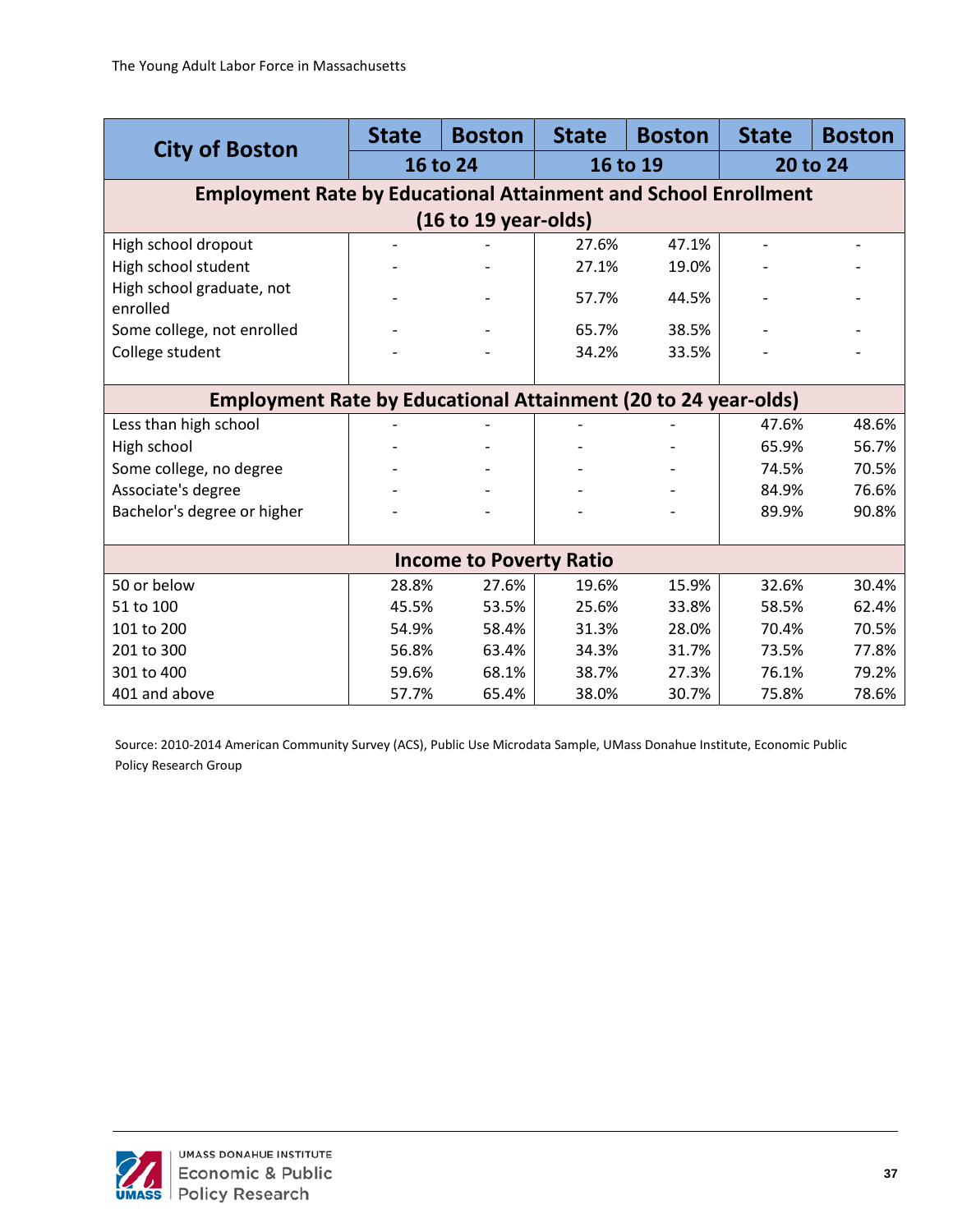|                                                                        | <b>State</b> | <b>Boston</b>                  | <b>State</b> | <b>Boston</b> | <b>State</b> | <b>Boston</b> |  |  |  |
|------------------------------------------------------------------------|--------------|--------------------------------|--------------|---------------|--------------|---------------|--|--|--|
| <b>City of Boston</b>                                                  |              | 16 to 24                       |              | 16 to 19      | 20 to 24     |               |  |  |  |
| <b>Employment Rate by Educational Attainment and School Enrollment</b> |              |                                |              |               |              |               |  |  |  |
| (16 to 19 years)                                                       |              |                                |              |               |              |               |  |  |  |
| High school dropout                                                    |              |                                | 27.6%        | 47.1%         |              |               |  |  |  |
| High school student                                                    |              |                                | 27.1%        | 19.0%         |              |               |  |  |  |
| High school graduate, not<br>enrolled                                  |              |                                | 57.7%        | 44.5%         |              |               |  |  |  |
| Some college, not enrolled                                             |              |                                | 65.7%        | 38.5%         |              |               |  |  |  |
| College student                                                        |              |                                | 34.2%        | 33.5%         |              |               |  |  |  |
|                                                                        |              |                                |              |               |              |               |  |  |  |
| <b>Employment Rate by Educational Attainment (20 to 24 year-olds)</b>  |              |                                |              |               |              |               |  |  |  |
| Less than high school                                                  |              |                                |              |               | 47.6%        | 48.6%         |  |  |  |
| High school                                                            |              |                                |              |               | 65.9%        | 56.7%         |  |  |  |
| Some college, no degree                                                |              |                                |              |               | 74.5%        | 70.5%         |  |  |  |
| Associate's degree                                                     |              |                                |              |               | 84.9%        | 76.6%         |  |  |  |
| Bachelor's degree or higher                                            |              |                                |              |               | 89.9%        | 90.8%         |  |  |  |
|                                                                        |              |                                |              |               |              |               |  |  |  |
|                                                                        |              | <b>Income to Poverty Ratio</b> |              |               |              |               |  |  |  |
| 50 or below                                                            | 28.8%        | 27.6%                          | 19.6%        | 15.9%         | 32.6%        | 30.4%         |  |  |  |
| 51 to 100                                                              | 45.5%        | 53.5%                          | 25.6%        | 33.8%         | 58.5%        | 62.4%         |  |  |  |
| 101 to 200                                                             | 54.9%        | 58.4%                          | 31.3%        | 28.0%         | 70.4%        | 70.5%         |  |  |  |
| 201 to 300                                                             | 56.8%        | 63.4%                          | 34.3%        | 31.7%         | 73.5%        | 77.8%         |  |  |  |
| 301 to 400                                                             | 59.6%        | 68.1%                          | 38.7%        | 27.3%         | 76.1%        | 79.2%         |  |  |  |
| 401 and above                                                          | 57.7%        | 65.4%                          | 38.0%        | 30.7%         | 75.8%        | 78.6%         |  |  |  |

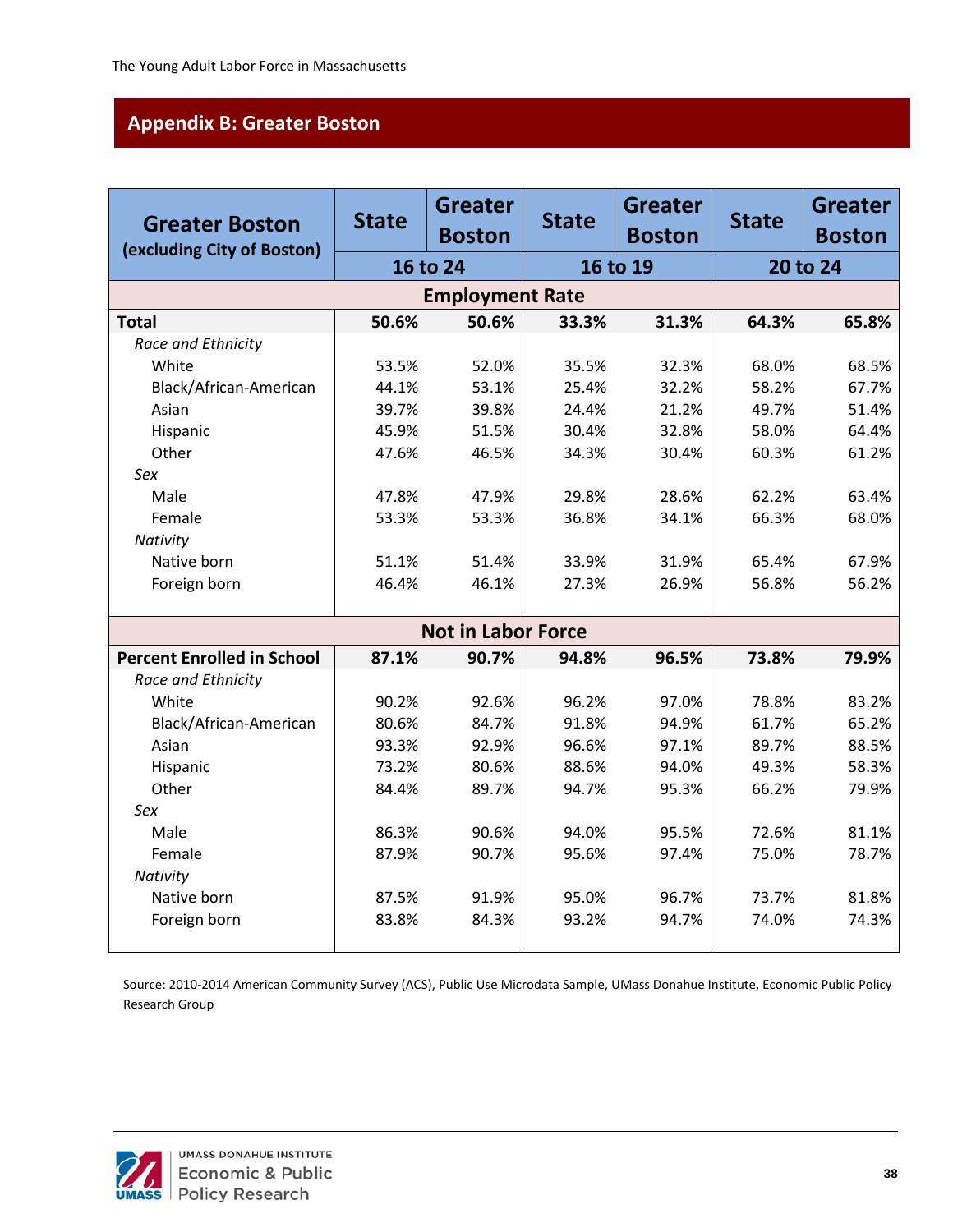# <span id="page-42-0"></span>**Appendix B: Greater Boston**

| <b>Greater Boston</b>             | <b>State</b> | <b>Greater</b><br><b>Boston</b> | <b>State</b> | <b>Greater</b><br><b>Boston</b> | <b>State</b> | <b>Greater</b><br><b>Boston</b> |
|-----------------------------------|--------------|---------------------------------|--------------|---------------------------------|--------------|---------------------------------|
| (excluding City of Boston)        | 16 to 24     |                                 |              | 16 to 19                        |              | 20 to 24                        |
|                                   |              | <b>Employment Rate</b>          |              |                                 |              |                                 |
| <b>Total</b>                      | 50.6%        | 50.6%                           | 33.3%        | 31.3%                           | 64.3%        | 65.8%                           |
| Race and Ethnicity                |              |                                 |              |                                 |              |                                 |
| White                             | 53.5%        | 52.0%                           | 35.5%        | 32.3%                           | 68.0%        | 68.5%                           |
| Black/African-American            | 44.1%        | 53.1%                           | 25.4%        | 32.2%                           | 58.2%        | 67.7%                           |
| Asian                             | 39.7%        | 39.8%                           | 24.4%        | 21.2%                           | 49.7%        | 51.4%                           |
| Hispanic                          | 45.9%        | 51.5%                           | 30.4%        | 32.8%                           | 58.0%        | 64.4%                           |
| Other                             | 47.6%        | 46.5%                           | 34.3%        | 30.4%                           | 60.3%        | 61.2%                           |
| Sex                               |              |                                 |              |                                 |              |                                 |
| Male                              | 47.8%        | 47.9%                           | 29.8%        | 28.6%                           | 62.2%        | 63.4%                           |
| Female                            | 53.3%        | 53.3%                           | 36.8%        | 34.1%                           | 66.3%        | 68.0%                           |
| Nativity                          |              |                                 |              |                                 |              |                                 |
| Native born                       | 51.1%        | 51.4%                           | 33.9%        | 31.9%                           | 65.4%        | 67.9%                           |
| Foreign born                      | 46.4%        | 46.1%                           | 27.3%        | 26.9%                           | 56.8%        | 56.2%                           |
|                                   |              |                                 |              |                                 |              |                                 |
|                                   |              | <b>Not in Labor Force</b>       |              |                                 |              |                                 |
| <b>Percent Enrolled in School</b> | 87.1%        | 90.7%                           | 94.8%        | 96.5%                           | 73.8%        | 79.9%                           |
| Race and Ethnicity                |              |                                 |              |                                 |              |                                 |
| White                             | 90.2%        | 92.6%                           | 96.2%        | 97.0%                           | 78.8%        | 83.2%                           |
| Black/African-American            | 80.6%        | 84.7%                           | 91.8%        | 94.9%                           | 61.7%        | 65.2%                           |
| Asian                             | 93.3%        | 92.9%                           | 96.6%        | 97.1%                           | 89.7%        | 88.5%                           |
| Hispanic                          | 73.2%        | 80.6%                           | 88.6%        | 94.0%                           | 49.3%        | 58.3%                           |
| Other                             | 84.4%        | 89.7%                           | 94.7%        | 95.3%                           | 66.2%        | 79.9%                           |
| Sex                               |              |                                 |              |                                 |              |                                 |
| Male                              | 86.3%        | 90.6%                           | 94.0%        | 95.5%                           | 72.6%        | 81.1%                           |
| Female                            | 87.9%        | 90.7%                           | 95.6%        | 97.4%                           | 75.0%        | 78.7%                           |
| Nativity                          |              |                                 |              |                                 |              |                                 |
| Native born                       | 87.5%        | 91.9%                           | 95.0%        | 96.7%                           | 73.7%        | 81.8%                           |
| Foreign born                      | 83.8%        | 84.3%                           | 93.2%        | 94.7%                           | 74.0%        | 74.3%                           |
|                                   |              |                                 |              |                                 |              |                                 |

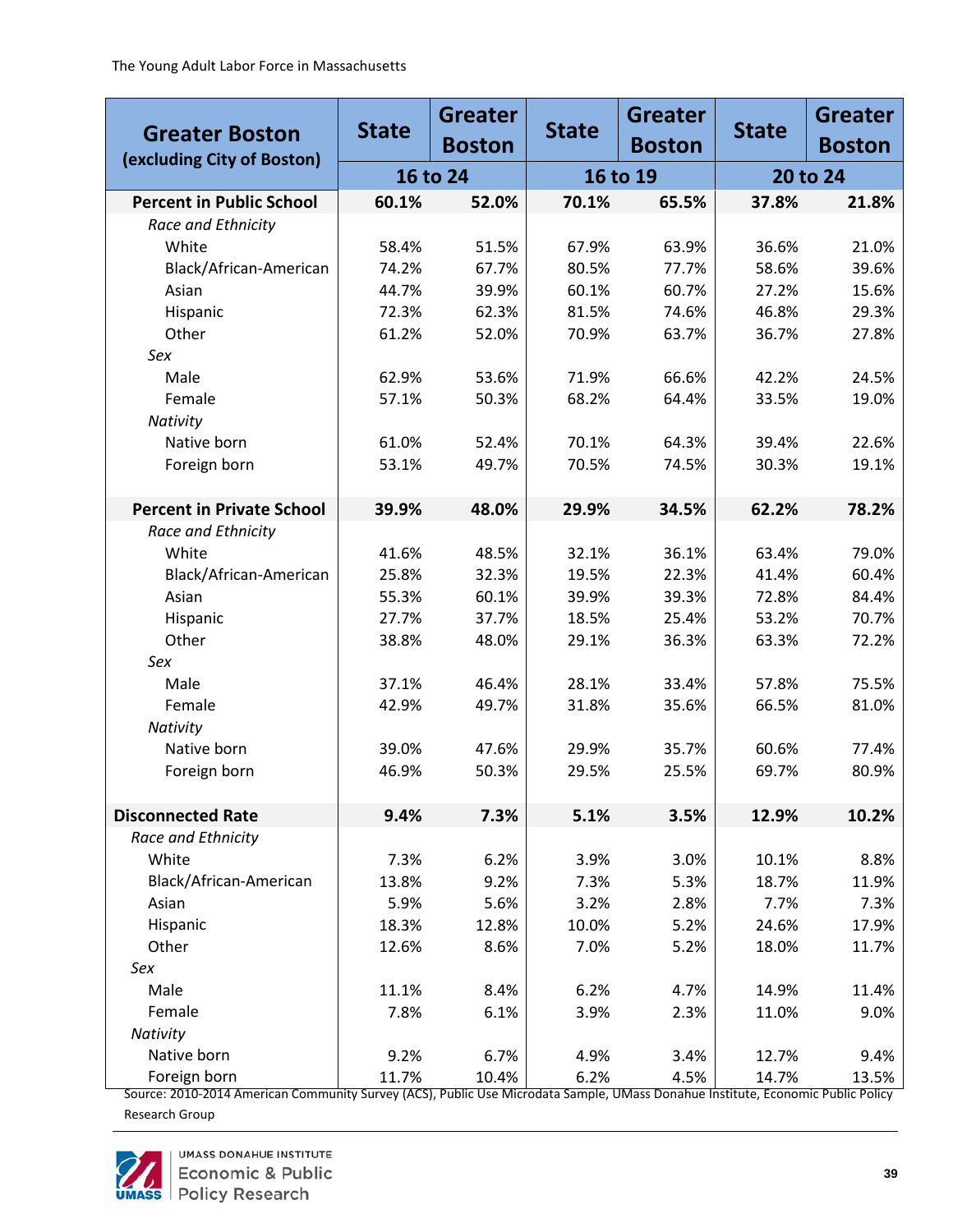| <b>Greater Boston</b>            | <b>State</b> | <b>Greater</b><br><b>Boston</b> | <b>State</b> | <b>Greater</b><br><b>Boston</b> | <b>State</b> | <b>Greater</b><br><b>Boston</b> |
|----------------------------------|--------------|---------------------------------|--------------|---------------------------------|--------------|---------------------------------|
| (excluding City of Boston)       |              | 16 to 24                        |              | 16 to 19                        | 20 to 24     |                                 |
| <b>Percent in Public School</b>  | 60.1%        | 52.0%                           | 70.1%        | 65.5%                           | 37.8%        | 21.8%                           |
| Race and Ethnicity               |              |                                 |              |                                 |              |                                 |
| White                            | 58.4%        | 51.5%                           | 67.9%        | 63.9%                           | 36.6%        | 21.0%                           |
| Black/African-American           | 74.2%        | 67.7%                           | 80.5%        | 77.7%                           | 58.6%        | 39.6%                           |
| Asian                            | 44.7%        | 39.9%                           | 60.1%        | 60.7%                           | 27.2%        | 15.6%                           |
| Hispanic                         | 72.3%        | 62.3%                           | 81.5%        | 74.6%                           | 46.8%        | 29.3%                           |
| Other                            | 61.2%        | 52.0%                           | 70.9%        | 63.7%                           | 36.7%        | 27.8%                           |
| Sex                              |              |                                 |              |                                 |              |                                 |
| Male                             | 62.9%        | 53.6%                           | 71.9%        | 66.6%                           | 42.2%        | 24.5%                           |
| Female                           | 57.1%        | 50.3%                           | 68.2%        | 64.4%                           | 33.5%        | 19.0%                           |
| Nativity                         |              |                                 |              |                                 |              |                                 |
| Native born                      | 61.0%        | 52.4%                           | 70.1%        | 64.3%                           | 39.4%        | 22.6%                           |
| Foreign born                     | 53.1%        | 49.7%                           | 70.5%        | 74.5%                           | 30.3%        | 19.1%                           |
|                                  |              |                                 |              |                                 |              |                                 |
| <b>Percent in Private School</b> | 39.9%        | 48.0%                           | 29.9%        | 34.5%                           | 62.2%        | 78.2%                           |
| Race and Ethnicity               |              |                                 |              |                                 |              |                                 |
| White                            | 41.6%        | 48.5%                           | 32.1%        | 36.1%                           | 63.4%        | 79.0%                           |
| Black/African-American           | 25.8%        | 32.3%                           | 19.5%        | 22.3%                           | 41.4%        | 60.4%                           |
| Asian                            | 55.3%        | 60.1%                           | 39.9%        | 39.3%                           | 72.8%        | 84.4%                           |
| Hispanic                         | 27.7%        | 37.7%                           | 18.5%        | 25.4%                           | 53.2%        | 70.7%                           |
| Other                            | 38.8%        | 48.0%                           | 29.1%        | 36.3%                           | 63.3%        | 72.2%                           |
| Sex                              |              |                                 |              |                                 |              |                                 |
| Male                             | 37.1%        | 46.4%                           | 28.1%        | 33.4%                           | 57.8%        | 75.5%                           |
| Female                           | 42.9%        | 49.7%                           | 31.8%        | 35.6%                           | 66.5%        | 81.0%                           |
| Nativity                         |              |                                 |              |                                 |              |                                 |
| Native born                      | 39.0%        | 47.6%                           | 29.9%        | 35.7%                           | 60.6%        | 77.4%                           |
| Foreign born                     | 46.9%        | 50.3%                           | 29.5%        | 25.5%                           | 69.7%        | 80.9%                           |
|                                  |              |                                 |              |                                 |              |                                 |
| <b>Disconnected Rate</b>         | 9.4%         | 7.3%                            | 5.1%         | 3.5%                            | 12.9%        | 10.2%                           |
| Race and Ethnicity               |              |                                 |              |                                 |              |                                 |
| White                            | 7.3%         | 6.2%                            | 3.9%         | 3.0%                            | 10.1%        | 8.8%                            |
| Black/African-American           | 13.8%        | 9.2%                            | 7.3%         | 5.3%                            | 18.7%        | 11.9%                           |
| Asian                            | 5.9%         | 5.6%                            | 3.2%         | 2.8%                            | 7.7%         | 7.3%                            |
| Hispanic                         | 18.3%        | 12.8%                           | 10.0%        | 5.2%                            | 24.6%        | 17.9%                           |
| Other                            | 12.6%        | 8.6%                            | 7.0%         | 5.2%                            | 18.0%        | 11.7%                           |
| Sex                              |              |                                 |              |                                 |              |                                 |
| Male                             | 11.1%        | 8.4%                            | 6.2%         | 4.7%                            | 14.9%        | 11.4%                           |
| Female                           | 7.8%         | 6.1%                            | 3.9%         | 2.3%                            | 11.0%        | 9.0%                            |
| Nativity                         |              |                                 |              |                                 |              |                                 |
| Native born                      | 9.2%         | 6.7%                            | 4.9%         | 3.4%                            | 12.7%        | 9.4%                            |
| Foreign born                     | 11.7%        | 10.4%                           | 6.2%         | 4.5%                            | 14.7%        | 13.5%                           |

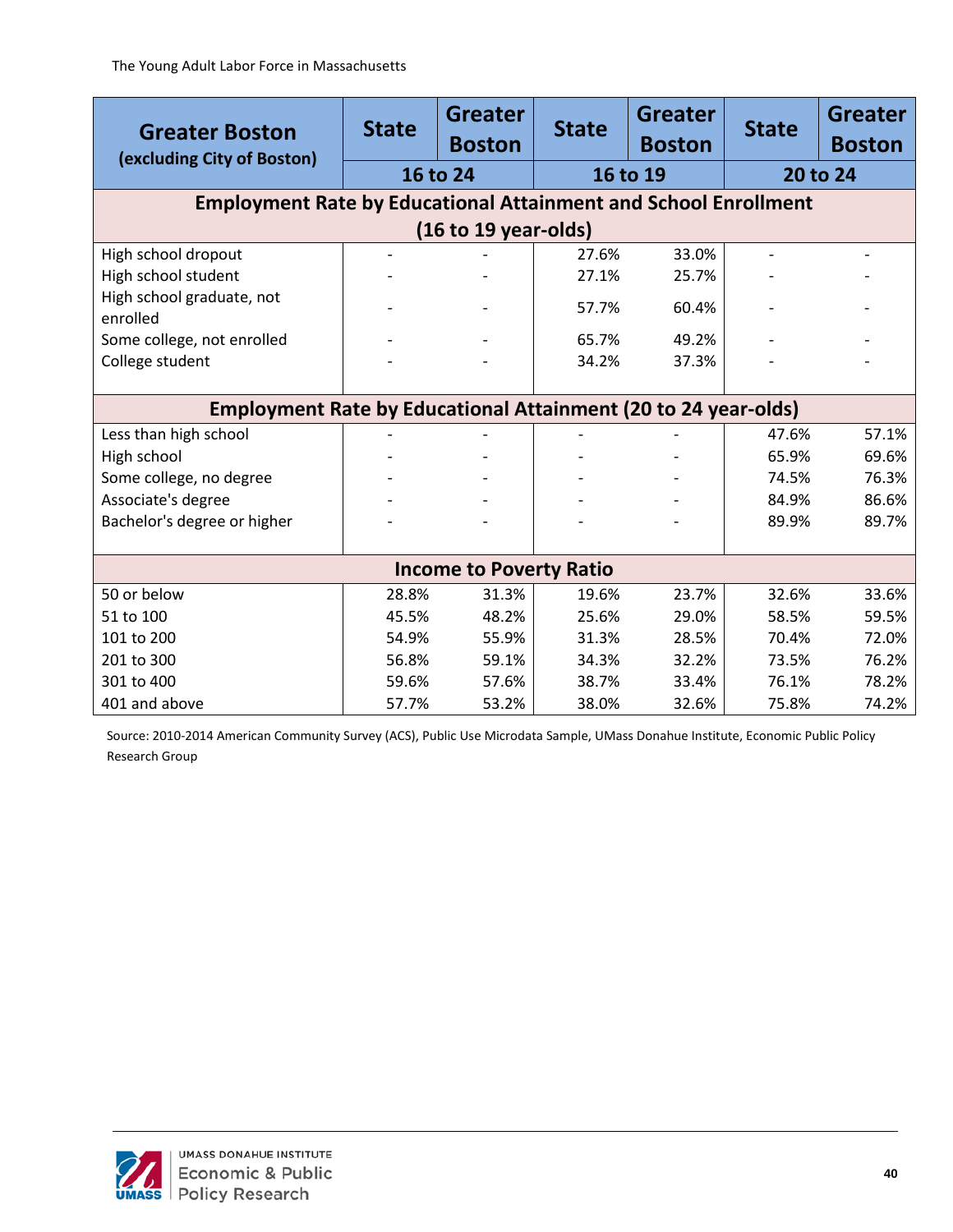| <b>Greater Boston</b><br>(excluding City of Boston)                    | <b>State</b> | <b>Greater</b><br><b>Boston</b> | <b>State</b> | <b>Greater</b><br><b>Boston</b> | <b>State</b> | <b>Greater</b><br><b>Boston</b> |
|------------------------------------------------------------------------|--------------|---------------------------------|--------------|---------------------------------|--------------|---------------------------------|
|                                                                        |              | 16 to 24                        |              | 16 to 19                        |              | 20 to 24                        |
| <b>Employment Rate by Educational Attainment and School Enrollment</b> |              |                                 |              |                                 |              |                                 |
|                                                                        |              | (16 to 19 years)                |              |                                 |              |                                 |
| High school dropout                                                    |              |                                 | 27.6%        | 33.0%                           |              |                                 |
| High school student                                                    |              |                                 | 27.1%        | 25.7%                           |              |                                 |
| High school graduate, not<br>enrolled                                  |              |                                 | 57.7%        | 60.4%                           |              |                                 |
| Some college, not enrolled                                             |              |                                 | 65.7%        | 49.2%                           |              |                                 |
| College student                                                        |              |                                 | 34.2%        | 37.3%                           |              |                                 |
|                                                                        |              |                                 |              |                                 |              |                                 |
| <b>Employment Rate by Educational Attainment (20 to 24 year-olds)</b>  |              |                                 |              |                                 |              |                                 |
| Less than high school                                                  |              |                                 |              |                                 | 47.6%        | 57.1%                           |
| High school                                                            |              |                                 |              |                                 | 65.9%        | 69.6%                           |
| Some college, no degree                                                |              |                                 |              |                                 | 74.5%        | 76.3%                           |
| Associate's degree                                                     |              |                                 |              |                                 | 84.9%        | 86.6%                           |
| Bachelor's degree or higher                                            |              |                                 |              |                                 | 89.9%        | 89.7%                           |
|                                                                        |              |                                 |              |                                 |              |                                 |
|                                                                        |              | <b>Income to Poverty Ratio</b>  |              |                                 |              |                                 |
| 50 or below                                                            | 28.8%        | 31.3%                           | 19.6%        | 23.7%                           | 32.6%        | 33.6%                           |
| 51 to 100                                                              | 45.5%        | 48.2%                           | 25.6%        | 29.0%                           | 58.5%        | 59.5%                           |
| 101 to 200                                                             | 54.9%        | 55.9%                           | 31.3%        | 28.5%                           | 70.4%        | 72.0%                           |
| 201 to 300                                                             | 56.8%        | 59.1%                           | 34.3%        | 32.2%                           | 73.5%        | 76.2%                           |
| 301 to 400                                                             | 59.6%        | 57.6%                           | 38.7%        | 33.4%                           | 76.1%        | 78.2%                           |
| 401 and above                                                          | 57.7%        | 53.2%                           | 38.0%        | 32.6%                           | 75.8%        | 74.2%                           |

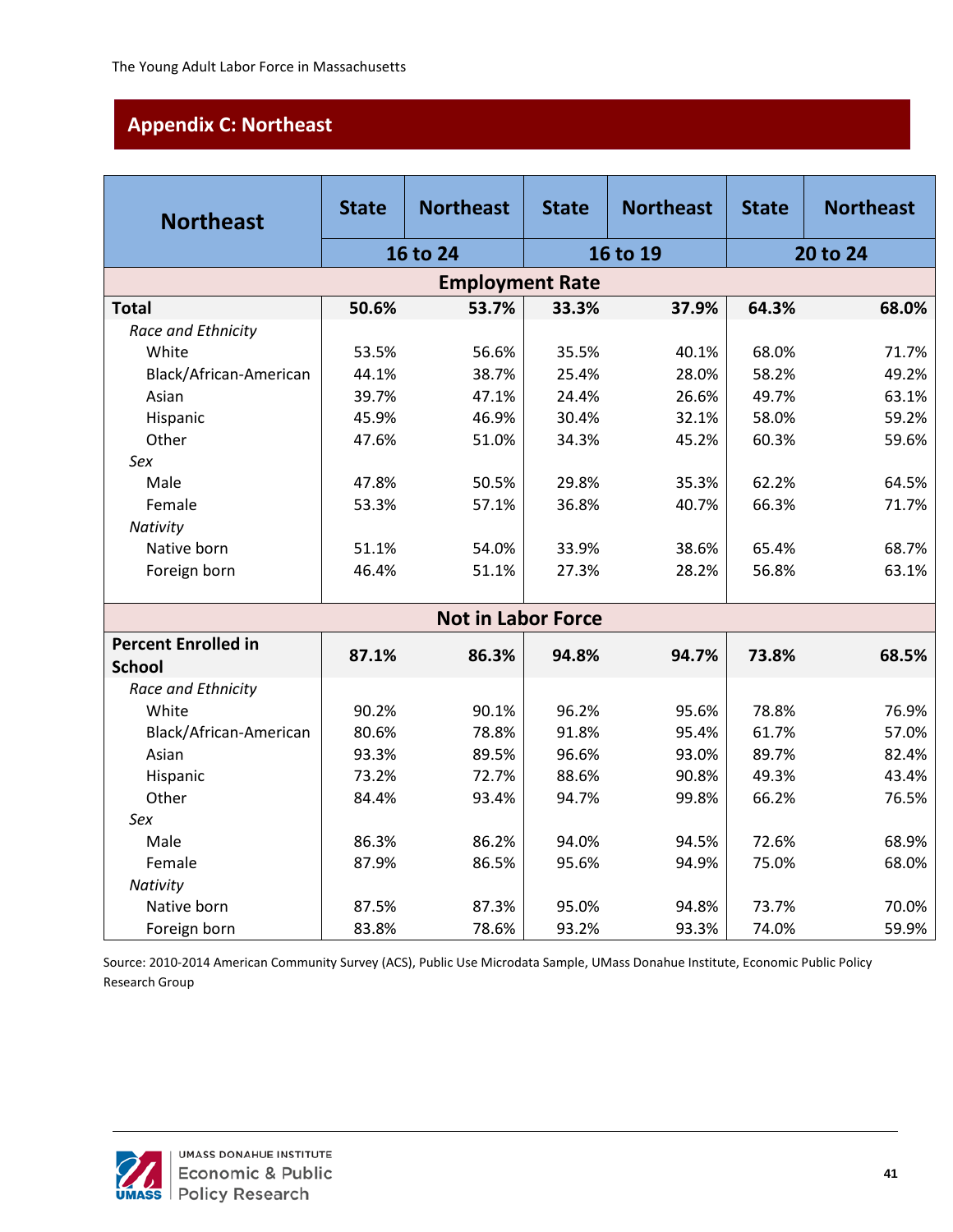# <span id="page-45-0"></span>**Appendix C: Northeast**

| <b>Northeast</b>           | <b>State</b> | <b>Northeast</b>          | <b>State</b> | <b>Northeast</b> | <b>State</b> | <b>Northeast</b> |  |
|----------------------------|--------------|---------------------------|--------------|------------------|--------------|------------------|--|
|                            |              | 16 to 24                  |              | 16 to 19         |              | 20 to 24         |  |
|                            |              | <b>Employment Rate</b>    |              |                  |              |                  |  |
| <b>Total</b>               | 50.6%        | 53.7%                     | 33.3%        | 37.9%            | 64.3%        | 68.0%            |  |
| Race and Ethnicity         |              |                           |              |                  |              |                  |  |
| White                      | 53.5%        | 56.6%                     | 35.5%        | 40.1%            | 68.0%        | 71.7%            |  |
| Black/African-American     | 44.1%        | 38.7%                     | 25.4%        | 28.0%            | 58.2%        | 49.2%            |  |
| Asian                      | 39.7%        | 47.1%                     | 24.4%        | 26.6%            | 49.7%        | 63.1%            |  |
| Hispanic                   | 45.9%        | 46.9%                     | 30.4%        | 32.1%            | 58.0%        | 59.2%            |  |
| Other                      | 47.6%        | 51.0%                     | 34.3%        | 45.2%            | 60.3%        | 59.6%            |  |
| Sex                        |              |                           |              |                  |              |                  |  |
| Male                       | 47.8%        | 50.5%                     | 29.8%        | 35.3%            | 62.2%        | 64.5%            |  |
| Female                     | 53.3%        | 57.1%                     | 36.8%        | 40.7%            | 66.3%        | 71.7%            |  |
| Nativity                   |              |                           |              |                  |              |                  |  |
| Native born                | 51.1%        | 54.0%                     | 33.9%        | 38.6%            | 65.4%        | 68.7%            |  |
| Foreign born               | 46.4%        | 51.1%                     | 27.3%        | 28.2%            | 56.8%        | 63.1%            |  |
|                            |              |                           |              |                  |              |                  |  |
|                            |              | <b>Not in Labor Force</b> |              |                  |              |                  |  |
| <b>Percent Enrolled in</b> | 87.1%        | 86.3%                     | 94.8%        | 94.7%            | 73.8%        | 68.5%            |  |
| <b>School</b>              |              |                           |              |                  |              |                  |  |
| Race and Ethnicity         |              |                           |              |                  |              |                  |  |
| White                      | 90.2%        | 90.1%                     | 96.2%        | 95.6%            | 78.8%        | 76.9%            |  |
| Black/African-American     | 80.6%        | 78.8%                     | 91.8%        | 95.4%            | 61.7%        | 57.0%            |  |
| Asian                      | 93.3%        | 89.5%                     | 96.6%        | 93.0%            | 89.7%        | 82.4%            |  |
| Hispanic                   | 73.2%        | 72.7%                     | 88.6%        | 90.8%            | 49.3%        | 43.4%            |  |
| Other                      | 84.4%        | 93.4%                     | 94.7%        | 99.8%            | 66.2%        | 76.5%            |  |
| Sex                        |              |                           |              |                  |              |                  |  |
| Male                       | 86.3%        | 86.2%                     | 94.0%        | 94.5%            | 72.6%        | 68.9%            |  |
| Female                     | 87.9%        | 86.5%                     | 95.6%        | 94.9%            | 75.0%        | 68.0%            |  |
| Nativity                   |              |                           |              |                  |              |                  |  |
| Native born                | 87.5%        | 87.3%                     | 95.0%        | 94.8%            | 73.7%        | 70.0%            |  |
| Foreign born               | 83.8%        | 78.6%                     | 93.2%        | 93.3%            | 74.0%        | 59.9%            |  |

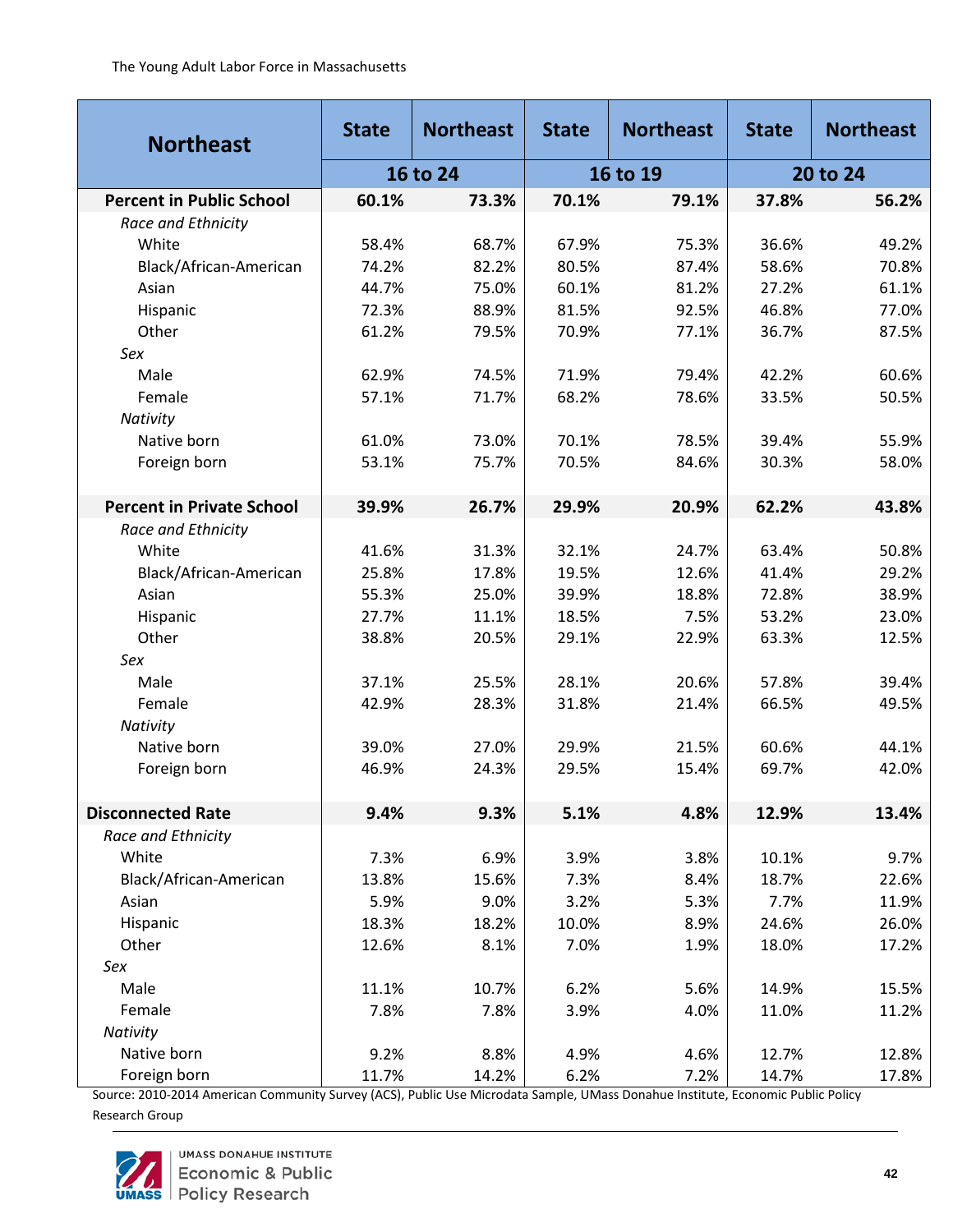| <b>Northeast</b>                 | <b>State</b> | <b>Northeast</b> | <b>State</b> | <b>Northeast</b> | <b>State</b> | <b>Northeast</b> |  |
|----------------------------------|--------------|------------------|--------------|------------------|--------------|------------------|--|
|                                  |              | 16 to 24         |              | 16 to 19         |              | 20 to 24         |  |
| <b>Percent in Public School</b>  | 60.1%        | 73.3%            | 70.1%        | 79.1%            | 37.8%        | 56.2%            |  |
| Race and Ethnicity               |              |                  |              |                  |              |                  |  |
| White                            | 58.4%        | 68.7%            | 67.9%        | 75.3%            | 36.6%        | 49.2%            |  |
| Black/African-American           | 74.2%        | 82.2%            | 80.5%        | 87.4%            | 58.6%        | 70.8%            |  |
| Asian                            | 44.7%        | 75.0%            | 60.1%        | 81.2%            | 27.2%        | 61.1%            |  |
| Hispanic                         | 72.3%        | 88.9%            | 81.5%        | 92.5%            | 46.8%        | 77.0%            |  |
| Other                            | 61.2%        | 79.5%            | 70.9%        | 77.1%            | 36.7%        | 87.5%            |  |
| Sex                              |              |                  |              |                  |              |                  |  |
| Male                             | 62.9%        | 74.5%            | 71.9%        | 79.4%            | 42.2%        | 60.6%            |  |
| Female                           | 57.1%        | 71.7%            | 68.2%        | 78.6%            | 33.5%        | 50.5%            |  |
| Nativity                         |              |                  |              |                  |              |                  |  |
| Native born                      | 61.0%        | 73.0%            | 70.1%        | 78.5%            | 39.4%        | 55.9%            |  |
| Foreign born                     | 53.1%        | 75.7%            | 70.5%        | 84.6%            | 30.3%        | 58.0%            |  |
|                                  |              |                  |              |                  |              |                  |  |
| <b>Percent in Private School</b> | 39.9%        | 26.7%            | 29.9%        | 20.9%            | 62.2%        | 43.8%            |  |
| Race and Ethnicity               |              |                  |              |                  |              |                  |  |
| White                            | 41.6%        | 31.3%            | 32.1%        | 24.7%            | 63.4%        | 50.8%            |  |
| Black/African-American           | 25.8%        | 17.8%            | 19.5%        | 12.6%            | 41.4%        | 29.2%            |  |
| Asian                            | 55.3%        | 25.0%            | 39.9%        | 18.8%            | 72.8%        | 38.9%            |  |
| Hispanic                         | 27.7%        | 11.1%            | 18.5%        | 7.5%             | 53.2%        | 23.0%            |  |
| Other                            | 38.8%        | 20.5%            | 29.1%        | 22.9%            | 63.3%        | 12.5%            |  |
| Sex                              |              |                  |              |                  |              |                  |  |
| Male                             | 37.1%        | 25.5%            | 28.1%        | 20.6%            | 57.8%        | 39.4%            |  |
| Female                           | 42.9%        | 28.3%            | 31.8%        | 21.4%            | 66.5%        | 49.5%            |  |
| Nativity                         |              |                  |              |                  |              |                  |  |
| Native born                      | 39.0%        | 27.0%            | 29.9%        | 21.5%            | 60.6%        | 44.1%            |  |
| Foreign born                     | 46.9%        | 24.3%            | 29.5%        | 15.4%            | 69.7%        | 42.0%            |  |
|                                  |              |                  |              |                  |              |                  |  |
| <b>Disconnected Rate</b>         | 9.4%         | 9.3%             | 5.1%         | 4.8%             | 12.9%        | 13.4%            |  |
| Race and Ethnicity               |              |                  |              |                  |              |                  |  |
| White                            | 7.3%         | 6.9%             | 3.9%         | 3.8%             | 10.1%        | 9.7%             |  |
| Black/African-American           | 13.8%        | 15.6%            | 7.3%         | 8.4%             | 18.7%        | 22.6%            |  |
| Asian                            | 5.9%         | 9.0%             | 3.2%         | 5.3%             | 7.7%         | 11.9%            |  |
| Hispanic                         | 18.3%        | 18.2%            | 10.0%        | 8.9%             | 24.6%        | 26.0%            |  |
| Other                            | 12.6%        | 8.1%             | 7.0%         | 1.9%             | 18.0%        | 17.2%            |  |
| Sex                              |              |                  |              |                  |              |                  |  |
| Male                             | 11.1%        | 10.7%            | 6.2%         | 5.6%             | 14.9%        | 15.5%            |  |
| Female                           | 7.8%         | 7.8%             | 3.9%         | 4.0%             | 11.0%        | 11.2%            |  |
| Nativity                         |              |                  |              |                  |              |                  |  |
| Native born                      | 9.2%         | 8.8%             | 4.9%         | 4.6%             | 12.7%        | 12.8%            |  |
| Foreign born                     | 11.7%        | 14.2%            | 6.2%         | 7.2%             | 14.7%        | 17.8%            |  |

Source: 2010-2014 American Community Survey (ACS), Public Use Microdata Sample, UMass Donahue Institute, Economic Public Policy

Research Group

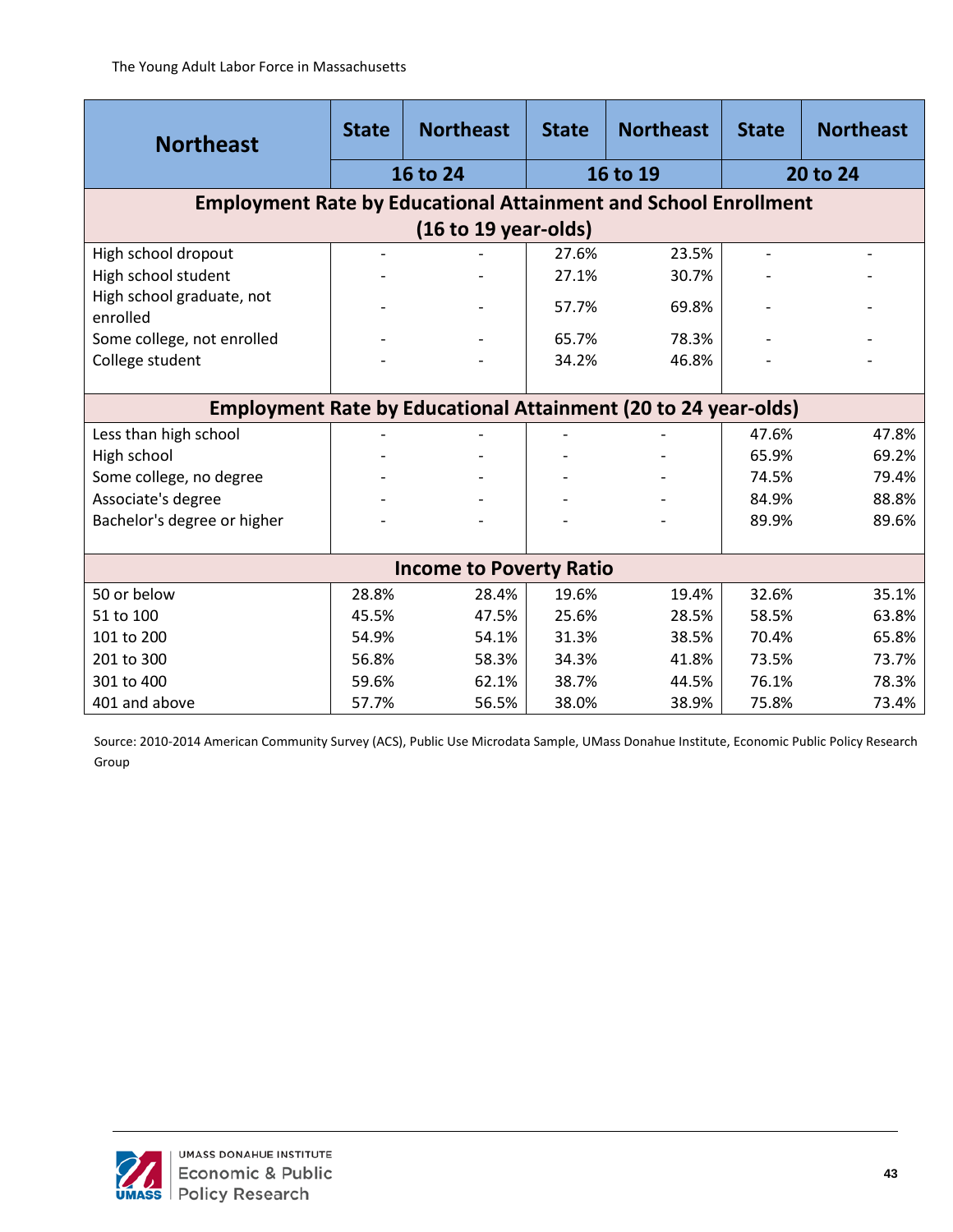| <b>Northeast</b>                                                       | <b>State</b> | <b>Northeast</b>                                                      | <b>State</b> | <b>Northeast</b> | <b>State</b> | <b>Northeast</b> |
|------------------------------------------------------------------------|--------------|-----------------------------------------------------------------------|--------------|------------------|--------------|------------------|
|                                                                        |              | 16 to 24                                                              |              | 16 to 19         |              | 20 to 24         |
| <b>Employment Rate by Educational Attainment and School Enrollment</b> |              |                                                                       |              |                  |              |                  |
|                                                                        |              | (16 to 19 years)                                                      |              |                  |              |                  |
| High school dropout                                                    |              |                                                                       | 27.6%        | 23.5%            |              |                  |
| High school student                                                    |              |                                                                       | 27.1%        | 30.7%            |              |                  |
| High school graduate, not<br>enrolled                                  |              |                                                                       | 57.7%        | 69.8%            |              |                  |
| Some college, not enrolled                                             |              |                                                                       | 65.7%        | 78.3%            |              |                  |
| College student                                                        |              |                                                                       | 34.2%        | 46.8%            |              |                  |
|                                                                        |              |                                                                       |              |                  |              |                  |
|                                                                        |              | <b>Employment Rate by Educational Attainment (20 to 24 year-olds)</b> |              |                  |              |                  |
| Less than high school                                                  |              |                                                                       |              |                  | 47.6%        | 47.8%            |
| High school                                                            |              |                                                                       |              |                  | 65.9%        | 69.2%            |
| Some college, no degree                                                |              |                                                                       |              |                  | 74.5%        | 79.4%            |
| Associate's degree                                                     |              |                                                                       |              |                  | 84.9%        | 88.8%            |
| Bachelor's degree or higher                                            |              |                                                                       |              |                  | 89.9%        | 89.6%            |
|                                                                        |              |                                                                       |              |                  |              |                  |
|                                                                        |              | <b>Income to Poverty Ratio</b>                                        |              |                  |              |                  |
| 50 or below                                                            | 28.8%        | 28.4%                                                                 | 19.6%        | 19.4%            | 32.6%        | 35.1%            |
| 51 to 100                                                              | 45.5%        | 47.5%                                                                 | 25.6%        | 28.5%            | 58.5%        | 63.8%            |
| 101 to 200                                                             | 54.9%        | 54.1%                                                                 | 31.3%        | 38.5%            | 70.4%        | 65.8%            |
| 201 to 300                                                             | 56.8%        | 58.3%                                                                 | 34.3%        | 41.8%            | 73.5%        | 73.7%            |
| 301 to 400                                                             | 59.6%        | 62.1%                                                                 | 38.7%        | 44.5%            | 76.1%        | 78.3%            |
| 401 and above                                                          | 57.7%        | 56.5%                                                                 | 38.0%        | 38.9%            | 75.8%        | 73.4%            |

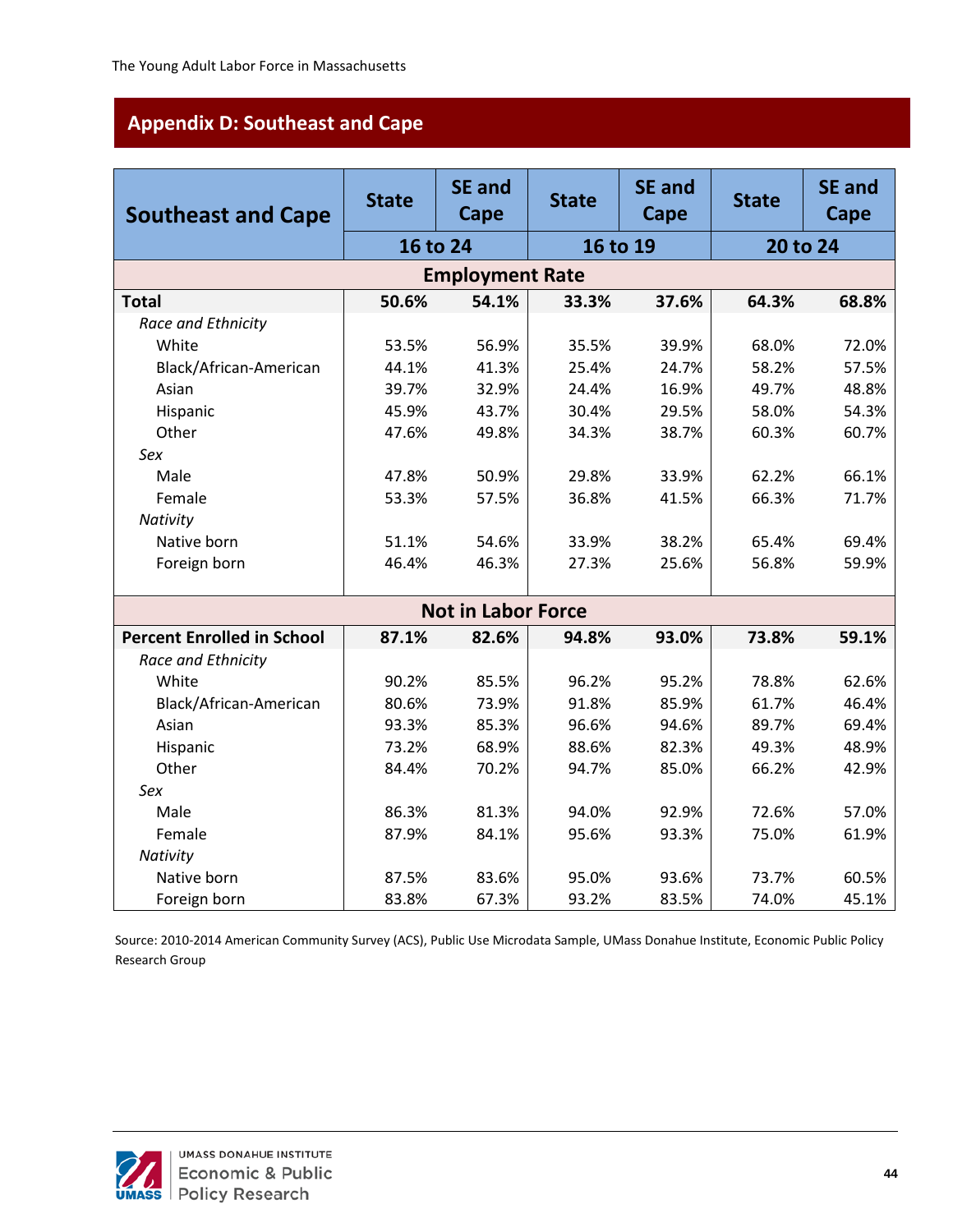# <span id="page-48-0"></span>**Appendix D: Southeast and Cape**

| <b>Southeast and Cape</b>         | <b>State</b> | <b>SE and</b><br>Cape     | <b>State</b> | <b>SE and</b><br>Cape | <b>State</b> | <b>SE and</b><br>Cape |
|-----------------------------------|--------------|---------------------------|--------------|-----------------------|--------------|-----------------------|
|                                   |              | 16 to 24                  | 16 to 19     |                       |              | 20 to 24              |
|                                   |              | <b>Employment Rate</b>    |              |                       |              |                       |
| <b>Total</b>                      | 50.6%        | 54.1%                     | 33.3%        | 37.6%                 | 64.3%        | 68.8%                 |
| Race and Ethnicity                |              |                           |              |                       |              |                       |
| White                             | 53.5%        | 56.9%                     | 35.5%        | 39.9%                 | 68.0%        | 72.0%                 |
| Black/African-American            | 44.1%        | 41.3%                     | 25.4%        | 24.7%                 | 58.2%        | 57.5%                 |
| Asian                             | 39.7%        | 32.9%                     | 24.4%        | 16.9%                 | 49.7%        | 48.8%                 |
| Hispanic                          | 45.9%        | 43.7%                     | 30.4%        | 29.5%                 | 58.0%        | 54.3%                 |
| Other                             | 47.6%        | 49.8%                     | 34.3%        | 38.7%                 | 60.3%        | 60.7%                 |
| Sex                               |              |                           |              |                       |              |                       |
| Male                              | 47.8%        | 50.9%                     | 29.8%        | 33.9%                 | 62.2%        | 66.1%                 |
| Female                            | 53.3%        | 57.5%                     | 36.8%        | 41.5%                 | 66.3%        | 71.7%                 |
| Nativity                          |              |                           |              |                       |              |                       |
| Native born                       | 51.1%        | 54.6%                     | 33.9%        | 38.2%                 | 65.4%        | 69.4%                 |
| Foreign born                      | 46.4%        | 46.3%                     | 27.3%        | 25.6%                 | 56.8%        | 59.9%                 |
|                                   |              |                           |              |                       |              |                       |
|                                   |              | <b>Not in Labor Force</b> |              |                       |              |                       |
| <b>Percent Enrolled in School</b> | 87.1%        | 82.6%                     | 94.8%        | 93.0%                 | 73.8%        | 59.1%                 |
| Race and Ethnicity                |              |                           |              |                       |              |                       |
| White                             | 90.2%        | 85.5%                     | 96.2%        | 95.2%                 | 78.8%        | 62.6%                 |
| Black/African-American            | 80.6%        | 73.9%                     | 91.8%        | 85.9%                 | 61.7%        | 46.4%                 |
| Asian                             | 93.3%        | 85.3%                     | 96.6%        | 94.6%                 | 89.7%        | 69.4%                 |
| Hispanic                          | 73.2%        | 68.9%                     | 88.6%        | 82.3%                 | 49.3%        | 48.9%                 |
| Other                             | 84.4%        | 70.2%                     | 94.7%        | 85.0%                 | 66.2%        | 42.9%                 |
| Sex                               |              |                           |              |                       |              |                       |
| Male                              | 86.3%        | 81.3%                     | 94.0%        | 92.9%                 | 72.6%        | 57.0%                 |
| Female                            | 87.9%        | 84.1%                     | 95.6%        | 93.3%                 | 75.0%        | 61.9%                 |
| Nativity                          |              |                           |              |                       |              |                       |
| Native born                       | 87.5%        | 83.6%                     | 95.0%        | 93.6%                 | 73.7%        | 60.5%                 |
| Foreign born                      | 83.8%        | 67.3%                     | 93.2%        | 83.5%                 | 74.0%        | 45.1%                 |

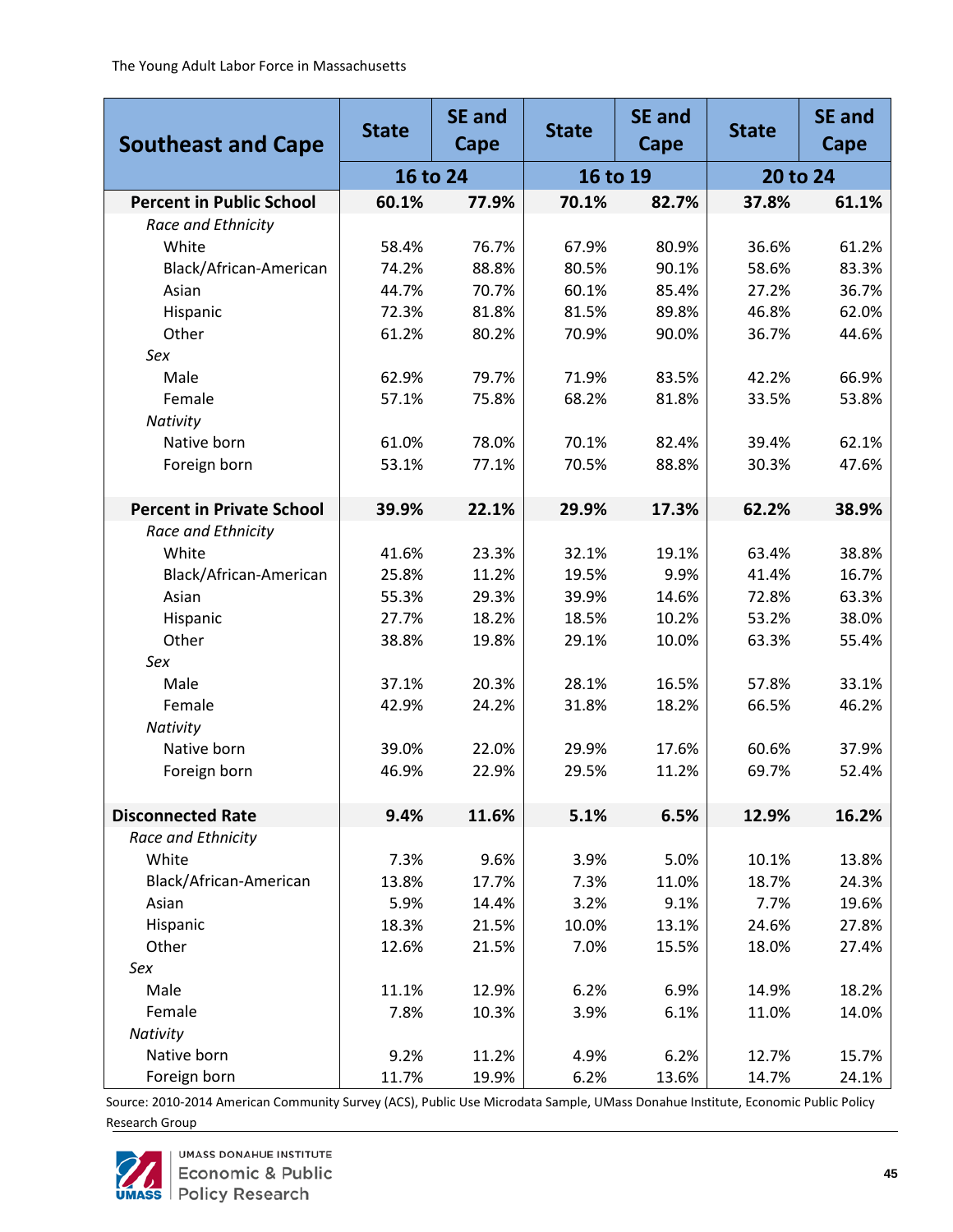| <b>Southeast and Cape</b>        | <b>State</b> | <b>SE and</b><br>Cape | <b>State</b> | <b>SE and</b><br>Cape | <b>State</b> | <b>SE and</b><br>Cape |  |
|----------------------------------|--------------|-----------------------|--------------|-----------------------|--------------|-----------------------|--|
|                                  | 16 to 24     |                       |              | 16 to 19              |              | 20 to 24              |  |
| <b>Percent in Public School</b>  | 60.1%        | 77.9%                 | 70.1%        | 82.7%                 | 37.8%        | 61.1%                 |  |
| Race and Ethnicity               |              |                       |              |                       |              |                       |  |
| White                            | 58.4%        | 76.7%                 | 67.9%        | 80.9%                 | 36.6%        | 61.2%                 |  |
| Black/African-American           | 74.2%        | 88.8%                 | 80.5%        | 90.1%                 | 58.6%        | 83.3%                 |  |
| Asian                            | 44.7%        | 70.7%                 | 60.1%        | 85.4%                 | 27.2%        | 36.7%                 |  |
| Hispanic                         | 72.3%        | 81.8%                 | 81.5%        | 89.8%                 | 46.8%        | 62.0%                 |  |
| Other                            | 61.2%        | 80.2%                 | 70.9%        | 90.0%                 | 36.7%        | 44.6%                 |  |
| Sex                              |              |                       |              |                       |              |                       |  |
| Male                             | 62.9%        | 79.7%                 | 71.9%        | 83.5%                 | 42.2%        | 66.9%                 |  |
| Female                           | 57.1%        | 75.8%                 | 68.2%        | 81.8%                 | 33.5%        | 53.8%                 |  |
| Nativity                         |              |                       |              |                       |              |                       |  |
| Native born                      | 61.0%        | 78.0%                 | 70.1%        | 82.4%                 | 39.4%        | 62.1%                 |  |
| Foreign born                     | 53.1%        | 77.1%                 | 70.5%        | 88.8%                 | 30.3%        | 47.6%                 |  |
|                                  |              |                       |              |                       |              |                       |  |
| <b>Percent in Private School</b> | 39.9%        | 22.1%                 | 29.9%        | 17.3%                 | 62.2%        | 38.9%                 |  |
| Race and Ethnicity               |              |                       |              |                       |              |                       |  |
| White                            | 41.6%        | 23.3%                 | 32.1%        | 19.1%                 | 63.4%        | 38.8%                 |  |
| Black/African-American           | 25.8%        | 11.2%                 | 19.5%        | 9.9%                  | 41.4%        | 16.7%                 |  |
| Asian                            | 55.3%        | 29.3%                 | 39.9%        | 14.6%                 | 72.8%        | 63.3%                 |  |
| Hispanic                         | 27.7%        | 18.2%                 | 18.5%        | 10.2%                 | 53.2%        | 38.0%                 |  |
| Other                            | 38.8%        | 19.8%                 | 29.1%        | 10.0%                 | 63.3%        | 55.4%                 |  |
| Sex                              |              |                       |              |                       |              |                       |  |
| Male                             | 37.1%        | 20.3%                 | 28.1%        | 16.5%                 | 57.8%        | 33.1%                 |  |
| Female                           | 42.9%        | 24.2%                 | 31.8%        | 18.2%                 | 66.5%        | 46.2%                 |  |
| Nativity                         |              |                       |              |                       |              |                       |  |
| Native born                      | 39.0%        | 22.0%                 | 29.9%        | 17.6%                 | 60.6%        | 37.9%                 |  |
| Foreign born                     | 46.9%        | 22.9%                 | 29.5%        | 11.2%                 | 69.7%        | 52.4%                 |  |
|                                  |              |                       |              |                       |              |                       |  |
| <b>Disconnected Rate</b>         | 9.4%         | 11.6%                 | 5.1%         | 6.5%                  | 12.9%        | 16.2%                 |  |
| Race and Ethnicity               |              |                       |              |                       |              |                       |  |
| White                            | 7.3%         | 9.6%                  | 3.9%         | 5.0%                  | 10.1%        | 13.8%                 |  |
| Black/African-American           | 13.8%        | 17.7%                 | 7.3%         | 11.0%                 | 18.7%        | 24.3%                 |  |
| Asian                            | 5.9%         | 14.4%                 | 3.2%         | 9.1%                  | 7.7%         | 19.6%                 |  |
| Hispanic                         | 18.3%        | 21.5%                 | 10.0%        | 13.1%                 | 24.6%        | 27.8%                 |  |
| Other                            | 12.6%        | 21.5%                 | 7.0%         | 15.5%                 | 18.0%        | 27.4%                 |  |
| Sex                              |              |                       |              |                       |              |                       |  |
| Male                             | 11.1%        | 12.9%                 | 6.2%         | 6.9%                  | 14.9%        | 18.2%                 |  |
| Female                           | 7.8%         | 10.3%                 | 3.9%         | 6.1%                  | 11.0%        | 14.0%                 |  |
| Nativity                         |              |                       |              |                       |              |                       |  |
| Native born                      | 9.2%         | 11.2%                 | 4.9%         | 6.2%                  | 12.7%        | 15.7%                 |  |
| Foreign born                     | 11.7%        | 19.9%                 | 6.2%         | 13.6%                 | 14.7%        | 24.1%                 |  |

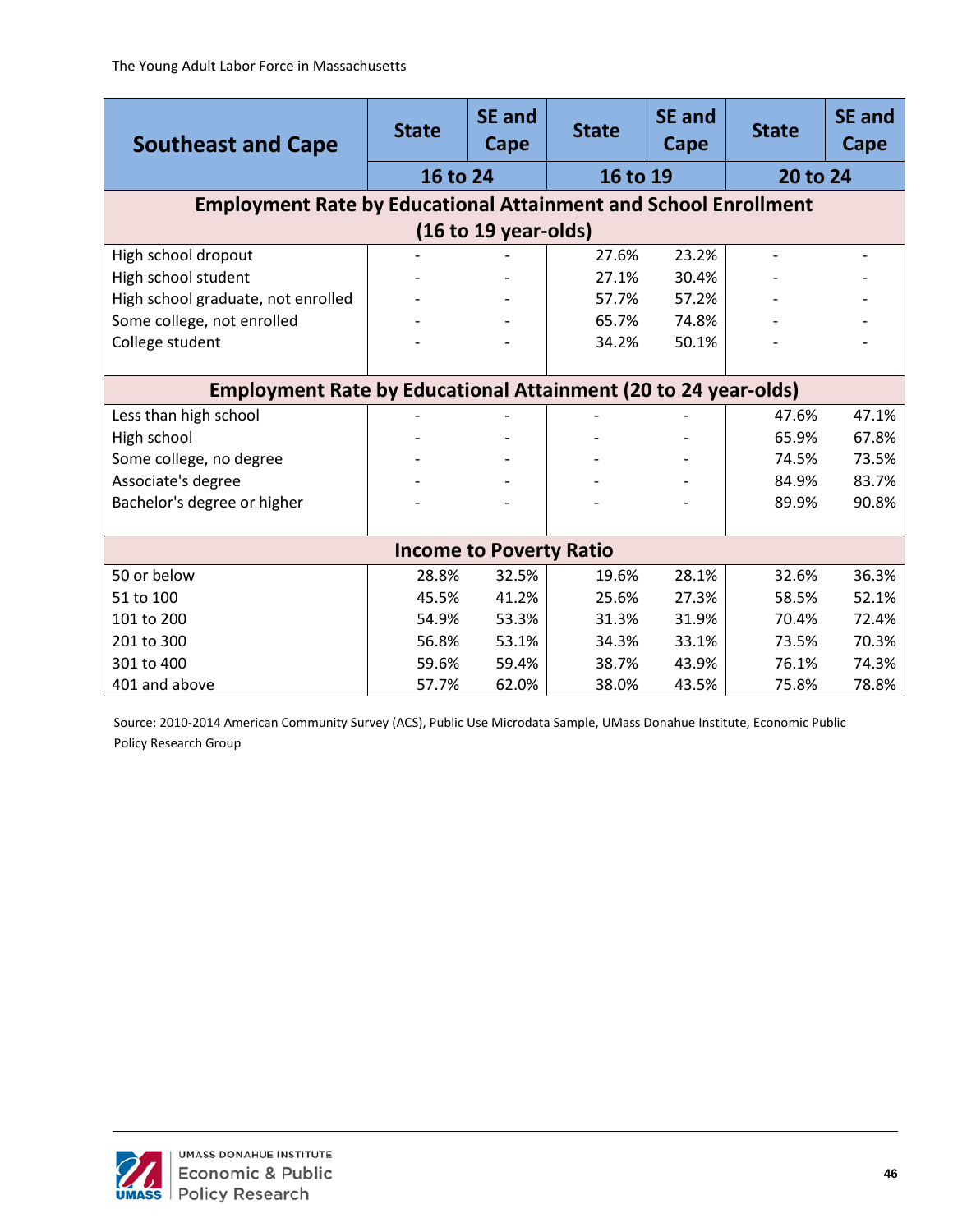| <b>Southeast and Cape</b>                                              | <b>State</b> | <b>SE</b> and<br>Cape          | <b>State</b> | <b>SE and</b><br>Cape | <b>State</b>             | <b>SE and</b><br>Cape |  |  |
|------------------------------------------------------------------------|--------------|--------------------------------|--------------|-----------------------|--------------------------|-----------------------|--|--|
|                                                                        | 16 to 24     |                                | 16 to 19     |                       |                          | 20 to 24              |  |  |
| <b>Employment Rate by Educational Attainment and School Enrollment</b> |              |                                |              |                       |                          |                       |  |  |
| $(16 to 19 year-olds)$                                                 |              |                                |              |                       |                          |                       |  |  |
| High school dropout                                                    |              |                                | 27.6%        | 23.2%                 | $\overline{\phantom{0}}$ |                       |  |  |
| High school student                                                    |              |                                | 27.1%        | 30.4%                 |                          |                       |  |  |
| High school graduate, not enrolled                                     |              |                                | 57.7%        | 57.2%                 |                          |                       |  |  |
| Some college, not enrolled                                             |              |                                | 65.7%        | 74.8%                 |                          |                       |  |  |
| College student                                                        |              |                                | 34.2%        | 50.1%                 |                          |                       |  |  |
|                                                                        |              |                                |              |                       |                          |                       |  |  |
| <b>Employment Rate by Educational Attainment (20 to 24 year-olds)</b>  |              |                                |              |                       |                          |                       |  |  |
| Less than high school                                                  |              |                                |              |                       | 47.6%                    | 47.1%                 |  |  |
| High school                                                            |              |                                |              |                       | 65.9%                    | 67.8%                 |  |  |
| Some college, no degree                                                |              |                                |              |                       | 74.5%                    | 73.5%                 |  |  |
| Associate's degree                                                     |              |                                |              |                       | 84.9%                    | 83.7%                 |  |  |
| Bachelor's degree or higher                                            |              |                                |              |                       | 89.9%                    | 90.8%                 |  |  |
|                                                                        |              |                                |              |                       |                          |                       |  |  |
|                                                                        |              | <b>Income to Poverty Ratio</b> |              |                       |                          |                       |  |  |
| 50 or below                                                            | 28.8%        | 32.5%                          | 19.6%        | 28.1%                 | 32.6%                    | 36.3%                 |  |  |
| 51 to 100                                                              | 45.5%        | 41.2%                          | 25.6%        | 27.3%                 | 58.5%                    | 52.1%                 |  |  |
| 101 to 200                                                             | 54.9%        | 53.3%                          | 31.3%        | 31.9%                 | 70.4%                    | 72.4%                 |  |  |
| 201 to 300                                                             | 56.8%        | 53.1%                          | 34.3%        | 33.1%                 | 73.5%                    | 70.3%                 |  |  |
| 301 to 400                                                             | 59.6%        | 59.4%                          | 38.7%        | 43.9%                 | 76.1%                    | 74.3%                 |  |  |
| 401 and above                                                          | 57.7%        | 62.0%                          | 38.0%        | 43.5%                 | 75.8%                    | 78.8%                 |  |  |

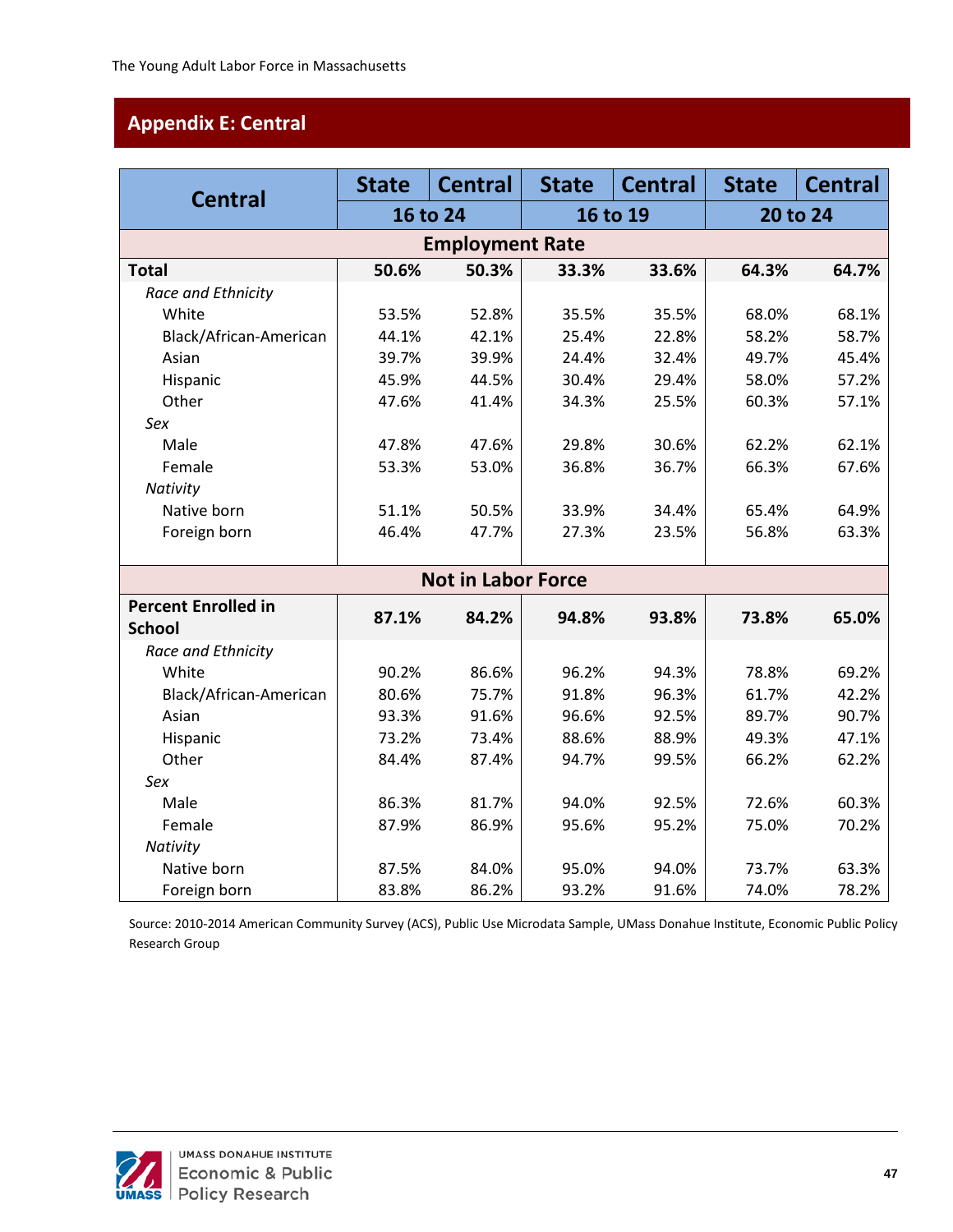# <span id="page-51-0"></span>**Appendix E: Central**

| <b>Central</b>                              | <b>State</b> | <b>Central</b>            | <b>State</b> | <b>Central</b> | <b>State</b> | <b>Central</b> |  |
|---------------------------------------------|--------------|---------------------------|--------------|----------------|--------------|----------------|--|
|                                             |              | 16 to 24                  |              | 16 to 19       |              | 20 to 24       |  |
|                                             |              | <b>Employment Rate</b>    |              |                |              |                |  |
| <b>Total</b>                                | 50.6%        | 50.3%                     | 33.3%        | 33.6%          | 64.3%        | 64.7%          |  |
| Race and Ethnicity                          |              |                           |              |                |              |                |  |
| White                                       | 53.5%        | 52.8%                     | 35.5%        | 35.5%          | 68.0%        | 68.1%          |  |
| Black/African-American                      | 44.1%        | 42.1%                     | 25.4%        | 22.8%          | 58.2%        | 58.7%          |  |
| Asian                                       | 39.7%        | 39.9%                     | 24.4%        | 32.4%          | 49.7%        | 45.4%          |  |
| Hispanic                                    | 45.9%        | 44.5%                     | 30.4%        | 29.4%          | 58.0%        | 57.2%          |  |
| Other                                       | 47.6%        | 41.4%                     | 34.3%        | 25.5%          | 60.3%        | 57.1%          |  |
| Sex                                         |              |                           |              |                |              |                |  |
| Male                                        | 47.8%        | 47.6%                     | 29.8%        | 30.6%          | 62.2%        | 62.1%          |  |
| Female                                      | 53.3%        | 53.0%                     | 36.8%        | 36.7%          | 66.3%        | 67.6%          |  |
| Nativity                                    |              |                           |              |                |              |                |  |
| Native born                                 | 51.1%        | 50.5%                     | 33.9%        | 34.4%          | 65.4%        | 64.9%          |  |
| Foreign born                                | 46.4%        | 47.7%                     | 27.3%        | 23.5%          | 56.8%        | 63.3%          |  |
|                                             |              |                           |              |                |              |                |  |
|                                             |              | <b>Not in Labor Force</b> |              |                |              |                |  |
| <b>Percent Enrolled in</b><br><b>School</b> | 87.1%        | 84.2%                     | 94.8%        | 93.8%          | 73.8%        | 65.0%          |  |
| Race and Ethnicity                          |              |                           |              |                |              |                |  |
| White                                       | 90.2%        | 86.6%                     | 96.2%        | 94.3%          | 78.8%        | 69.2%          |  |
| Black/African-American                      | 80.6%        | 75.7%                     | 91.8%        | 96.3%          | 61.7%        | 42.2%          |  |
| Asian                                       | 93.3%        | 91.6%                     | 96.6%        | 92.5%          | 89.7%        | 90.7%          |  |
| Hispanic                                    | 73.2%        | 73.4%                     | 88.6%        | 88.9%          | 49.3%        | 47.1%          |  |
| Other                                       | 84.4%        | 87.4%                     | 94.7%        | 99.5%          | 66.2%        | 62.2%          |  |
| Sex                                         |              |                           |              |                |              |                |  |
| Male                                        | 86.3%        | 81.7%                     | 94.0%        | 92.5%          | 72.6%        | 60.3%          |  |
| Female                                      | 87.9%        | 86.9%                     | 95.6%        | 95.2%          | 75.0%        | 70.2%          |  |
| Nativity                                    |              |                           |              |                |              |                |  |
| Native born                                 | 87.5%        | 84.0%                     | 95.0%        | 94.0%          | 73.7%        | 63.3%          |  |
| Foreign born                                | 83.8%        | 86.2%                     | 93.2%        | 91.6%          | 74.0%        | 78.2%          |  |

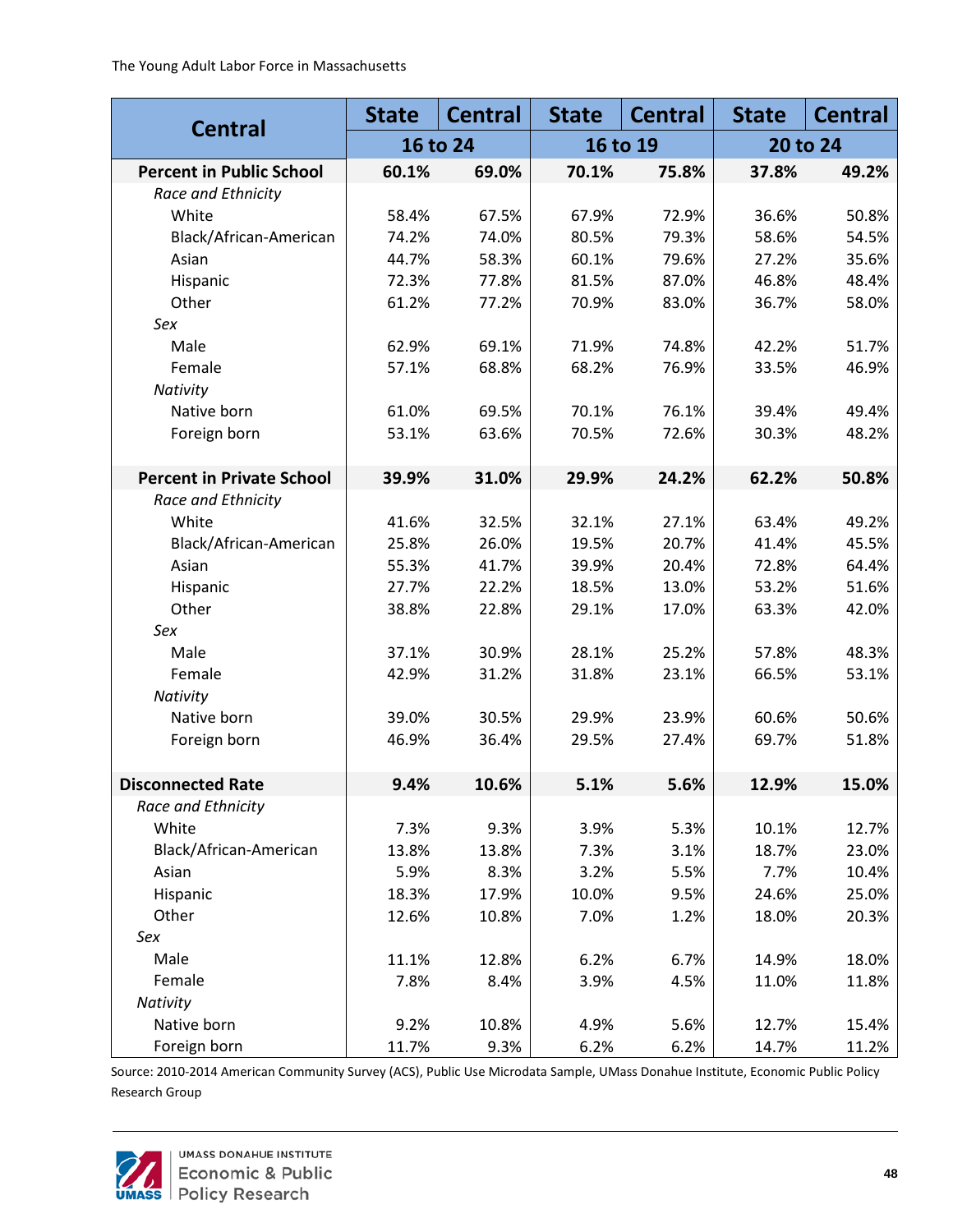|                                  | <b>State</b> | <b>Central</b> | <b>State</b> | <b>Central</b> | <b>State</b> | <b>Central</b> |
|----------------------------------|--------------|----------------|--------------|----------------|--------------|----------------|
| <b>Central</b>                   |              | 16 to 24       |              | 16 to 19       |              | 20 to 24       |
| <b>Percent in Public School</b>  | 60.1%        | 69.0%          | 70.1%        | 75.8%          | 37.8%        | 49.2%          |
| Race and Ethnicity               |              |                |              |                |              |                |
| White                            | 58.4%        | 67.5%          | 67.9%        | 72.9%          | 36.6%        | 50.8%          |
| Black/African-American           | 74.2%        | 74.0%          | 80.5%        | 79.3%          | 58.6%        | 54.5%          |
| Asian                            | 44.7%        | 58.3%          | 60.1%        | 79.6%          | 27.2%        | 35.6%          |
| Hispanic                         | 72.3%        | 77.8%          | 81.5%        | 87.0%          | 46.8%        | 48.4%          |
| Other                            | 61.2%        | 77.2%          | 70.9%        | 83.0%          | 36.7%        | 58.0%          |
| Sex                              |              |                |              |                |              |                |
| Male                             | 62.9%        | 69.1%          | 71.9%        | 74.8%          | 42.2%        | 51.7%          |
| Female                           | 57.1%        | 68.8%          | 68.2%        | 76.9%          | 33.5%        | 46.9%          |
| Nativity                         |              |                |              |                |              |                |
| Native born                      | 61.0%        | 69.5%          | 70.1%        | 76.1%          | 39.4%        | 49.4%          |
| Foreign born                     | 53.1%        | 63.6%          | 70.5%        | 72.6%          | 30.3%        | 48.2%          |
|                                  |              |                |              |                |              |                |
| <b>Percent in Private School</b> | 39.9%        | 31.0%          | 29.9%        | 24.2%          | 62.2%        | 50.8%          |
| Race and Ethnicity               |              |                |              |                |              |                |
| White                            | 41.6%        | 32.5%          | 32.1%        | 27.1%          | 63.4%        | 49.2%          |
| Black/African-American           | 25.8%        | 26.0%          | 19.5%        | 20.7%          | 41.4%        | 45.5%          |
| Asian                            | 55.3%        | 41.7%          | 39.9%        | 20.4%          | 72.8%        | 64.4%          |
| Hispanic                         | 27.7%        | 22.2%          | 18.5%        | 13.0%          | 53.2%        | 51.6%          |
| Other                            | 38.8%        | 22.8%          | 29.1%        | 17.0%          | 63.3%        | 42.0%          |
| Sex                              |              |                |              |                |              |                |
| Male                             | 37.1%        | 30.9%          | 28.1%        | 25.2%          | 57.8%        | 48.3%          |
| Female                           | 42.9%        | 31.2%          | 31.8%        | 23.1%          | 66.5%        | 53.1%          |
| Nativity                         |              |                |              |                |              |                |
| Native born                      | 39.0%        | 30.5%          | 29.9%        | 23.9%          | 60.6%        | 50.6%          |
| Foreign born                     | 46.9%        | 36.4%          | 29.5%        | 27.4%          | 69.7%        | 51.8%          |
|                                  |              |                |              |                |              |                |
| <b>Disconnected Rate</b>         | 9.4%         | 10.6%          | 5.1%         | 5.6%           | 12.9%        | 15.0%          |
| Race and Ethnicity               |              |                |              |                |              |                |
| White                            | 7.3%         | 9.3%           | 3.9%         | 5.3%           | 10.1%        | 12.7%          |
| Black/African-American           | 13.8%        | 13.8%          | 7.3%         | 3.1%           | 18.7%        | 23.0%          |
| Asian                            | 5.9%         | 8.3%           | 3.2%         | 5.5%           | 7.7%         | 10.4%          |
| Hispanic                         | 18.3%        | 17.9%          | 10.0%        | 9.5%           | 24.6%        | 25.0%          |
| Other                            | 12.6%        | 10.8%          | 7.0%         | 1.2%           | 18.0%        | 20.3%          |
| Sex                              |              |                |              |                |              |                |
| Male                             | 11.1%        | 12.8%          | 6.2%         | 6.7%           | 14.9%        | 18.0%          |
| Female                           | 7.8%         | 8.4%           | 3.9%         | 4.5%           | 11.0%        | 11.8%          |
| Nativity                         |              |                |              |                |              |                |
| Native born                      | 9.2%         | 10.8%          | 4.9%         | 5.6%           | 12.7%        | 15.4%          |
| Foreign born                     | 11.7%        | 9.3%           | 6.2%         | 6.2%           | 14.7%        | 11.2%          |

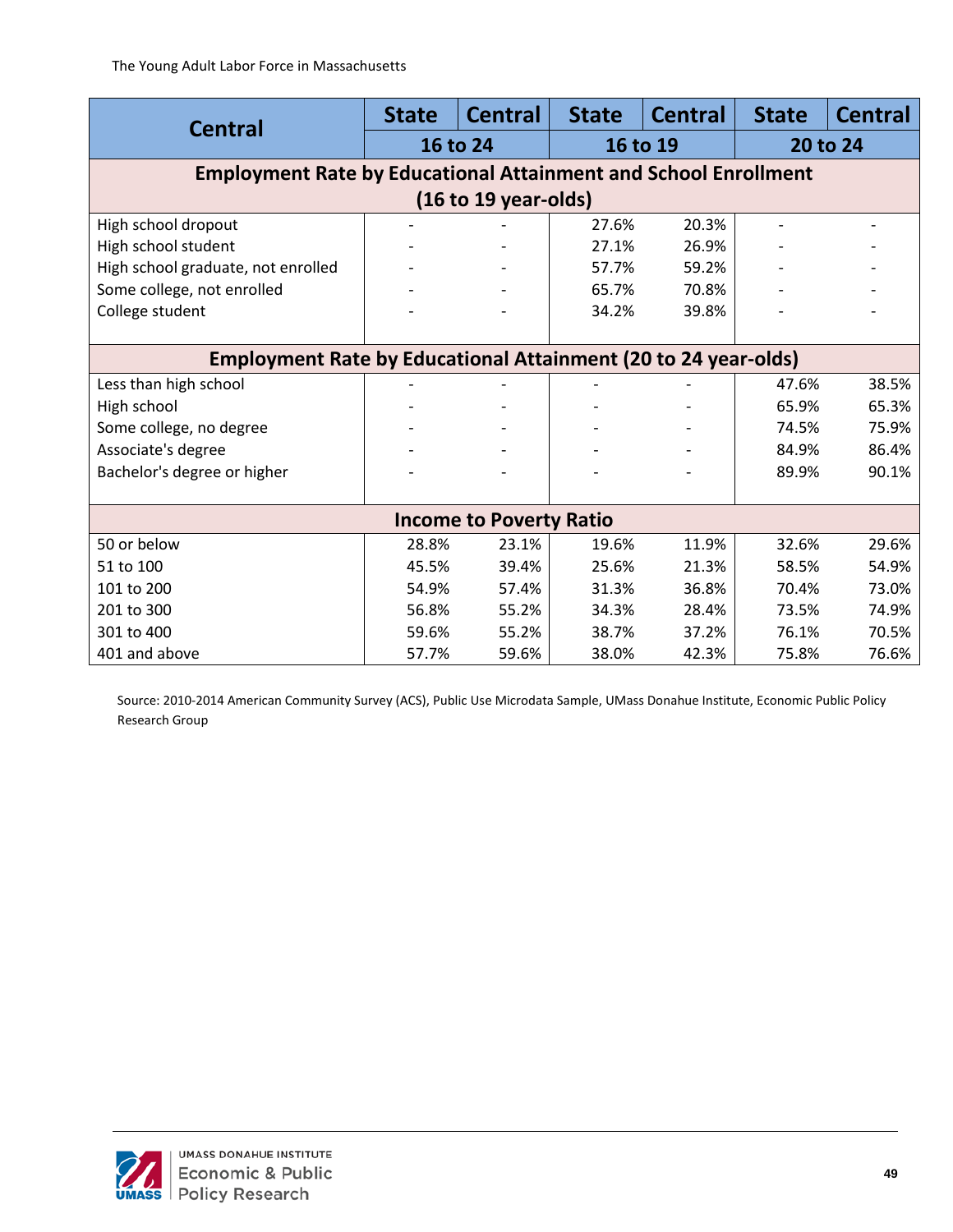| <b>Central</b>                                                         | <b>State</b> | <b>Central</b>                 | <b>State</b> | <b>Central</b> | <b>State</b> | <b>Central</b> |  |  |
|------------------------------------------------------------------------|--------------|--------------------------------|--------------|----------------|--------------|----------------|--|--|
|                                                                        |              | 16 to 24                       | 16 to 19     |                | 20 to 24     |                |  |  |
| <b>Employment Rate by Educational Attainment and School Enrollment</b> |              |                                |              |                |              |                |  |  |
| (16 to 19 years)                                                       |              |                                |              |                |              |                |  |  |
| High school dropout                                                    |              |                                | 27.6%        | 20.3%          |              |                |  |  |
| High school student                                                    |              |                                | 27.1%        | 26.9%          |              |                |  |  |
| High school graduate, not enrolled                                     |              |                                | 57.7%        | 59.2%          |              |                |  |  |
| Some college, not enrolled                                             |              |                                | 65.7%        | 70.8%          |              |                |  |  |
| College student                                                        |              |                                | 34.2%        | 39.8%          |              |                |  |  |
|                                                                        |              |                                |              |                |              |                |  |  |
| <b>Employment Rate by Educational Attainment (20 to 24 year-olds)</b>  |              |                                |              |                |              |                |  |  |
| Less than high school                                                  |              |                                |              |                | 47.6%        | 38.5%          |  |  |
| High school                                                            |              |                                |              |                | 65.9%        | 65.3%          |  |  |
| Some college, no degree                                                |              |                                |              |                | 74.5%        | 75.9%          |  |  |
| Associate's degree                                                     |              |                                |              |                | 84.9%        | 86.4%          |  |  |
| Bachelor's degree or higher                                            |              |                                |              |                | 89.9%        | 90.1%          |  |  |
|                                                                        |              |                                |              |                |              |                |  |  |
|                                                                        |              | <b>Income to Poverty Ratio</b> |              |                |              |                |  |  |
| 50 or below                                                            | 28.8%        | 23.1%                          | 19.6%        | 11.9%          | 32.6%        | 29.6%          |  |  |
| 51 to 100                                                              | 45.5%        | 39.4%                          | 25.6%        | 21.3%          | 58.5%        | 54.9%          |  |  |
| 101 to 200                                                             | 54.9%        | 57.4%                          | 31.3%        | 36.8%          | 70.4%        | 73.0%          |  |  |
| 201 to 300                                                             | 56.8%        | 55.2%                          | 34.3%        | 28.4%          | 73.5%        | 74.9%          |  |  |
| 301 to 400                                                             | 59.6%        | 55.2%                          | 38.7%        | 37.2%          | 76.1%        | 70.5%          |  |  |
| 401 and above                                                          | 57.7%        | 59.6%                          | 38.0%        | 42.3%          | 75.8%        | 76.6%          |  |  |

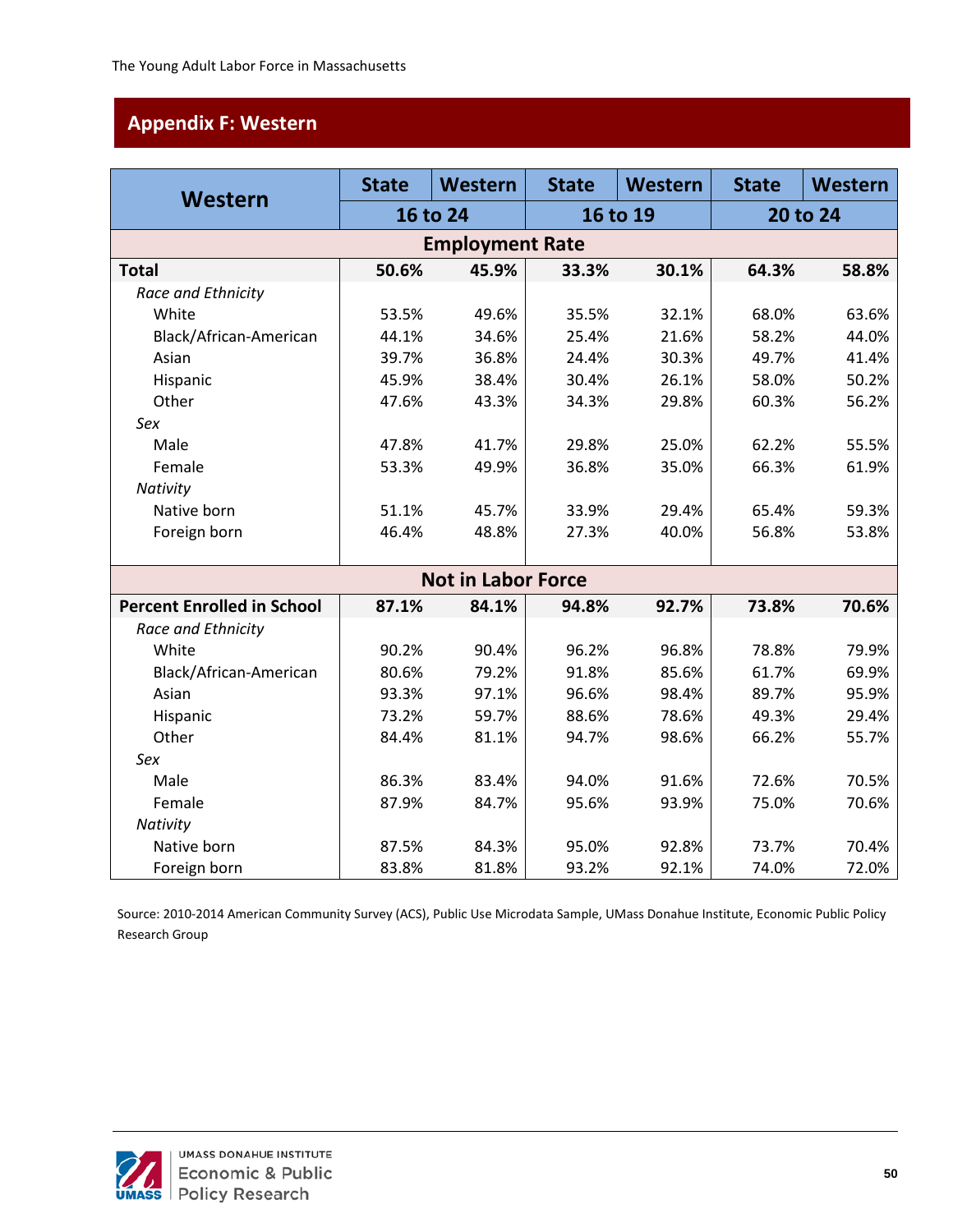# <span id="page-54-0"></span>**Appendix F: Western**

| Western                           | <b>State</b> | Western                   | <b>State</b> | Western | <b>State</b> | Western  |  |
|-----------------------------------|--------------|---------------------------|--------------|---------|--------------|----------|--|
|                                   |              | 16 to 24                  | 16 to 19     |         |              | 20 to 24 |  |
|                                   |              | <b>Employment Rate</b>    |              |         |              |          |  |
| <b>Total</b>                      | 50.6%        | 45.9%                     | 33.3%        | 30.1%   | 64.3%        | 58.8%    |  |
| Race and Ethnicity                |              |                           |              |         |              |          |  |
| White                             | 53.5%        | 49.6%                     | 35.5%        | 32.1%   | 68.0%        | 63.6%    |  |
| Black/African-American            | 44.1%        | 34.6%                     | 25.4%        | 21.6%   | 58.2%        | 44.0%    |  |
| Asian                             | 39.7%        | 36.8%                     | 24.4%        | 30.3%   | 49.7%        | 41.4%    |  |
| Hispanic                          | 45.9%        | 38.4%                     | 30.4%        | 26.1%   | 58.0%        | 50.2%    |  |
| Other                             | 47.6%        | 43.3%                     | 34.3%        | 29.8%   | 60.3%        | 56.2%    |  |
| Sex                               |              |                           |              |         |              |          |  |
| Male                              | 47.8%        | 41.7%                     | 29.8%        | 25.0%   | 62.2%        | 55.5%    |  |
| Female                            | 53.3%        | 49.9%                     | 36.8%        | 35.0%   | 66.3%        | 61.9%    |  |
| Nativity                          |              |                           |              |         |              |          |  |
| Native born                       | 51.1%        | 45.7%                     | 33.9%        | 29.4%   | 65.4%        | 59.3%    |  |
| Foreign born                      | 46.4%        | 48.8%                     | 27.3%        | 40.0%   | 56.8%        | 53.8%    |  |
|                                   |              |                           |              |         |              |          |  |
|                                   |              | <b>Not in Labor Force</b> |              |         |              |          |  |
| <b>Percent Enrolled in School</b> | 87.1%        | 84.1%                     | 94.8%        | 92.7%   | 73.8%        | 70.6%    |  |
| Race and Ethnicity                |              |                           |              |         |              |          |  |
| White                             | 90.2%        | 90.4%                     | 96.2%        | 96.8%   | 78.8%        | 79.9%    |  |
| Black/African-American            | 80.6%        | 79.2%                     | 91.8%        | 85.6%   | 61.7%        | 69.9%    |  |
| Asian                             | 93.3%        | 97.1%                     | 96.6%        | 98.4%   | 89.7%        | 95.9%    |  |
| Hispanic                          | 73.2%        | 59.7%                     | 88.6%        | 78.6%   | 49.3%        | 29.4%    |  |
| Other                             | 84.4%        | 81.1%                     | 94.7%        | 98.6%   | 66.2%        | 55.7%    |  |
| Sex                               |              |                           |              |         |              |          |  |
| Male                              | 86.3%        | 83.4%                     | 94.0%        | 91.6%   | 72.6%        | 70.5%    |  |
| Female                            | 87.9%        | 84.7%                     | 95.6%        | 93.9%   | 75.0%        | 70.6%    |  |
| Nativity                          |              |                           |              |         |              |          |  |
| Native born                       | 87.5%        | 84.3%                     | 95.0%        | 92.8%   | 73.7%        | 70.4%    |  |
| Foreign born                      | 83.8%        | 81.8%                     | 93.2%        | 92.1%   | 74.0%        | 72.0%    |  |

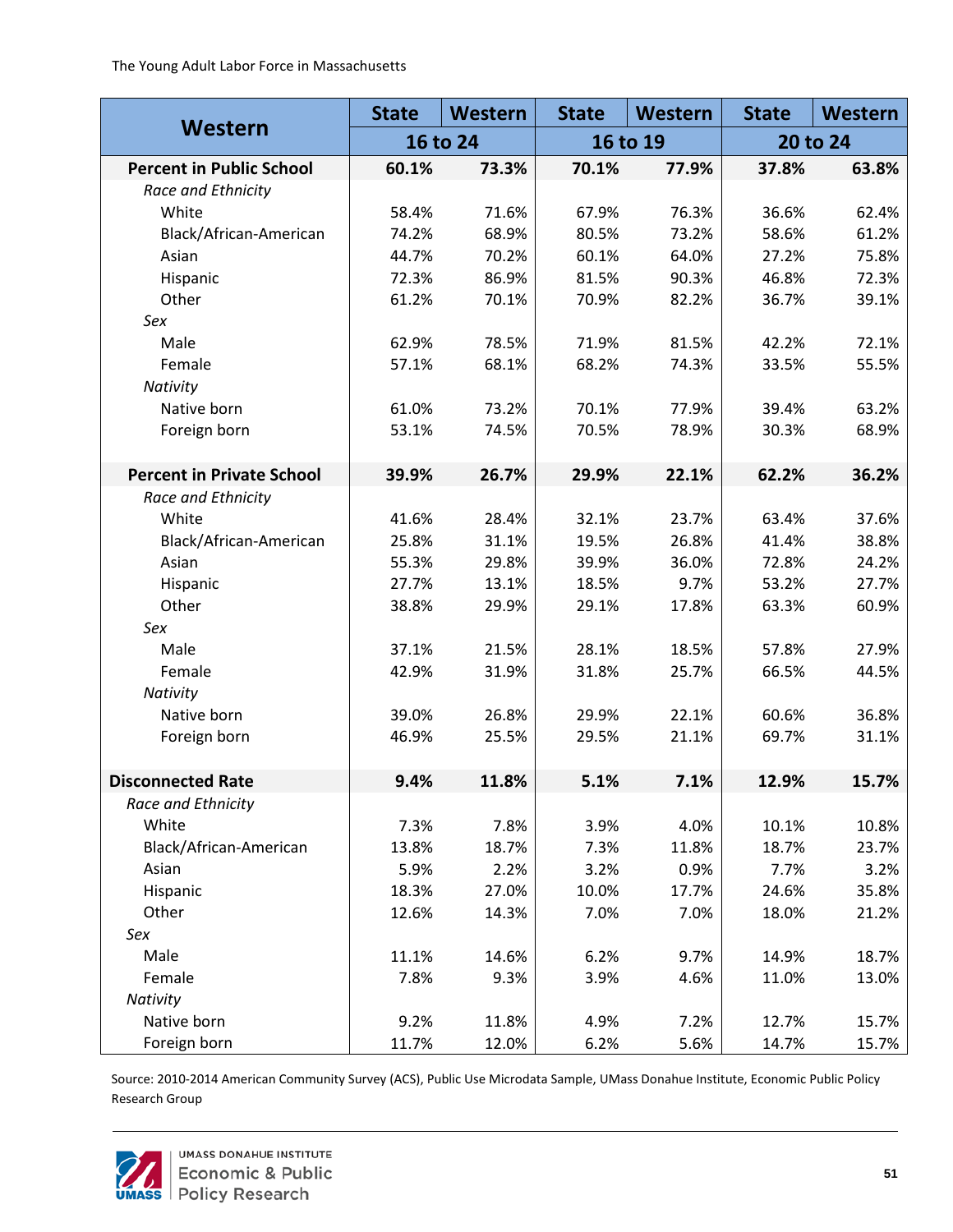| Western                          | <b>State</b> | Western | <b>State</b> | Western | <b>State</b> | Western |
|----------------------------------|--------------|---------|--------------|---------|--------------|---------|
|                                  | 16 to 24     |         | 16 to 19     |         | 20 to 24     |         |
| <b>Percent in Public School</b>  | 60.1%        | 73.3%   | 70.1%        | 77.9%   | 37.8%        | 63.8%   |
| Race and Ethnicity               |              |         |              |         |              |         |
| White                            | 58.4%        | 71.6%   | 67.9%        | 76.3%   | 36.6%        | 62.4%   |
| Black/African-American           | 74.2%        | 68.9%   | 80.5%        | 73.2%   | 58.6%        | 61.2%   |
| Asian                            | 44.7%        | 70.2%   | 60.1%        | 64.0%   | 27.2%        | 75.8%   |
| Hispanic                         | 72.3%        | 86.9%   | 81.5%        | 90.3%   | 46.8%        | 72.3%   |
| Other                            | 61.2%        | 70.1%   | 70.9%        | 82.2%   | 36.7%        | 39.1%   |
| Sex                              |              |         |              |         |              |         |
| Male                             | 62.9%        | 78.5%   | 71.9%        | 81.5%   | 42.2%        | 72.1%   |
| Female                           | 57.1%        | 68.1%   | 68.2%        | 74.3%   | 33.5%        | 55.5%   |
| Nativity                         |              |         |              |         |              |         |
| Native born                      | 61.0%        | 73.2%   | 70.1%        | 77.9%   | 39.4%        | 63.2%   |
| Foreign born                     | 53.1%        | 74.5%   | 70.5%        | 78.9%   | 30.3%        | 68.9%   |
|                                  |              |         |              |         |              |         |
| <b>Percent in Private School</b> | 39.9%        | 26.7%   | 29.9%        | 22.1%   | 62.2%        | 36.2%   |
| Race and Ethnicity               |              |         |              |         |              |         |
| White                            | 41.6%        | 28.4%   | 32.1%        | 23.7%   | 63.4%        | 37.6%   |
| Black/African-American           | 25.8%        | 31.1%   | 19.5%        | 26.8%   | 41.4%        | 38.8%   |
| Asian                            | 55.3%        | 29.8%   | 39.9%        | 36.0%   | 72.8%        | 24.2%   |
| Hispanic                         | 27.7%        | 13.1%   | 18.5%        | 9.7%    | 53.2%        | 27.7%   |
| Other                            | 38.8%        | 29.9%   | 29.1%        | 17.8%   | 63.3%        | 60.9%   |
| Sex                              |              |         |              |         |              |         |
| Male                             | 37.1%        | 21.5%   | 28.1%        | 18.5%   | 57.8%        | 27.9%   |
| Female                           | 42.9%        | 31.9%   | 31.8%        | 25.7%   | 66.5%        | 44.5%   |
| Nativity                         |              |         |              |         |              |         |
| Native born                      | 39.0%        | 26.8%   | 29.9%        | 22.1%   | 60.6%        | 36.8%   |
| Foreign born                     | 46.9%        | 25.5%   | 29.5%        | 21.1%   | 69.7%        | 31.1%   |
|                                  |              |         |              |         |              |         |
| <b>Disconnected Rate</b>         | 9.4%         | 11.8%   | 5.1%         | 7.1%    | 12.9%        | 15.7%   |
| Race and Ethnicity               |              |         |              |         |              |         |
| White                            | 7.3%         | 7.8%    | 3.9%         | 4.0%    | 10.1%        | 10.8%   |
| Black/African-American           | 13.8%        | 18.7%   | 7.3%         | 11.8%   | 18.7%        | 23.7%   |
| Asian                            | 5.9%         | 2.2%    | 3.2%         | 0.9%    | 7.7%         | 3.2%    |
| Hispanic                         | 18.3%        | 27.0%   | 10.0%        | 17.7%   | 24.6%        | 35.8%   |
| Other                            | 12.6%        | 14.3%   | 7.0%         | 7.0%    | 18.0%        | 21.2%   |
| Sex                              |              |         |              |         |              |         |
| Male                             | 11.1%        | 14.6%   | 6.2%         | 9.7%    | 14.9%        | 18.7%   |
| Female                           | 7.8%         | 9.3%    | 3.9%         | 4.6%    | 11.0%        | 13.0%   |
| Nativity                         |              |         |              |         |              |         |
| Native born                      | 9.2%         | 11.8%   | 4.9%         | 7.2%    | 12.7%        | 15.7%   |
| Foreign born                     | 11.7%        | 12.0%   | 6.2%         | 5.6%    | 14.7%        | 15.7%   |